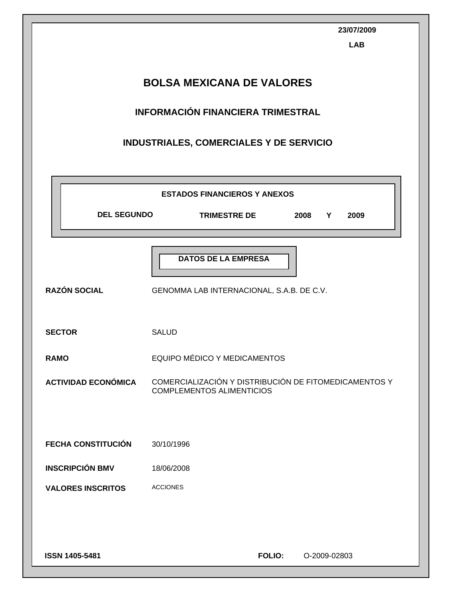|                                                                                                                                | 23/07/2009<br><b>LAB</b>                                                                  |  |  |  |  |
|--------------------------------------------------------------------------------------------------------------------------------|-------------------------------------------------------------------------------------------|--|--|--|--|
| <b>BOLSA MEXICANA DE VALORES</b><br><b>INFORMACIÓN FINANCIERA TRIMESTRAL</b><br><b>INDUSTRIALES, COMERCIALES Y DE SERVICIO</b> |                                                                                           |  |  |  |  |
|                                                                                                                                | <b>ESTADOS FINANCIEROS Y ANEXOS</b>                                                       |  |  |  |  |
| <b>DEL SEGUNDO</b>                                                                                                             | <b>TRIMESTRE DE</b><br>2008<br>Y<br>2009                                                  |  |  |  |  |
| <b>RAZÓN SOCIAL</b>                                                                                                            | <b>DATOS DE LA EMPRESA</b><br>GENOMMA LAB INTERNACIONAL, S.A.B. DE C.V.                   |  |  |  |  |
| <b>SECTOR</b>                                                                                                                  | <b>SALUD</b>                                                                              |  |  |  |  |
| <b>RAMO</b>                                                                                                                    | EQUIPO MÉDICO Y MEDICAMENTOS                                                              |  |  |  |  |
| <b>ACTIVIDAD ECONÓMICA</b>                                                                                                     | COMERCIALIZACIÓN Y DISTRIBUCIÓN DE FITOMEDICAMENTOS Y<br><b>COMPLEMENTOS ALIMENTICIOS</b> |  |  |  |  |
| <b>FECHA CONSTITUCIÓN</b>                                                                                                      | 30/10/1996                                                                                |  |  |  |  |
| <b>INSCRIPCIÓN BMV</b>                                                                                                         | 18/06/2008                                                                                |  |  |  |  |
| <b>VALORES INSCRITOS</b>                                                                                                       | <b>ACCIONES</b>                                                                           |  |  |  |  |
| ISSN 1405-5481                                                                                                                 | <b>FOLIO:</b><br>O-2009-02803                                                             |  |  |  |  |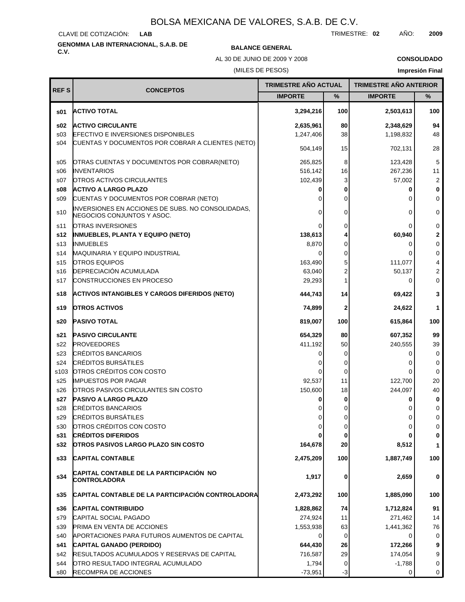CLAVE DE COTIZACIÓN: **LAB**

# **GENOMMA LAB INTERNACIONAL, S.A.B. DE C.V. BALANCE GENERAL**

AL 30 DE JUNIO DE 2009 Y 2008

**CONSOLIDADO**

(MILES DE PESOS)

| <b>REFS</b>     | <b>CONCEPTOS</b>                                                                | TRIMESTRE AÑO ACTUAL |      |                | <b>TRIMESTRE AÑO ANTERIOR</b> |  |
|-----------------|---------------------------------------------------------------------------------|----------------------|------|----------------|-------------------------------|--|
|                 |                                                                                 | <b>IMPORTE</b>       | ℅    | <b>IMPORTE</b> | ℅                             |  |
| s01             | <b>ACTIVO TOTAL</b>                                                             | 3,294,216            | 100  | 2,503,613      | 100                           |  |
| s02             | <b>ACTIVO CIRCULANTE</b>                                                        | 2,635,961            | 80   | 2,348,629      | 94                            |  |
| s03             | <b>EFECTIVO E INVERSIONES DISPONIBLES</b>                                       | 1,247,406            | 38   | 1,198,832      | 48                            |  |
| s04             | CUENTAS Y DOCUMENTOS POR COBRAR A CLIENTES (NETO)                               | 504,149              | 15   | 702,131        | 28                            |  |
| s05             | OTRAS CUENTAS Y DOCUMENTOS POR COBRAR(NETO)                                     | 265,825              | 8    | 123,428        | 5                             |  |
| \$06            | <b>INVENTARIOS</b>                                                              | 516,142              | 16   | 267,236        | 11                            |  |
| s07             | <b>OTROS ACTIVOS CIRCULANTES</b>                                                | 102,439              | 3    | 57,002         | $\overline{2}$                |  |
| s08             | <b>ACTIVO A LARGO PLAZO</b>                                                     | 0                    | 0    | 0              | $\bf{0}$                      |  |
| S <sub>09</sub> | CUENTAS Y DOCUMENTOS POR COBRAR (NETO)                                          | 0                    | 0    | 0              | 0                             |  |
| s10             | INVERSIONES EN ACCIONES DE SUBS. NO CONSOLIDADAS,<br>NEGOCIOS CONJUNTOS Y ASOC. | 0                    | 0    | 0              | 0                             |  |
| s11             | OTRAS INVERSIONES                                                               | 0                    | 0    | 0              | 0                             |  |
| s12             | <b>INMUEBLES, PLANTA Y EQUIPO (NETO)</b>                                        | 138,613              |      | 60,940         | 2                             |  |
| s13             | <b>INMUEBLES</b>                                                                | 8,870                | 0    | 0              | 0                             |  |
| s14             | <b>MAQUINARIA Y EQUIPO INDUSTRIAL</b>                                           | 0                    | 0    | 0              | 0                             |  |
| s15             | <b>OTROS EQUIPOS</b>                                                            | 163,490              | 5    | 111,077        | 4                             |  |
| s16             | <b>DEPRECIACIÓN ACUMULADA</b>                                                   | 63,040               | 2    | 50,137         | 2                             |  |
| s17             | CONSTRUCCIONES EN PROCESO                                                       | 29,293               |      | 0              | 0                             |  |
| s18             | ACTIVOS INTANGIBLES Y CARGOS DIFERIDOS (NETO)                                   | 444,743              | 14   | 69,422         | 3                             |  |
| s19             | <b>OTROS ACTIVOS</b>                                                            | 74,899               | 2    | 24,622         | 1                             |  |
| s20             | <b>PASIVO TOTAL</b>                                                             | 819,007              | 100  | 615,864        | 100                           |  |
| s21             | <b>PASIVO CIRCULANTE</b>                                                        | 654,329              | 80   | 607,352        | 99                            |  |
| s22             | <b>PROVEEDORES</b>                                                              | 411,192              | 50   | 240,555        | 39                            |  |
| s23             | <b>CRÉDITOS BANCARIOS</b>                                                       | 0                    | 0    | 0              | 0                             |  |
| s24             | <b>CRÉDITOS BURSÁTILES</b>                                                      |                      | 0    | 0              | 0                             |  |
| s103            | OTROS CRÉDITOS CON COSTO                                                        | 0                    | 0    | 0              | $\Omega$                      |  |
| s25             | <b>IMPUESTOS POR PAGAR</b>                                                      | 92,537               | 11   | 122,700        | 20                            |  |
| s26             | <b>IOTROS PASIVOS CIRCULANTES SIN COSTO</b>                                     | 150,600              | 18   | 244,097        | 40                            |  |
| s27             | <b>PASIVO A LARGO PLAZO</b>                                                     | 0                    | 0    | 0              | 0                             |  |
| s28             | <b>CRÉDITOS BANCARIOS</b>                                                       |                      |      |                | 0                             |  |
| s29             | <b>CRÉDITOS BURSÁTILES</b>                                                      | 0                    | 0    | 0              | 0                             |  |
| s30             | OTROS CRÉDITOS CON COSTO                                                        | $\overline{0}$       | 0    | 0              | 0                             |  |
| s31             | <b>CRÉDITOS DIFERIDOS</b>                                                       |                      | 0    | 0              | 0                             |  |
| s32             | <b>OTROS PASIVOS LARGO PLAZO SIN COSTO</b>                                      | 164,678              | 20   | 8,512          | $\mathbf{1}$                  |  |
| s33             | <b>CAPITAL CONTABLE</b>                                                         | 2,475,209            | 100  | 1,887,749      | 100                           |  |
| s34             | CAPITAL CONTABLE DE LA PARTICIPACIÓN NO<br>CONTROLADORA                         | 1,917                | 0    | 2,659          | 0                             |  |
| s35             | CAPITAL CONTABLE DE LA PARTICIPACIÓN CONTROLADORA                               | 2,473,292            | 100  | 1,885,090      | 100                           |  |
| s36             | <b>CAPITAL CONTRIBUIDO</b>                                                      | 1,828,862            | 74   | 1,712,824      | 91                            |  |
| s79             | CAPITAL SOCIAL PAGADO                                                           | 274,924              | 11   | 271,462        | 14                            |  |
| s39             | <b>PRIMA EN VENTA DE ACCIONES</b>                                               | 1,553,938            | 63   | 1,441,362      | 76                            |  |
| s40             | APORTACIONES PARA FUTUROS AUMENTOS DE CAPITAL                                   | $\Omega$             | 0    | 0              | 0                             |  |
| s41             | CAPITAL GANADO (PERDIDO)                                                        | 644,430              | 26   | 172,266        | 9                             |  |
| s42             | <b>RESULTADOS ACUMULADOS Y RESERVAS DE CAPITAL</b>                              | 716,587              | 29   | 174,054        | 9                             |  |
| s44             | OTRO RESULTADO INTEGRAL ACUMULADO                                               | 1,794                | 0    | $-1,788$       | $\mathbf 0$                   |  |
| s80             | RECOMPRA DE ACCIONES                                                            | $-73,951$            | $-3$ | 0              | 0                             |  |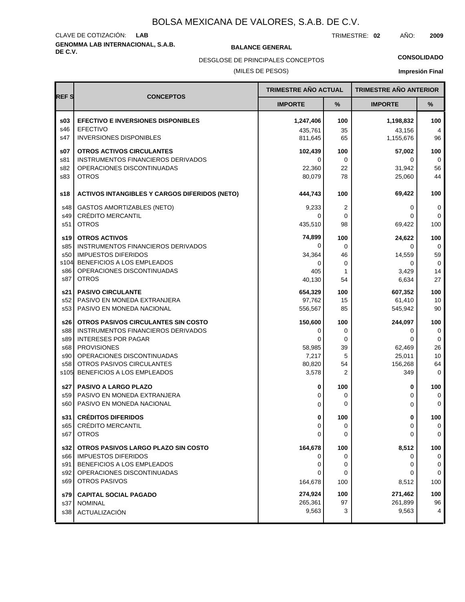# **GENOMMA LAB INTERNACIONAL, S.A.B. DE C.V. BALANCE GENERAL** CLAVE DE COTIZACIÓN: **LAB**

TRIMESTRE: **02** AÑO: **2009**

DESGLOSE DE PRINCIPALES CONCEPTOS

### (MILES DE PESOS)

### **CONSOLIDADO**

|             |                                                                         | <b>TRIMESTRE AÑO ACTUAL</b> |                | <b>TRIMESTRE AÑO ANTERIOR</b> |                   |
|-------------|-------------------------------------------------------------------------|-----------------------------|----------------|-------------------------------|-------------------|
| <b>REFS</b> | <b>CONCEPTOS</b>                                                        | <b>IMPORTE</b>              | %              | <b>IMPORTE</b>                | %                 |
| \$03        | <b>EFECTIVO E INVERSIONES DISPONIBLES</b>                               | 1,247,406                   | 100            | 1,198,832                     | 100               |
| s46         | <b>EFECTIVO</b>                                                         | 435.761                     | 35             | 43,156                        | 4                 |
| s47         | <b>INVERSIONES DISPONIBLES</b>                                          | 811,645                     | 65             | 1,155,676                     | 96                |
| \$07        | OTROS ACTIVOS CIRCULANTES                                               | 102,439                     | 100            | 57,002                        | 100               |
| s81<br>s82  | <b>INSTRUMENTOS FINANCIEROS DERIVADOS</b><br>OPERACIONES DISCONTINUADAS | 0<br>22,360                 | $\Omega$<br>22 | $\Omega$<br>31,942            | 0<br>56           |
| s83         | <b>OTROS</b>                                                            | 80,079                      | 78             | 25,060                        | 44                |
| s18         |                                                                         | 444,743                     | 100            | 69,422                        | 100               |
|             | <b>ACTIVOS INTANGIBLES Y CARGOS DIFERIDOS (NETO)</b>                    |                             |                |                               |                   |
| s48         | <b>GASTOS AMORTIZABLES (NETO)</b>                                       | 9,233                       | 2              | 0                             | 0                 |
| s49<br>s51  | <b>CRÉDITO MERCANTIL</b><br><b>OTROS</b>                                | 0<br>435,510                | 0<br>98        | 0<br>69,422                   | $\Omega$<br>100   |
|             |                                                                         |                             |                |                               |                   |
| s19 l       | <b>OTROS ACTIVOS</b>                                                    | 74,899<br>$\Omega$          | 100            | 24.622                        | 100               |
| s85<br>s50  | INSTRUMENTOS FINANCIEROS DERIVADOS<br><b>IMPUESTOS DIFERIDOS</b>        | 34,364                      | $\Omega$<br>46 | 0<br>14,559                   | $\Omega$<br>59    |
| s104        | BENEFICIOS A LOS EMPLEADOS                                              | $\Omega$                    | 0              | 0                             | 0                 |
| s86         | OPERACIONES DISCONTINUADAS                                              | 405                         | 1              | 3,429                         | 14                |
| s87         | <b>OTROS</b>                                                            | 40,130                      | 54             | 6,634                         | 27                |
| s21         | <b>PASIVO CIRCULANTE</b>                                                | 654,329                     | 100            | 607.352                       | 100               |
| s52         | PASIVO EN MONEDA EXTRANJERA                                             | 97,762                      | 15             | 61,410                        | 10                |
| s53         | PASIVO EN MONEDA NACIONAL                                               | 556,567                     | 85             | 545,942                       | 90                |
| s26         | OTROS PASIVOS CIRCULANTES SIN COSTO                                     | 150,600                     | 100            | 244,097                       | 100               |
| s88         | INSTRUMENTOS FINANCIEROS DERIVADOS                                      | 0                           | 0              | 0                             | 0                 |
| s89<br>s68  | <b>INTERESES POR PAGAR</b><br><b>PROVISIONES</b>                        | 0<br>58,985                 | 0<br>39        | 0<br>62,469                   | $\mathbf 0$<br>26 |
| s90         | OPERACIONES DISCONTINUADAS                                              | 7,217                       | 5              | 25,011                        | 10                |
| s58         | OTROS PASIVOS CIRCULANTES                                               | 80,820                      | 54             | 156,268                       | 64                |
| s105        | BENEFICIOS A LOS EMPLEADOS                                              | 3,578                       | 2              | 349                           | $\mathbf 0$       |
| s27         | <b>PASIVO A LARGO PLAZO</b>                                             | 0                           | 100            | 0                             | 100               |
| s59         | PASIVO EN MONEDA EXTRANJERA                                             | 0                           | 0              | 0                             | 0                 |
| s60         | PASIVO EN MONEDA NACIONAL                                               | 0                           | $\Omega$       | 0                             | $\Omega$          |
| s31         | <b>CRÉDITOS DIFERIDOS</b>                                               | 0                           | 100            | 0                             | 100               |
| s65         | CRÉDITO MERCANTIL                                                       | 0                           | 0              | 0                             | 0                 |
| s67         | <b>OTROS</b>                                                            | 0                           | 0              | 0                             | 0                 |
| s32         | OTROS PASIVOS LARGO PLAZO SIN COSTO                                     | 164,678                     | 100            | 8,512                         | 100               |
| s66         | <b>IMPUESTOS DIFERIDOS</b>                                              | 0                           | 0              | 0                             | 0                 |
| s91         | BENEFICIOS A LOS EMPLEADOS                                              | 0                           | 0              | 0                             | 0                 |
| s92<br>s69  | OPERACIONES DISCONTINUADAS<br>OTROS PASIVOS                             | 0<br>164,678                | 0<br>100       | 0                             | 0<br>100          |
|             |                                                                         |                             |                | 8,512                         |                   |
| s79 l       | <b>CAPITAL SOCIAL PAGADO</b>                                            | 274,924                     | 100<br>97      | 271,462                       | 100               |
| s37<br>s38  | <b>NOMINAL</b><br>ACTUALIZACIÓN                                         | 265,361<br>9,563            | 3              | 261,899<br>9,563              | 96<br>4           |
|             |                                                                         |                             |                |                               |                   |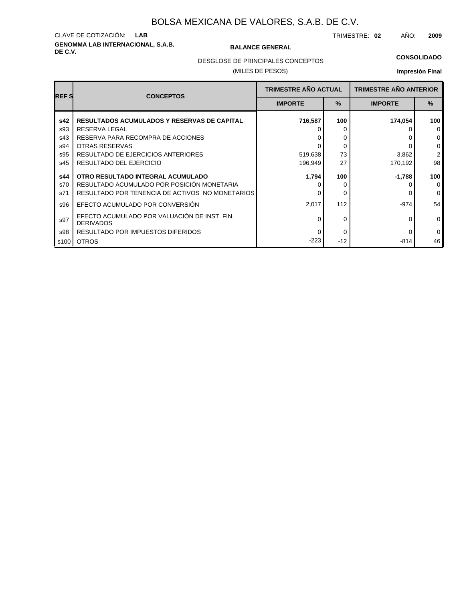# **GENOMMA LAB INTERNACIONAL, S.A.B. DE C.V. BALANCE GENERAL** CLAVE DE COTIZACIÓN: **LAB**

TRIMESTRE: **02** AÑO: **2009**

### **CONSOLIDADO**

DESGLOSE DE PRINCIPALES CONCEPTOS

### (MILES DE PESOS)

| <b>REFS</b> | <b>CONCEPTOS</b>                                                 | <b>TRIMESTRE AÑO ACTUAL</b> |               | <b>TRIMESTRE AÑO ANTERIOR</b> |                |
|-------------|------------------------------------------------------------------|-----------------------------|---------------|-------------------------------|----------------|
|             |                                                                  | <b>IMPORTE</b>              | $\frac{9}{6}$ | <b>IMPORTE</b>                | $\%$           |
| s42         | <b>RESULTADOS ACUMULADOS Y RESERVAS DE CAPITAL</b>               | 716,587                     | 100           | 174,054                       | 100            |
| s93         | <b>RESERVA LEGAL</b>                                             |                             | 0             |                               | $\Omega$       |
| s43         | RESERVA PARA RECOMPRA DE ACCIONES                                |                             | 0             |                               | $\mathbf 0$    |
| s94         | OTRAS RESERVAS                                                   |                             | 0             |                               | 0              |
| s95         | RESULTADO DE EJERCICIOS ANTERIORES                               | 519,638                     | 73            | 3,862                         | $\overline{2}$ |
| s45         | RESULTADO DEL EJERCICIO                                          | 196,949                     | 27            | 170,192                       | 98             |
| s44         | OTRO RESULTADO INTEGRAL ACUMULADO                                | 1,794                       | 100           | $-1,788$                      | 100            |
| s70         | RESULTADO ACUMULADO POR POSICIÓN MONETARIA                       |                             |               |                               | $\Omega$       |
| s71         | RESULTADO POR TENENCIA DE ACTIVOS NO MONETARIOS                  | O                           | 0             |                               | $\mathbf 0$    |
| s96         | EFECTO ACUMULADO POR CONVERSIÓN                                  | 2,017                       | 112           | $-974$                        | 54             |
| s97         | EFECTO ACUMULADO POR VALUACIÓN DE INST. FIN.<br><b>DERIVADOS</b> | 0                           | 0             | $\Omega$                      | $\mathbf 0$    |
| s98         | RESULTADO POR IMPUESTOS DIFERIDOS                                | O                           | 0             | 0                             | $\mathbf 0$    |
| s100        | <b>OTROS</b>                                                     | $-223$                      | $-12$         | $-814$                        | 46             |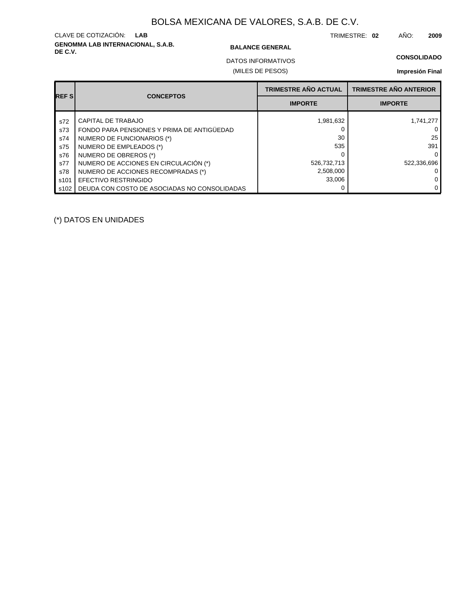# **GENOMMA LAB INTERNACIONAL, S.A.B. DE C.V. BALANCE GENERAL** CLAVE DE COTIZACIÓN: **LAB**

TRIMESTRE: **02** AÑO: **2009**

### **CONSOLIDADO**

(MILES DE PESOS) DATOS INFORMATIVOS

### **Impresión Final**

| <b>REFS</b> | <b>CONCEPTOS</b>                             | <b>TRIMESTRE AÑO ACTUAL</b> | <b>TRIMESTRE AÑO ANTERIOR</b> |
|-------------|----------------------------------------------|-----------------------------|-------------------------------|
|             |                                              | <b>IMPORTE</b>              | <b>IMPORTE</b>                |
| s72         | CAPITAL DE TRABAJO                           | 1,981,632                   | 1,741,277                     |
| s73         | FONDO PARA PENSIONES Y PRIMA DE ANTIGÜEDAD   |                             | 0                             |
| s74         | NUMERO DE FUNCIONARIOS (*)                   | 30                          | 25                            |
| s75         | NUMERO DE EMPLEADOS (*)                      | 535                         | 391                           |
| s76         | NUMERO DE OBREROS (*)                        |                             | $\Omega$                      |
| s77         | NUMERO DE ACCIONES EN CIRCULACIÓN (*)        | 526,732,713                 | 522.336.696                   |
| s78         | NUMERO DE ACCIONES RECOMPRADAS (*)           | 2,508,000                   | 0                             |
| s101        | EFECTIVO RESTRINGIDO                         | 33,006                      | 0                             |
| s102        | DEUDA CON COSTO DE ASOCIADAS NO CONSOLIDADAS |                             | $\mathbf{0}$                  |

(\*) DATOS EN UNIDADES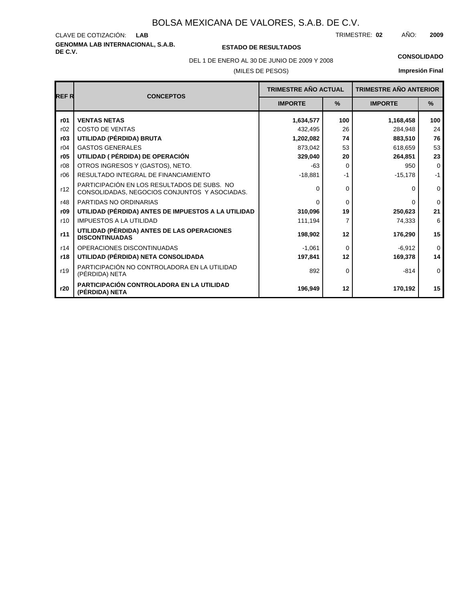# **GENOMMA LAB INTERNACIONAL, S.A.B.** CLAVE DE COTIZACIÓN:

### **DE C.V. ESTADO DE RESULTADOS**

TRIMESTRE: AÑO: **LAB 02 2009**

(MILES DE PESOS) DEL 1 DE ENERO AL 30 DE JUNIO DE 2009 Y 2008 **CONSOLIDADO**

| <b>REFR</b> | <b>CONCEPTOS</b>                                                                             | <b>TRIMESTRE AÑO ACTUAL</b> |      | <b>TRIMESTRE AÑO ANTERIOR</b> |             |
|-------------|----------------------------------------------------------------------------------------------|-----------------------------|------|-------------------------------|-------------|
|             |                                                                                              | <b>IMPORTE</b>              | $\%$ | <b>IMPORTE</b>                | $\%$        |
| r01         | <b>VENTAS NETAS</b>                                                                          | 1,634,577                   | 100  | 1,168,458                     | 100         |
| r02         | <b>COSTO DE VENTAS</b>                                                                       | 432,495                     | 26   | 284,948                       | 24          |
| r03         | UTILIDAD (PÉRDIDA) BRUTA                                                                     | 1,202,082                   | 74   | 883,510                       | 76          |
| r04         | <b>GASTOS GENERALES</b>                                                                      | 873,042                     | 53   | 618,659                       | 53          |
| r05         | UTILIDAD ( PÉRDIDA) DE OPERACIÓN                                                             | 329,040                     | 20   | 264,851                       | 23          |
| r08         | OTROS INGRESOS Y (GASTOS), NETO.                                                             | $-63$                       | 0    | 950                           | 0           |
| r06         | RESULTADO INTEGRAL DE FINANCIAMIENTO                                                         | $-18,881$                   | $-1$ | $-15,178$                     | $-1$        |
| r12         | PARTICIPACIÓN EN LOS RESULTADOS DE SUBS. NO<br>CONSOLIDADAS, NEGOCIOS CONJUNTOS Y ASOCIADAS. | 0                           | 0    | $\Omega$                      | $\mathbf 0$ |
| r48         | PARTIDAS NO ORDINARIAS                                                                       | $\Omega$                    | 0    | $\Omega$                      | $\mathbf 0$ |
| r09         | UTILIDAD (PÉRDIDA) ANTES DE IMPUESTOS A LA UTILIDAD                                          | 310,096                     | 19   | 250,623                       | 21          |
| r10         | <b>IMPUESTOS A LA UTILIDAD</b>                                                               | 111,194                     |      | 74,333                        | 6           |
| r11         | UTILIDAD (PÉRDIDA) ANTES DE LAS OPERACIONES<br><b>DISCONTINUADAS</b>                         | 198,902                     | 12   |                               | 15          |
| r14         | OPERACIONES DISCONTINUADAS                                                                   | $-1,061$                    | 0    | $-6,912$                      | $\mathbf 0$ |
| r18         | UTILIDAD (PÉRDIDA) NETA CONSOLIDADA                                                          | 197,841                     | 12   | 169,378                       | 14          |
| r19         | PARTICIPACIÓN NO CONTROLADORA EN LA UTILIDAD<br>(PÉRDIDA) NETA                               | 892                         | 0    | $-814$                        | $\mathbf 0$ |
| r20         | PARTICIPACIÓN CONTROLADORA EN LA UTILIDAD<br>(PÉRDIDA) NETA                                  | 196,949                     | 12   | 170,192                       | 15          |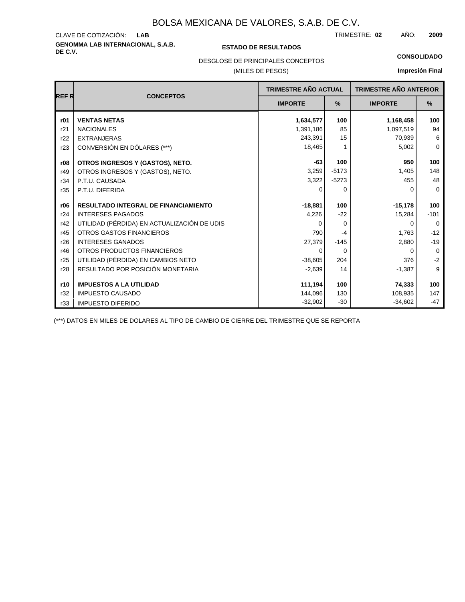# **GENOMMA LAB INTERNACIONAL, S.A.B. DE C.V. ESTADO DE RESULTADOS** CLAVE DE COTIZACIÓN:

TRIMESTRE: AÑO: **LAB 02 2009**

## **CONSOLIDADO**

DESGLOSE DE PRINCIPALES CONCEPTOS

### (MILES DE PESOS)

### **Impresión Final**

|             |                                             | TRIMESTRE AÑO ACTUAL |          | <b>TRIMESTRE AÑO ANTERIOR</b> |             |
|-------------|---------------------------------------------|----------------------|----------|-------------------------------|-------------|
| <b>REFR</b> | <b>CONCEPTOS</b>                            | <b>IMPORTE</b>       | %        | <b>IMPORTE</b>                | %           |
| r01         | <b>VENTAS NETAS</b>                         | 1,634,577            | 100      | 1,168,458                     | 100         |
| r21         | <b>NACIONALES</b>                           | 1,391,186            | 85       | 1,097,519                     | 94          |
| r22         | <b>EXTRANJERAS</b>                          | 243,391              | 15       | 70,939                        | 6           |
| r23         | CONVERSIÓN EN DÓLARES (***)                 | 18,465               |          | 5,002                         | $\mathbf 0$ |
| r08         | OTROS INGRESOS Y (GASTOS), NETO.            | $-63$                | 100      | 950                           | 100         |
| r49         | OTROS INGRESOS Y (GASTOS), NETO.            | 3,259                | $-5173$  | 1,405                         | 148         |
| r34         | P.T.U. CAUSADA                              | 3,322                | $-5273$  | 455                           | 48          |
| r35         | P.T.U. DIFERIDA                             | 0                    | 0        | 0                             | $\mathbf 0$ |
| r06         | <b>RESULTADO INTEGRAL DE FINANCIAMIENTO</b> | $-18,881$            | 100      | $-15,178$                     | 100         |
| r24         | <b>INTERESES PAGADOS</b>                    | 4,226                | $-22$    | 15,284                        | $-101$      |
| r42         | UTILIDAD (PÉRDIDA) EN ACTUALIZACIÓN DE UDIS | $\Omega$             | $\Omega$ | $\Omega$                      | $\Omega$    |
| r45         | <b>OTROS GASTOS FINANCIEROS</b>             | 790                  | $-4$     | 1,763                         | $-12$       |
| r26         | <b>INTERESES GANADOS</b>                    | 27,379               | $-145$   | 2,880                         | $-19$       |
| r46         | OTROS PRODUCTOS FINANCIEROS                 | 0                    | $\Omega$ | 0                             | $\mathbf 0$ |
| r25         | UTILIDAD (PÉRDIDA) EN CAMBIOS NETO          | $-38,605$            | 204      | 376                           | $-2$        |
| r28         | RESULTADO POR POSICIÓN MONETARIA            | $-2,639$             | 14       | $-1,387$                      | 9           |
| r10         | <b>IMPUESTOS A LA UTILIDAD</b>              | 111,194              | 100      | 74,333                        | 100         |
| r32         | <b>IMPUESTO CAUSADO</b>                     | 144,096              | 130      | 108,935                       | 147         |
| r33         | <b>IMPUESTO DIFERIDO</b>                    | $-32,902$            | $-30$    | $-34,602$                     | $-47$       |

(\*\*\*) DATOS EN MILES DE DOLARES AL TIPO DE CAMBIO DE CIERRE DEL TRIMESTRE QUE SE REPORTA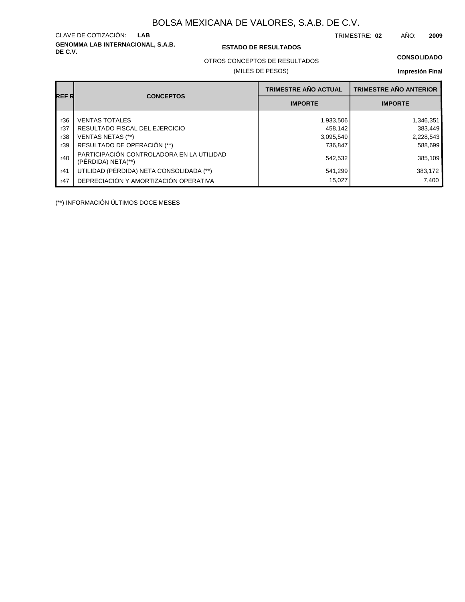**GENOMMA LAB INTERNACIONAL, S.A.B.** CLAVE DE COTIZACIÓN:

### **DE C.V. ESTADO DE RESULTADOS**

TRIMESTRE: AÑO: **LAB 02 2009**

### **CONSOLIDADO**

OTROS CONCEPTOS DE RESULTADOS

### (MILES DE PESOS)

### **Impresión Final**

| REF R |                                                                 | <b>TRIMESTRE AÑO ACTUAL</b> | <b>TRIMESTRE AÑO ANTERIOR</b> |
|-------|-----------------------------------------------------------------|-----------------------------|-------------------------------|
|       | <b>CONCEPTOS</b>                                                | <b>IMPORTE</b>              | <b>IMPORTE</b>                |
| r36   | <b>VENTAS TOTALES</b>                                           | 1,933,506                   | 1,346,351                     |
| r37   | RESULTADO FISCAL DEL EJERCICIO                                  | 458.142                     | 383,449                       |
| r38   | VENTAS NETAS (**)                                               | 3,095,549                   | 2,228,543                     |
| r39   | RESULTADO DE OPERACIÓN (**)                                     | 736.847                     | 588,699                       |
| r40   | PARTICIPACIÓN CONTROLADORA EN LA UTILIDAD<br>(PERDIDA) NETA(**) | 542,532                     | 385,109                       |
| r41   | UTILIDAD (PÉRDIDA) NETA CONSOLIDADA (**)                        | 541,299                     | 383,172                       |
| r47   | DEPRECIACIÓN Y AMORTIZACIÓN OPERATIVA                           | 15,027                      | 7.400                         |

(\*\*) INFORMACIÓN ÚLTIMOS DOCE MESES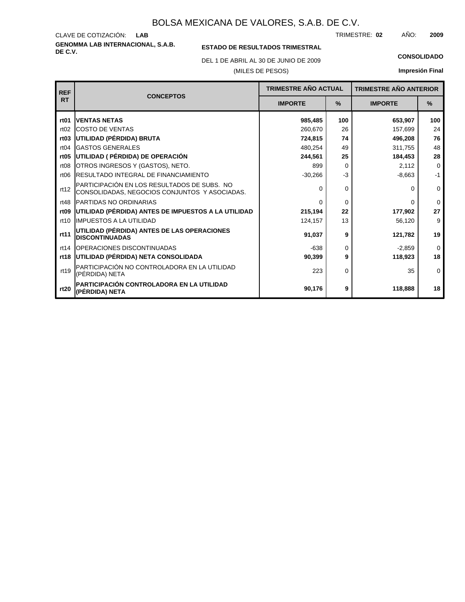**GENOMMA LAB INTERNACIONAL, S.A.B.** CLAVE DE COTIZACIÓN: TRIMESTRE: AÑO: **LAB 02 2009**

### **ESTADO DE RESULTADOS TRIMESTRAL**

DEL 1 DE ABRIL AL 30 DE JUNIO DE 2009 **CONSOLIDADO**

(MILES DE PESOS)

| <b>REF</b>       | <b>CONCEPTOS</b>                                                                             |                | <b>TRIMESTRE AÑO ACTUAL</b> |                | <b>TRIMESTRE AÑO ANTERIOR</b> |
|------------------|----------------------------------------------------------------------------------------------|----------------|-----------------------------|----------------|-------------------------------|
| <b>RT</b>        |                                                                                              | <b>IMPORTE</b> | $\%$                        | <b>IMPORTE</b> | $\%$                          |
| rt <sub>01</sub> | <b>IVENTAS NETAS</b>                                                                         | 985,485        | 100                         | 653,907        | 100                           |
| rt02             | <b>COSTO DE VENTAS</b>                                                                       | 260,670        | 26                          | 157,699        | 24                            |
| rt <sub>03</sub> | UTILIDAD (PÉRDIDA) BRUTA                                                                     | 724,815        | 74                          | 496,208        | 76                            |
| rt04             | <b>GASTOS GENERALES</b>                                                                      | 480,254        | 49                          | 311,755        | 48                            |
| rt <sub>05</sub> | UTILIDAD ( PÉRDIDA) DE OPERACIÓN                                                             | 244,561        | 25                          | 184,453        | 28                            |
| rt08             | OTROS INGRESOS Y (GASTOS), NETO.                                                             | 899            | $\Omega$                    | 2,112          | $\Omega$                      |
| rt06             | <b>IRESULTADO INTEGRAL DE FINANCIAMIENTO</b>                                                 | $-30,266$      | $-3$                        | $-8,663$       | $-1$                          |
| rt12             | PARTICIPACIÓN EN LOS RESULTADOS DE SUBS. NO<br>CONSOLIDADAS, NEGOCIOS CONJUNTOS Y ASOCIADAS. | $\Omega$       | $\Omega$                    | O              | $\mathbf 0$                   |
| rt48             | <b>PARTIDAS NO ORDINARIAS</b>                                                                | $\Omega$       | $\Omega$                    | $\Omega$       | $\mathbf 0$                   |
| rt <sub>09</sub> | UTILIDAD (PÉRDIDA) ANTES DE IMPUESTOS A LA UTILIDAD                                          | 215,194        | 22                          | 177,902        | 27                            |
| rt10             | <b>IIMPUESTOS A LA UTILIDAD</b>                                                              | 124,157        | 13                          | 56,120         | 9                             |
| rt11             | UTILIDAD (PÉRDIDA) ANTES DE LAS OPERACIONES<br><b>DISCONTINUADAS</b>                         | 91,037         | 9                           | 121,782        | 19                            |
| rt14             | <b>OPERACIONES DISCONTINUADAS</b>                                                            | $-638$         | $\Omega$                    | $-2,859$       | $\mathbf 0$                   |
|                  | rt18 UTILIDAD (PÉRDIDA) NETA CONSOLIDADA                                                     | 90,399         | 9                           | 118,923        | 18                            |
| rt19             | PARTICIPACIÓN NO CONTROLADORA EN LA UTILIDAD<br>(PÉRDIDA) NETA                               | 223            | $\Omega$                    | 35             | $\Omega$                      |
| rt20             | PARTICIPACIÓN CONTROLADORA EN LA UTILIDAD<br>(PÉRDIDA) NETA                                  | 90,176         | 9                           | 118,888        | 18                            |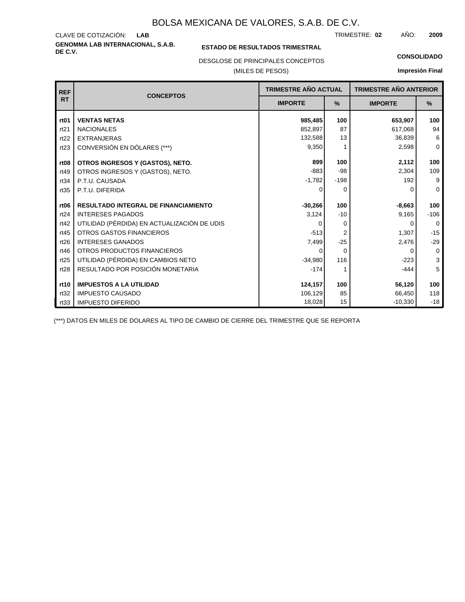**GENOMMA LAB INTERNACIONAL, S.A.B.** CLAVE DE COTIZACIÓN: TRIMESTRE: AÑO: **LAB 02 2009**

### **ESTADO DE RESULTADOS TRIMESTRAL**

DESGLOSE DE PRINCIPALES CONCEPTOS

### (MILES DE PESOS)

#### **CONSOLIDADO**

**Impresión Final**

| <b>REF</b>       | <b>CONCEPTOS</b>                            | <b>TRIMESTRE AÑO ACTUAL</b> |          | <b>TRIMESTRE AÑO ANTERIOR</b> |             |
|------------------|---------------------------------------------|-----------------------------|----------|-------------------------------|-------------|
| <b>RT</b>        |                                             | <b>IMPORTE</b>              | $\%$     | <b>IMPORTE</b>                | $\%$        |
| rt <sub>01</sub> | <b>VENTAS NETAS</b>                         | 985,485                     | 100      | 653,907                       | 100         |
| rt21             | <b>NACIONALES</b>                           | 852,897                     | 87       | 617,068                       | 94          |
| rt22             | <b>EXTRANJERAS</b>                          | 132,588                     | 13       | 36,839                        | 6           |
| rt23             | CONVERSIÓN EN DÓLARES (***)                 | 9,350                       |          | 2,598                         | $\mathbf 0$ |
| rt <sub>08</sub> | OTROS INGRESOS Y (GASTOS), NETO.            | 899                         | 100      | 2.112                         | 100         |
| rt49             | OTROS INGRESOS Y (GASTOS), NETO.            | $-883$                      | $-98$    | 2.304                         | 109         |
| rt34             | P.T.U. CAUSADA                              | $-1,782$                    | $-198$   | 192                           | 9           |
| rt35             | P.T.U. DIFERIDA                             | 0                           | 0        | O                             | $\Omega$    |
|                  |                                             |                             |          |                               |             |
| rt <sub>06</sub> | RESULTADO INTEGRAL DE FINANCIAMIENTO        | $-30,266$                   | 100      | $-8,663$                      | 100         |
| rt24             | <b>INTERESES PAGADOS</b>                    | 3,124                       | $-10$    | 9,165                         | $-106$      |
| rt42             | UTILIDAD (PÉRDIDA) EN ACTUALIZACIÓN DE UDIS | O                           | $\Omega$ | ∩                             | $\Omega$    |
| rt45             | OTROS GASTOS FINANCIEROS                    | $-513$                      | 2        | 1,307                         | $-15$       |
| rt26             | <b>INTERESES GANADOS</b>                    | 7,499                       | $-25$    | 2,476                         | $-29$       |
| rt46             | OTROS PRODUCTOS FINANCIEROS                 | 0                           | $\Omega$ | $\Omega$                      | $\mathbf 0$ |
| rt25             | UTILIDAD (PÉRDIDA) EN CAMBIOS NETO          | $-34.980$                   | 116      | $-223$                        | 3           |
| rt28             | RESULTADO POR POSICIÓN MONETARIA            | $-174$                      |          | $-444$                        | 5           |
|                  |                                             |                             |          |                               |             |
| rt10             | <b>IMPUESTOS A LA UTILIDAD</b>              | 124,157                     | 100      | 56,120                        | 100         |
| rt32             | <b>IMPUESTO CAUSADO</b>                     | 106,129                     | 85       | 66,450                        | 118         |
| rt33             | <b>IMPUESTO DIFERIDO</b>                    | 18,028                      | 15       | $-10,330$                     | $-18$       |

(\*\*\*) DATOS EN MILES DE DOLARES AL TIPO DE CAMBIO DE CIERRE DEL TRIMESTRE QUE SE REPORTA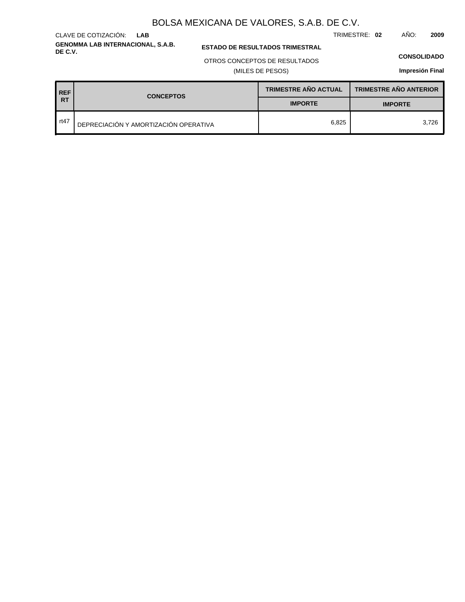**GENOMMA LAB INTERNACIONAL, S.A.B.** CLAVE DE COTIZACIÓN: **LAB**

**ESTADO DE RESULTADOS TRIMESTRAL** 

### OTROS CONCEPTOS DE RESULTADOS

(MILES DE PESOS)

#### **CONSOLIDADO**

TRIMESTRE: **02** AÑO: **2009**

**Impresión Final**

**TRIMESTRE AÑO ANTERIOR REF TRIMESTRE AÑO ACTUAL RT CONCEPTOS IMPORTE IMPORTE** rt47 DEPRECIACIÓN Y AMORTIZACIÓN OPERATIVA 6,825 3,726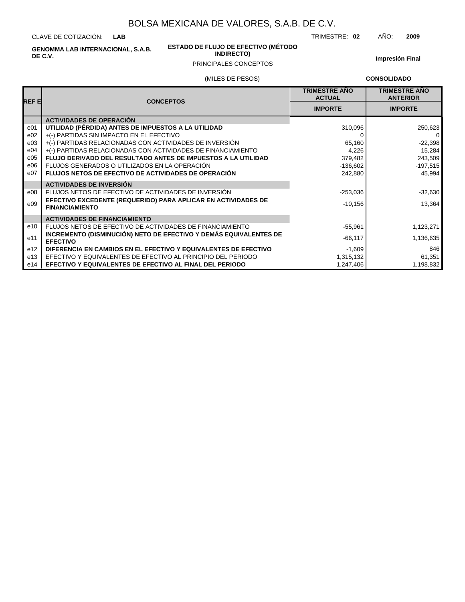CLAVE DE COTIZACIÓN: **LAB**

> **ESTADO DE FLUJO DE EFECTIVO (MÉTODO INDIRECTO)**

TRIMESTRE: **02** AÑO: **2009**

**GENOMMA LAB INTERNACIONAL, S.A.B. DE C.V.**

### PRINCIPALES CONCEPTOS

**Impresión Final**

### (MILES DE PESOS)

**CONSOLIDADO**

| REF EI | <b>CONCEPTOS</b>                                                                       | <b>TRIMESTRE AÑO</b><br><b>ACTUAL</b> | <b>TRIMESTRE AÑO</b><br><b>ANTERIOR</b> |
|--------|----------------------------------------------------------------------------------------|---------------------------------------|-----------------------------------------|
|        |                                                                                        | <b>IMPORTE</b>                        | <b>IMPORTE</b>                          |
|        | <b>ACTIVIDADES DE OPERACIÓN</b>                                                        |                                       |                                         |
| e01    | UTILIDAD (PÉRDIDA) ANTES DE IMPUESTOS A LA UTILIDAD                                    | 310,096                               | 250,623                                 |
| e02    | +(-) PARTIDAS SIN IMPACTO EN EL EFECTIVO                                               |                                       | 0                                       |
| e03    | +(-) PARTIDAS RELACIONADAS CON ACTIVIDADES DE INVERSIÓN                                | 65,160                                | $-22,398$                               |
| e04    | +(-) PARTIDAS RELACIONADAS CON ACTIVIDADES DE FINANCIAMIENTO                           | 4,226                                 | 15,284                                  |
| e05    | <b>FLUJO DERIVADO DEL RESULTADO ANTES DE IMPUESTOS A LA UTILIDAD</b>                   | 379,482                               | 243,509                                 |
| e06    | FLUJOS GENERADOS O UTILIZADOS EN LA OPERACIÓN                                          | $-136,602$                            | $-197,515$                              |
| e07    | <b>FLUJOS NETOS DE EFECTIVO DE ACTIVIDADES DE OPERACIÓN</b>                            | 242.880                               | 45.994                                  |
|        | <b>ACTIVIDADES DE INVERSIÓN</b>                                                        |                                       |                                         |
| e08    | FLUJOS NETOS DE EFECTIVO DE ACTIVIDADES DE INVERSIÓN                                   | $-253,036$                            | $-32,630$                               |
| e09    | EFECTIVO EXCEDENTE (REQUERIDO) PARA APLICAR EN ACTIVIDADES DE<br><b>FINANCIAMIENTO</b> | $-10,156$                             | 13,364                                  |
|        | <b>ACTIVIDADES DE FINANCIAMIENTO</b>                                                   |                                       |                                         |
| e10    | FLUJOS NETOS DE EFECTIVO DE ACTIVIDADES DE FINANCIAMIENTO                              | $-55,961$                             | 1,123,271                               |
| e11    | INCREMENTO (DISMINUCIÓN) NETO DE EFECTIVO Y DEMÁS EQUIVALENTES DE<br><b>EFECTIVO</b>   | $-66,117$                             | 1,136,635                               |
| e12    | DIFERENCIA EN CAMBIOS EN EL EFECTIVO Y EQUIVALENTES DE EFECTIVO                        | $-1,609$                              | 846                                     |
| e13    | EFECTIVO Y EQUIVALENTES DE EFECTIVO AL PRINCIPIO DEL PERIODO                           | 1,315,132                             | 61,351                                  |
| e14    | <b>EFECTIVO Y EQUIVALENTES DE EFECTIVO AL FINAL DEL PERIODO</b>                        | 1,247,406                             | 1,198,832                               |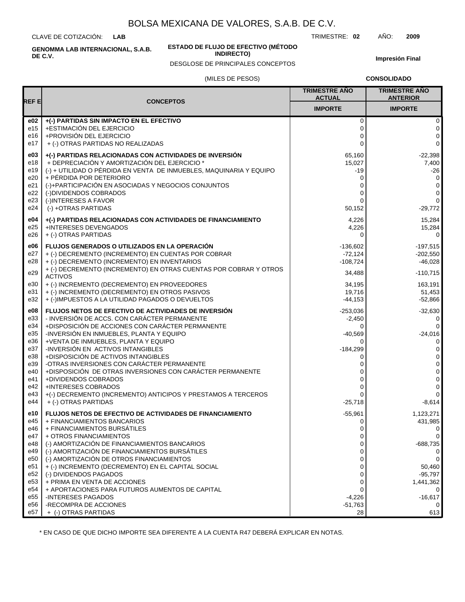CLAVE DE COTIZACIÓN: **LAB**

**ESTADO DE FLUJO DE EFECTIVO (MÉTODO**

**INDIRECTO)**

TRIMESTRE: **02** AÑO: **2009**

**Impresión Final**

# (MILES DE PESOS) DESGLOSE DE PRINCIPALES CONCEPTOS

**CONSOLIDADO**

| REF E<br><b>CONCEPTOS</b><br><b>IMPORTE</b><br><b>IMPORTE</b><br>e02<br>+(-) PARTIDAS SIN IMPACTO EN EL EFECTIVO<br>0<br>0<br>+ESTIMACIÓN DEL EJERCICIO<br>e15<br>0<br>0<br>+PROVISIÓN DEL EJERCICIO<br>e16<br>0<br>0<br>$\Omega$<br>0<br>e17<br>+ (-) OTRAS PARTIDAS NO REALIZADAS<br>e03<br>+(-) PARTIDAS RELACIONADAS CON ACTIVIDADES DE INVERSIÓN<br>65,160<br>$-22,398$<br>+ DEPRECIACIÓN Y AMORTIZACIÓN DEL EJERCICIO *<br>e18<br>15,027<br>(-) + UTILIDAD O PÉRDIDA EN VENTA DE INMUEBLES, MAQUINARIA Y EQUIPO<br>e19<br>-19<br>$-26$<br>e20<br>+ PÉRDIDA POR DETERIORO<br>0<br>0<br>e21<br>(-)+PARTICIPACIÓN EN ASOCIADAS Y NEGOCIOS CONJUNTOS<br>0<br>0<br>e22<br>(-)DIVIDENDOS COBRADOS<br>$\Omega$<br>0<br>e23<br>$\mathbf 0$<br>(-)INTERESES A FAVOR<br>$\Omega$<br>e24<br>(-) +OTRAS PARTIDAS<br>50,152<br>+(-) PARTIDAS RELACIONADAS CON ACTIVIDADES DE FINANCIAMIENTO<br>e04<br>4,226<br>+INTERESES DEVENGADOS<br>e25<br>4,226<br>15,284<br>e26<br>+ (-) OTRAS PARTIDAS<br>$\Omega$<br>e06<br><b>FLUJOS GENERADOS O UTILIZADOS EN LA OPERACIÓN</b><br>$-136,602$<br>e27<br>+ (-) DECREMENTO (INCREMENTO) EN CUENTAS POR COBRAR<br>$-72,124$<br>$-202,550$<br>e28<br>+ (-) DECREMENTO (INCREMENTO) EN INVENTARIOS<br>$-108,724$<br>+ (-) DECREMENTO (INCREMENTO) EN OTRAS CUENTAS POR COBRAR Y OTROS<br>e29<br>34,488<br>$-110.715$<br><b>ACTIVOS</b><br>e30<br>+ (-) INCREMENTO (DECREMENTO) EN PROVEEDORES<br>34,195<br>+ (-) INCREMENTO (DECREMENTO) EN OTROS PASIVOS<br>e31<br>19,716<br>51,453<br>e32<br>+ (-)IMPUESTOS A LA UTILIDAD PAGADOS O DEVUELTOS<br>$-44,153$<br>e08<br>FLUJOS NETOS DE EFECTIVO DE ACTIVIDADES DE INVERSIÓN<br>$-253,036$<br>- INVERSIÓN DE ACCS. CON CARÁCTER PERMANENTE<br>e33<br>-2,450<br>0<br>e34<br>+DISPOSICIÓN DE ACCIONES CON CARÁCTER PERMANENTE<br>0<br>0<br>e35<br>-INVERSIÓN EN INMUEBLES, PLANTA Y EQUIPO<br>$-24,016$<br>$-40,569$<br>+VENTA DE INMUEBLES, PLANTA Y EQUIPO<br>e36<br>$\Omega$<br>0<br>-INVERSIÓN EN ACTIVOS INTANGIBLES<br>e37<br>$-184,299$<br>0<br>+DISPOSICIÓN DE ACTIVOS INTANGIBLES<br>e38<br>0<br>0<br>-OTRAS INVERSIONES CON CARÁCTER PERMANENTE<br>e39<br>0<br>0<br>e40<br>+DISPOSICIÓN DE OTRAS INVERSIONES CON CARÁCTER PERMANENTE<br>0<br>0<br>+DIVIDENDOS COBRADOS<br>e41<br>0<br>0<br>e42<br><b>+INTERESES COBRADOS</b><br>0<br>ი<br>+(-) DECREMENTO (INCREMENTO) ANTICIPOS Y PRESTAMOS A TERCEROS<br>e43<br>$\Omega$<br>0<br>+ (-) OTRAS PARTIDAS<br>e44<br>$-25,718$<br>$-8,614$<br>e10<br><b>FLUJOS NETOS DE EFECTIVO DE ACTIVIDADES DE FINANCIAMIENTO</b><br>$-55,961$<br>1,123,271<br>e45<br>+ FINANCIAMIENTOS BANCARIOS<br>431,985<br>0<br>e46<br>+ FINANCIAMIENTOS BURSÁTILES<br>0<br>+ OTROS FINANCIAMIENTOS<br>e47<br>0<br>0<br>(-) AMORTIZACIÓN DE FINANCIAMIENTOS BANCARIOS<br>e48<br>$-688,735$<br>0<br>(-) AMORTIZACIÓN DE FINANCIAMIENTOS BURSÁTILES<br>e49<br>0<br>0<br>(-) AMORTIZACIÓN DE OTROS FINANCIAMIENTOS<br>e50<br>0<br>0<br>e51<br>+ (-) INCREMENTO (DECREMENTO) EN EL CAPITAL SOCIAL<br>0<br>e52<br>(-) DIVIDENDOS PAGADOS<br>$-95,797$<br>0<br>e <sub>53</sub><br>+ PRIMA EN VENTA DE ACCIONES<br>0<br>e54<br>+ APORTACIONES PARA FUTUROS AUMENTOS DE CAPITAL<br>0<br>e <sub>55</sub><br>-INTERESES PAGADOS<br>$-4.226$<br>-RECOMPRA DE ACCIONES<br>e56<br>$-51,763$<br>e57<br>+ (-) OTRAS PARTIDAS<br>28 |  | <b>TRIMESTRE AÑO</b><br><b>ACTUAL</b> | <b>TRIMESTRE AÑO</b><br><b>ANTERIOR</b> |
|-------------------------------------------------------------------------------------------------------------------------------------------------------------------------------------------------------------------------------------------------------------------------------------------------------------------------------------------------------------------------------------------------------------------------------------------------------------------------------------------------------------------------------------------------------------------------------------------------------------------------------------------------------------------------------------------------------------------------------------------------------------------------------------------------------------------------------------------------------------------------------------------------------------------------------------------------------------------------------------------------------------------------------------------------------------------------------------------------------------------------------------------------------------------------------------------------------------------------------------------------------------------------------------------------------------------------------------------------------------------------------------------------------------------------------------------------------------------------------------------------------------------------------------------------------------------------------------------------------------------------------------------------------------------------------------------------------------------------------------------------------------------------------------------------------------------------------------------------------------------------------------------------------------------------------------------------------------------------------------------------------------------------------------------------------------------------------------------------------------------------------------------------------------------------------------------------------------------------------------------------------------------------------------------------------------------------------------------------------------------------------------------------------------------------------------------------------------------------------------------------------------------------------------------------------------------------------------------------------------------------------------------------------------------------------------------------------------------------------------------------------------------------------------------------------------------------------------------------------------------------------------------------------------------------------------------------------------------------------------------------------------------------------------------------------------------------------------------------------------------------------------------------------------------------------------------------------------------------------------------------------------------------------------------------------------------------------|--|---------------------------------------|-----------------------------------------|
|                                                                                                                                                                                                                                                                                                                                                                                                                                                                                                                                                                                                                                                                                                                                                                                                                                                                                                                                                                                                                                                                                                                                                                                                                                                                                                                                                                                                                                                                                                                                                                                                                                                                                                                                                                                                                                                                                                                                                                                                                                                                                                                                                                                                                                                                                                                                                                                                                                                                                                                                                                                                                                                                                                                                                                                                                                                                                                                                                                                                                                                                                                                                                                                                                                                                                                                               |  |                                       |                                         |
|                                                                                                                                                                                                                                                                                                                                                                                                                                                                                                                                                                                                                                                                                                                                                                                                                                                                                                                                                                                                                                                                                                                                                                                                                                                                                                                                                                                                                                                                                                                                                                                                                                                                                                                                                                                                                                                                                                                                                                                                                                                                                                                                                                                                                                                                                                                                                                                                                                                                                                                                                                                                                                                                                                                                                                                                                                                                                                                                                                                                                                                                                                                                                                                                                                                                                                                               |  |                                       |                                         |
|                                                                                                                                                                                                                                                                                                                                                                                                                                                                                                                                                                                                                                                                                                                                                                                                                                                                                                                                                                                                                                                                                                                                                                                                                                                                                                                                                                                                                                                                                                                                                                                                                                                                                                                                                                                                                                                                                                                                                                                                                                                                                                                                                                                                                                                                                                                                                                                                                                                                                                                                                                                                                                                                                                                                                                                                                                                                                                                                                                                                                                                                                                                                                                                                                                                                                                                               |  |                                       |                                         |
|                                                                                                                                                                                                                                                                                                                                                                                                                                                                                                                                                                                                                                                                                                                                                                                                                                                                                                                                                                                                                                                                                                                                                                                                                                                                                                                                                                                                                                                                                                                                                                                                                                                                                                                                                                                                                                                                                                                                                                                                                                                                                                                                                                                                                                                                                                                                                                                                                                                                                                                                                                                                                                                                                                                                                                                                                                                                                                                                                                                                                                                                                                                                                                                                                                                                                                                               |  |                                       |                                         |
|                                                                                                                                                                                                                                                                                                                                                                                                                                                                                                                                                                                                                                                                                                                                                                                                                                                                                                                                                                                                                                                                                                                                                                                                                                                                                                                                                                                                                                                                                                                                                                                                                                                                                                                                                                                                                                                                                                                                                                                                                                                                                                                                                                                                                                                                                                                                                                                                                                                                                                                                                                                                                                                                                                                                                                                                                                                                                                                                                                                                                                                                                                                                                                                                                                                                                                                               |  |                                       | 7,400                                   |
|                                                                                                                                                                                                                                                                                                                                                                                                                                                                                                                                                                                                                                                                                                                                                                                                                                                                                                                                                                                                                                                                                                                                                                                                                                                                                                                                                                                                                                                                                                                                                                                                                                                                                                                                                                                                                                                                                                                                                                                                                                                                                                                                                                                                                                                                                                                                                                                                                                                                                                                                                                                                                                                                                                                                                                                                                                                                                                                                                                                                                                                                                                                                                                                                                                                                                                                               |  |                                       |                                         |
|                                                                                                                                                                                                                                                                                                                                                                                                                                                                                                                                                                                                                                                                                                                                                                                                                                                                                                                                                                                                                                                                                                                                                                                                                                                                                                                                                                                                                                                                                                                                                                                                                                                                                                                                                                                                                                                                                                                                                                                                                                                                                                                                                                                                                                                                                                                                                                                                                                                                                                                                                                                                                                                                                                                                                                                                                                                                                                                                                                                                                                                                                                                                                                                                                                                                                                                               |  |                                       |                                         |
|                                                                                                                                                                                                                                                                                                                                                                                                                                                                                                                                                                                                                                                                                                                                                                                                                                                                                                                                                                                                                                                                                                                                                                                                                                                                                                                                                                                                                                                                                                                                                                                                                                                                                                                                                                                                                                                                                                                                                                                                                                                                                                                                                                                                                                                                                                                                                                                                                                                                                                                                                                                                                                                                                                                                                                                                                                                                                                                                                                                                                                                                                                                                                                                                                                                                                                                               |  |                                       | -29,772                                 |
|                                                                                                                                                                                                                                                                                                                                                                                                                                                                                                                                                                                                                                                                                                                                                                                                                                                                                                                                                                                                                                                                                                                                                                                                                                                                                                                                                                                                                                                                                                                                                                                                                                                                                                                                                                                                                                                                                                                                                                                                                                                                                                                                                                                                                                                                                                                                                                                                                                                                                                                                                                                                                                                                                                                                                                                                                                                                                                                                                                                                                                                                                                                                                                                                                                                                                                                               |  |                                       | 15,284                                  |
|                                                                                                                                                                                                                                                                                                                                                                                                                                                                                                                                                                                                                                                                                                                                                                                                                                                                                                                                                                                                                                                                                                                                                                                                                                                                                                                                                                                                                                                                                                                                                                                                                                                                                                                                                                                                                                                                                                                                                                                                                                                                                                                                                                                                                                                                                                                                                                                                                                                                                                                                                                                                                                                                                                                                                                                                                                                                                                                                                                                                                                                                                                                                                                                                                                                                                                                               |  |                                       | 0                                       |
|                                                                                                                                                                                                                                                                                                                                                                                                                                                                                                                                                                                                                                                                                                                                                                                                                                                                                                                                                                                                                                                                                                                                                                                                                                                                                                                                                                                                                                                                                                                                                                                                                                                                                                                                                                                                                                                                                                                                                                                                                                                                                                                                                                                                                                                                                                                                                                                                                                                                                                                                                                                                                                                                                                                                                                                                                                                                                                                                                                                                                                                                                                                                                                                                                                                                                                                               |  |                                       | $-197,515$                              |
|                                                                                                                                                                                                                                                                                                                                                                                                                                                                                                                                                                                                                                                                                                                                                                                                                                                                                                                                                                                                                                                                                                                                                                                                                                                                                                                                                                                                                                                                                                                                                                                                                                                                                                                                                                                                                                                                                                                                                                                                                                                                                                                                                                                                                                                                                                                                                                                                                                                                                                                                                                                                                                                                                                                                                                                                                                                                                                                                                                                                                                                                                                                                                                                                                                                                                                                               |  |                                       | $-46,028$                               |
|                                                                                                                                                                                                                                                                                                                                                                                                                                                                                                                                                                                                                                                                                                                                                                                                                                                                                                                                                                                                                                                                                                                                                                                                                                                                                                                                                                                                                                                                                                                                                                                                                                                                                                                                                                                                                                                                                                                                                                                                                                                                                                                                                                                                                                                                                                                                                                                                                                                                                                                                                                                                                                                                                                                                                                                                                                                                                                                                                                                                                                                                                                                                                                                                                                                                                                                               |  |                                       |                                         |
|                                                                                                                                                                                                                                                                                                                                                                                                                                                                                                                                                                                                                                                                                                                                                                                                                                                                                                                                                                                                                                                                                                                                                                                                                                                                                                                                                                                                                                                                                                                                                                                                                                                                                                                                                                                                                                                                                                                                                                                                                                                                                                                                                                                                                                                                                                                                                                                                                                                                                                                                                                                                                                                                                                                                                                                                                                                                                                                                                                                                                                                                                                                                                                                                                                                                                                                               |  |                                       | 163,191                                 |
|                                                                                                                                                                                                                                                                                                                                                                                                                                                                                                                                                                                                                                                                                                                                                                                                                                                                                                                                                                                                                                                                                                                                                                                                                                                                                                                                                                                                                                                                                                                                                                                                                                                                                                                                                                                                                                                                                                                                                                                                                                                                                                                                                                                                                                                                                                                                                                                                                                                                                                                                                                                                                                                                                                                                                                                                                                                                                                                                                                                                                                                                                                                                                                                                                                                                                                                               |  |                                       | $-52,866$                               |
|                                                                                                                                                                                                                                                                                                                                                                                                                                                                                                                                                                                                                                                                                                                                                                                                                                                                                                                                                                                                                                                                                                                                                                                                                                                                                                                                                                                                                                                                                                                                                                                                                                                                                                                                                                                                                                                                                                                                                                                                                                                                                                                                                                                                                                                                                                                                                                                                                                                                                                                                                                                                                                                                                                                                                                                                                                                                                                                                                                                                                                                                                                                                                                                                                                                                                                                               |  |                                       | $-32,630$                               |
|                                                                                                                                                                                                                                                                                                                                                                                                                                                                                                                                                                                                                                                                                                                                                                                                                                                                                                                                                                                                                                                                                                                                                                                                                                                                                                                                                                                                                                                                                                                                                                                                                                                                                                                                                                                                                                                                                                                                                                                                                                                                                                                                                                                                                                                                                                                                                                                                                                                                                                                                                                                                                                                                                                                                                                                                                                                                                                                                                                                                                                                                                                                                                                                                                                                                                                                               |  |                                       |                                         |
|                                                                                                                                                                                                                                                                                                                                                                                                                                                                                                                                                                                                                                                                                                                                                                                                                                                                                                                                                                                                                                                                                                                                                                                                                                                                                                                                                                                                                                                                                                                                                                                                                                                                                                                                                                                                                                                                                                                                                                                                                                                                                                                                                                                                                                                                                                                                                                                                                                                                                                                                                                                                                                                                                                                                                                                                                                                                                                                                                                                                                                                                                                                                                                                                                                                                                                                               |  |                                       |                                         |
|                                                                                                                                                                                                                                                                                                                                                                                                                                                                                                                                                                                                                                                                                                                                                                                                                                                                                                                                                                                                                                                                                                                                                                                                                                                                                                                                                                                                                                                                                                                                                                                                                                                                                                                                                                                                                                                                                                                                                                                                                                                                                                                                                                                                                                                                                                                                                                                                                                                                                                                                                                                                                                                                                                                                                                                                                                                                                                                                                                                                                                                                                                                                                                                                                                                                                                                               |  |                                       |                                         |
|                                                                                                                                                                                                                                                                                                                                                                                                                                                                                                                                                                                                                                                                                                                                                                                                                                                                                                                                                                                                                                                                                                                                                                                                                                                                                                                                                                                                                                                                                                                                                                                                                                                                                                                                                                                                                                                                                                                                                                                                                                                                                                                                                                                                                                                                                                                                                                                                                                                                                                                                                                                                                                                                                                                                                                                                                                                                                                                                                                                                                                                                                                                                                                                                                                                                                                                               |  |                                       |                                         |
|                                                                                                                                                                                                                                                                                                                                                                                                                                                                                                                                                                                                                                                                                                                                                                                                                                                                                                                                                                                                                                                                                                                                                                                                                                                                                                                                                                                                                                                                                                                                                                                                                                                                                                                                                                                                                                                                                                                                                                                                                                                                                                                                                                                                                                                                                                                                                                                                                                                                                                                                                                                                                                                                                                                                                                                                                                                                                                                                                                                                                                                                                                                                                                                                                                                                                                                               |  |                                       |                                         |
|                                                                                                                                                                                                                                                                                                                                                                                                                                                                                                                                                                                                                                                                                                                                                                                                                                                                                                                                                                                                                                                                                                                                                                                                                                                                                                                                                                                                                                                                                                                                                                                                                                                                                                                                                                                                                                                                                                                                                                                                                                                                                                                                                                                                                                                                                                                                                                                                                                                                                                                                                                                                                                                                                                                                                                                                                                                                                                                                                                                                                                                                                                                                                                                                                                                                                                                               |  |                                       |                                         |
|                                                                                                                                                                                                                                                                                                                                                                                                                                                                                                                                                                                                                                                                                                                                                                                                                                                                                                                                                                                                                                                                                                                                                                                                                                                                                                                                                                                                                                                                                                                                                                                                                                                                                                                                                                                                                                                                                                                                                                                                                                                                                                                                                                                                                                                                                                                                                                                                                                                                                                                                                                                                                                                                                                                                                                                                                                                                                                                                                                                                                                                                                                                                                                                                                                                                                                                               |  |                                       |                                         |
|                                                                                                                                                                                                                                                                                                                                                                                                                                                                                                                                                                                                                                                                                                                                                                                                                                                                                                                                                                                                                                                                                                                                                                                                                                                                                                                                                                                                                                                                                                                                                                                                                                                                                                                                                                                                                                                                                                                                                                                                                                                                                                                                                                                                                                                                                                                                                                                                                                                                                                                                                                                                                                                                                                                                                                                                                                                                                                                                                                                                                                                                                                                                                                                                                                                                                                                               |  |                                       |                                         |
|                                                                                                                                                                                                                                                                                                                                                                                                                                                                                                                                                                                                                                                                                                                                                                                                                                                                                                                                                                                                                                                                                                                                                                                                                                                                                                                                                                                                                                                                                                                                                                                                                                                                                                                                                                                                                                                                                                                                                                                                                                                                                                                                                                                                                                                                                                                                                                                                                                                                                                                                                                                                                                                                                                                                                                                                                                                                                                                                                                                                                                                                                                                                                                                                                                                                                                                               |  |                                       | $\mathbf 0$                             |
|                                                                                                                                                                                                                                                                                                                                                                                                                                                                                                                                                                                                                                                                                                                                                                                                                                                                                                                                                                                                                                                                                                                                                                                                                                                                                                                                                                                                                                                                                                                                                                                                                                                                                                                                                                                                                                                                                                                                                                                                                                                                                                                                                                                                                                                                                                                                                                                                                                                                                                                                                                                                                                                                                                                                                                                                                                                                                                                                                                                                                                                                                                                                                                                                                                                                                                                               |  |                                       |                                         |
|                                                                                                                                                                                                                                                                                                                                                                                                                                                                                                                                                                                                                                                                                                                                                                                                                                                                                                                                                                                                                                                                                                                                                                                                                                                                                                                                                                                                                                                                                                                                                                                                                                                                                                                                                                                                                                                                                                                                                                                                                                                                                                                                                                                                                                                                                                                                                                                                                                                                                                                                                                                                                                                                                                                                                                                                                                                                                                                                                                                                                                                                                                                                                                                                                                                                                                                               |  |                                       |                                         |
|                                                                                                                                                                                                                                                                                                                                                                                                                                                                                                                                                                                                                                                                                                                                                                                                                                                                                                                                                                                                                                                                                                                                                                                                                                                                                                                                                                                                                                                                                                                                                                                                                                                                                                                                                                                                                                                                                                                                                                                                                                                                                                                                                                                                                                                                                                                                                                                                                                                                                                                                                                                                                                                                                                                                                                                                                                                                                                                                                                                                                                                                                                                                                                                                                                                                                                                               |  |                                       | 50,460                                  |
|                                                                                                                                                                                                                                                                                                                                                                                                                                                                                                                                                                                                                                                                                                                                                                                                                                                                                                                                                                                                                                                                                                                                                                                                                                                                                                                                                                                                                                                                                                                                                                                                                                                                                                                                                                                                                                                                                                                                                                                                                                                                                                                                                                                                                                                                                                                                                                                                                                                                                                                                                                                                                                                                                                                                                                                                                                                                                                                                                                                                                                                                                                                                                                                                                                                                                                                               |  |                                       | 1,441,362                               |
|                                                                                                                                                                                                                                                                                                                                                                                                                                                                                                                                                                                                                                                                                                                                                                                                                                                                                                                                                                                                                                                                                                                                                                                                                                                                                                                                                                                                                                                                                                                                                                                                                                                                                                                                                                                                                                                                                                                                                                                                                                                                                                                                                                                                                                                                                                                                                                                                                                                                                                                                                                                                                                                                                                                                                                                                                                                                                                                                                                                                                                                                                                                                                                                                                                                                                                                               |  |                                       | $-16,617$                               |
|                                                                                                                                                                                                                                                                                                                                                                                                                                                                                                                                                                                                                                                                                                                                                                                                                                                                                                                                                                                                                                                                                                                                                                                                                                                                                                                                                                                                                                                                                                                                                                                                                                                                                                                                                                                                                                                                                                                                                                                                                                                                                                                                                                                                                                                                                                                                                                                                                                                                                                                                                                                                                                                                                                                                                                                                                                                                                                                                                                                                                                                                                                                                                                                                                                                                                                                               |  |                                       | 0<br>613                                |

\* EN CASO DE QUE DICHO IMPORTE SEA DIFERENTE A LA CUENTA R47 DEBERÁ EXPLICAR EN NOTAS.

**GENOMMA LAB INTERNACIONAL, S.A.B.**

# **DE C.V.**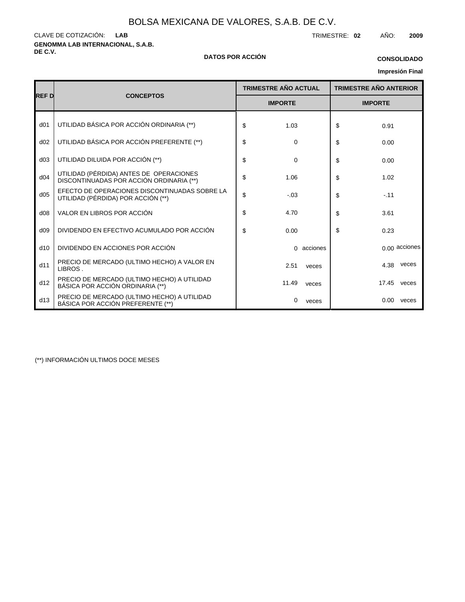**GENOMMA LAB INTERNACIONAL, S.A.B.** CLAVE DE COTIZACIÓN: TRIMESTRE: **02** AÑO: **2009 LAB**

#### **DE C.V. DATOS POR ACCIÓN**

### **CONSOLIDADO**

# **Impresión Final**

|                 |                                                                                     | <b>TRIMESTRE AÑO ACTUAL</b> | <b>TRIMESTRE AÑO ANTERIOR</b> |  |  |
|-----------------|-------------------------------------------------------------------------------------|-----------------------------|-------------------------------|--|--|
| <b>REF D</b>    | <b>CONCEPTOS</b>                                                                    | <b>IMPORTE</b>              | <b>IMPORTE</b>                |  |  |
| d <sub>01</sub> | UTILIDAD BÁSICA POR ACCIÓN ORDINARIA (**)                                           | \$<br>1.03                  | \$<br>0.91                    |  |  |
| d02             | UTILIDAD BÁSICA POR ACCIÓN PREFERENTE (**)                                          | \$<br>0                     | \$<br>0.00                    |  |  |
| d03             | UTILIDAD DILUIDA POR ACCIÓN (**)                                                    | \$<br>$\Omega$              | \$<br>0.00                    |  |  |
| d04             | UTILIDAD (PÉRDIDA) ANTES DE OPERACIONES<br>DISCONTINUADAS POR ACCIÓN ORDINARIA (**) | \$<br>1.06                  | \$<br>1.02                    |  |  |
| d05             | EFECTO DE OPERACIONES DISCONTINUADAS SOBRE LA<br>UTILIDAD (PÉRDIDA) POR ACCIÓN (**) | \$<br>$-.03$                | \$<br>$-.11$                  |  |  |
| d08             | VALOR EN LIBROS POR ACCIÓN                                                          | \$<br>4.70                  | \$<br>3.61                    |  |  |
| d09             | DIVIDENDO EN EFECTIVO ACUMULADO POR ACCIÓN                                          | \$<br>0.00                  | \$<br>0.23                    |  |  |
| d10             | DIVIDENDO EN ACCIONES POR ACCIÓN                                                    | 0 acciones                  | 0.00 acciones                 |  |  |
| d11             | PRECIO DE MERCADO (ULTIMO HECHO) A VALOR EN<br>LIBROS.                              | 2.51<br>veces               | veces<br>4.38                 |  |  |
| d12             | PRECIO DE MERCADO (ULTIMO HECHO) A UTILIDAD<br>BÁSICA POR ACCIÓN ORDINARIA (**)     | 11.49<br>veces              | 17.45<br>veces                |  |  |
| d13             | PRECIO DE MERCADO (ULTIMO HECHO) A UTILIDAD<br>BÁSICA POR ACCIÓN PREFERENTE (**)    | 0<br>veces                  | $0.00\,$<br>veces             |  |  |

(\*\*) INFORMACIÓN ULTIMOS DOCE MESES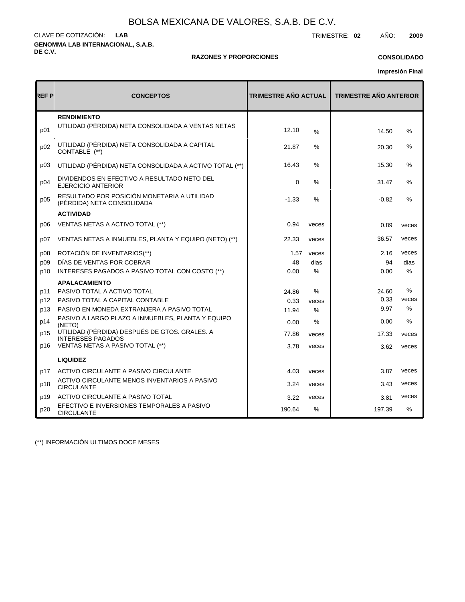**GENOMMA LAB INTERNACIONAL, S.A.B. DE C.V.** CLAVE DE COTIZACIÓN: TRIMESTRE: **02** AÑO: **2009 LAB**

### **RAZONES Y PROPORCIONES**

### **CONSOLIDADO**

**Impresión Final**

| REF P | <b>CONCEPTOS</b>                                                          | <b>TRIMESTRE AÑO ACTUAL</b> |       | <b>TRIMESTRE AÑO ANTERIOR</b> |               |  |  |
|-------|---------------------------------------------------------------------------|-----------------------------|-------|-------------------------------|---------------|--|--|
|       | <b>RENDIMIENTO</b>                                                        |                             |       |                               |               |  |  |
| p01   | UTILIDAD (PÉRDIDA) NETA CONSOLIDADA A VENTAS NETAS                        | 12.10                       | %     | 14.50                         | %             |  |  |
| p02   | UTILIDAD (PÉRDIDA) NETA CONSOLIDADA A CAPITAL<br>CONTABLE (**)            | 21.87                       | %     | 20.30                         | $\%$          |  |  |
| p03   | UTILIDAD (PÉRDIDA) NETA CONSOLIDADA A ACTIVO TOTAL (**)                   | 16.43                       | %     | 15.30                         | %             |  |  |
| p04   | DIVIDENDOS EN EFECTIVO A RESULTADO NETO DEL<br>EJERCICIO ANTERIOR         | $\mathbf 0$                 | %     | 31.47                         | %             |  |  |
| p05   | RESULTADO POR POSICIÓN MONETARIA A UTILIDAD<br>(PÉRDIDA) NETA CONSOLIDADA | $-1.33$                     | $\%$  | $-0.82$                       | $\%$          |  |  |
|       | <b>ACTIVIDAD</b>                                                          |                             |       |                               |               |  |  |
| p06   | VENTAS NETAS A ACTIVO TOTAL (**)                                          | 0.94                        | veces | 0.89                          | veces         |  |  |
| p07   | VENTAS NETAS A INMUEBLES, PLANTA Y EQUIPO (NETO) (**)                     | 22.33                       | veces | 36.57                         | veces         |  |  |
| p08   | ROTACIÓN DE INVENTARIOS(**)                                               | 1.57                        | veces | 2.16                          | veces         |  |  |
| p09   | DÍAS DE VENTAS POR COBRAR                                                 | 48                          | dias  | 94                            | dias          |  |  |
| p10   | INTERESES PAGADOS A PASIVO TOTAL CON COSTO (**)                           | 0.00                        | $\%$  | 0.00                          | $\%$          |  |  |
|       | <b>APALACAMIENTO</b>                                                      |                             |       |                               |               |  |  |
| p11   | PASIVO TOTAL A ACTIVO TOTAL                                               | 24.86                       | $\%$  | 24.60                         | %             |  |  |
| p12   | PASIVO TOTAL A CAPITAL CONTABLE                                           | 0.33                        | veces | 0.33                          | veces         |  |  |
| p13   | PASIVO EN MONEDA EXTRANJERA A PASIVO TOTAL                                | 11.94                       | $\%$  | 9.97                          | $\%$          |  |  |
| p14   | PASIVO A LARGO PLAZO A INMUEBLES, PLANTA Y EQUIPO<br>(NETO)               | 0.00                        | $\%$  | 0.00                          | $\%$          |  |  |
| p15   | UTILIDAD (PÉRDIDA) DESPUÉS DE GTOS. GRALES. A<br><b>INTERESES PAGADOS</b> | 77.86                       | veces | 17.33                         | veces         |  |  |
| p16   | VENTAS NETAS A PASIVO TOTAL (**)                                          | 3.78                        | veces | 3.62                          | veces         |  |  |
|       | <b>LIQUIDEZ</b>                                                           |                             |       |                               |               |  |  |
| p17   | ACTIVO CIRCULANTE A PASIVO CIRCULANTE                                     | 4.03                        | veces | 3.87                          | veces         |  |  |
| p18   | ACTIVO CIRCULANTE MENOS INVENTARIOS A PASIVO<br><b>CIRCULANTE</b>         | 3.24                        | veces | 3.43                          | veces         |  |  |
| p19   | ACTIVO CIRCULANTE A PASIVO TOTAL                                          | 3.22                        | veces | 3.81                          | veces         |  |  |
| p20   | EFECTIVO E INVERSIONES TEMPORALES A PASIVO<br><b>CIRCULANTE</b>           | 190.64                      | $\%$  | 197.39                        | $\frac{0}{0}$ |  |  |

(\*\*) INFORMACIÓN ULTIMOS DOCE MESES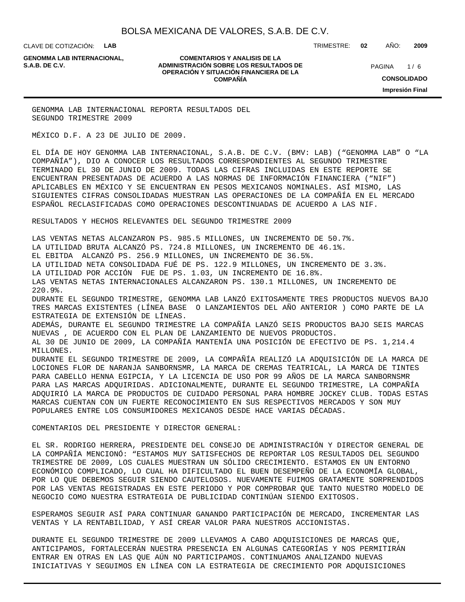CLAVE DE COTIZACIÓN: **LAB**

**GENOMMA LAB INTERNACIONAL,**

#### **COMENTARIOS Y ANALISIS DE LA ADMINISTRACIÓN SOBRE LOS RESULTADOS DE S.A.B. DE C.V.** PAGINA / 6 **OPERACIÓN Y SITUACIÓN FINANCIERA DE LA COMPAÑÍA**

TRIMESTRE: **02** AÑO: **2009**

 $1/6$ **CONSOLIDADO Impresión Final**

GENOMMA LAB INTERNACIONAL REPORTA RESULTADOS DEL SEGUNDO TRIMESTRE 2009

MÉXICO D.F. A 23 DE JULIO DE 2009.

EL DÍA DE HOY GENOMMA LAB INTERNACIONAL, S.A.B. DE C.V. (BMV: LAB) ("GENOMMA LAB" O "LA COMPAÑÍA"), DIO A CONOCER LOS RESULTADOS CORRESPONDIENTES AL SEGUNDO TRIMESTRE TERMINADO EL 30 DE JUNIO DE 2009. TODAS LAS CIFRAS INCLUIDAS EN ESTE REPORTE SE ENCUENTRAN PRESENTADAS DE ACUERDO A LAS NORMAS DE INFORMACIÓN FINANCIERA ("NIF") APLICABLES EN MÉXICO Y SE ENCUENTRAN EN PESOS MEXICANOS NOMINALES. ASÍ MISMO, LAS SIGUIENTES CIFRAS CONSOLIDADAS MUESTRAN LAS OPERACIONES DE LA COMPAÑÍA EN EL MERCADO ESPAÑOL RECLASIFICADAS COMO OPERACIONES DESCONTINUADAS DE ACUERDO A LAS NIF.

RESULTADOS Y HECHOS RELEVANTES DEL SEGUNDO TRIMESTRE 2009

 LAS VENTAS NETAS ALCANZARON PS. 985.5 MILLONES, UN INCREMENTO DE 50.7%. LA UTILIDAD BRUTA ALCANZÓ PS. 724.8 MILLONES, UN INCREMENTO DE 46.1%. EL EBITDA ALCANZÓ PS. 256.9 MILLONES, UN INCREMENTO DE 36.5%. LA UTILIDAD NETA CONSOLIDADA FUÉ DE PS. 122.9 MILLONES, UN INCREMENTO DE 3.3%. LA UTILIDAD POR ACCIÓN FUE DE PS. 1.03, UN INCREMENTO DE 16.8%. LAS VENTAS NETAS INTERNACIONALES ALCANZARON PS. 130.1 MILLONES, UN INCREMENTO DE 220.9%. DURANTE EL SEGUNDO TRIMESTRE, GENOMMA LAB LANZÓ EXITOSAMENTE TRES PRODUCTOS NUEVOS BAJO

TRES MARCAS EXISTENTES (LÍNEA BASE O LANZAMIENTOS DEL AÑO ANTERIOR ) COMO PARTE DE LA ESTRATEGIA DE EXTENSIÓN DE LÍNEAS.

 ADEMÁS, DURANTE EL SEGUNDO TRIMESTRE LA COMPAÑÍA LANZÓ SEIS PRODUCTOS BAJO SEIS MARCAS NUEVAS , DE ACUERDO CON EL PLAN DE LANZAMIENTO DE NUEVOS PRODUCTOS.

 AL 30 DE JUNIO DE 2009, LA COMPAÑÍA MANTENÍA UNA POSICIÓN DE EFECTIVO DE PS. 1,214.4 MILLONES.

 DURANTE EL SEGUNDO TRIMESTRE DE 2009, LA COMPAÑÍA REALIZÓ LA ADQUISICIÓN DE LA MARCA DE LOCIONES FLOR DE NARANJA SANBORNSMR, LA MARCA DE CREMAS TEATRICAL, LA MARCA DE TINTES PARA CABELLO HENNA EGIPCIA, Y LA LICENCIA DE USO POR 99 AÑOS DE LA MARCA SANBORNSMR PARA LAS MARCAS ADQUIRIDAS. ADICIONALMENTE, DURANTE EL SEGUNDO TRIMESTRE, LA COMPAÑÍA ADQUIRIÓ LA MARCA DE PRODUCTOS DE CUIDADO PERSONAL PARA HOMBRE JOCKEY CLUB. TODAS ESTAS MARCAS CUENTAN CON UN FUERTE RECONOCIMIENTO EN SUS RESPECTIVOS MERCADOS Y SON MUY POPULARES ENTRE LOS CONSUMIDORES MEXICANOS DESDE HACE VARIAS DÉCADAS.

COMENTARIOS DEL PRESIDENTE Y DIRECTOR GENERAL:

EL SR. RODRIGO HERRERA, PRESIDENTE DEL CONSEJO DE ADMINISTRACIÓN Y DIRECTOR GENERAL DE LA COMPAÑÍA MENCIONÓ: "ESTAMOS MUY SATISFECHOS DE REPORTAR LOS RESULTADOS DEL SEGUNDO TRIMESTRE DE 2009, LOS CUALES MUESTRAN UN SÓLIDO CRECIMIENTO. ESTAMOS EN UN ENTORNO ECONÓMICO COMPLICADO, LO CUAL HA DIFICULTADO EL BUEN DESEMPEÑO DE LA ECONOMÍA GLOBAL, POR LO QUE DEBEMOS SEGUIR SIENDO CAUTELOSOS. NUEVAMENTE FUIMOS GRATAMENTE SORPRENDIDOS POR LAS VENTAS REGISTRADAS EN ESTE PERIODO Y POR COMPROBAR QUE TANTO NUESTRO MODELO DE NEGOCIO COMO NUESTRA ESTRATEGIA DE PUBLICIDAD CONTINÚAN SIENDO EXITOSOS.

ESPERAMOS SEGUIR ASÍ PARA CONTINUAR GANANDO PARTICIPACIÓN DE MERCADO, INCREMENTAR LAS VENTAS Y LA RENTABILIDAD, Y ASÍ CREAR VALOR PARA NUESTROS ACCIONISTAS.

DURANTE EL SEGUNDO TRIMESTRE DE 2009 LLEVAMOS A CABO ADQUISICIONES DE MARCAS QUE, ANTICIPAMOS, FORTALECERÁN NUESTRA PRESENCIA EN ALGUNAS CATEGORÍAS Y NOS PERMITIRÁN ENTRAR EN OTRAS EN LAS QUE AÚN NO PARTICIPAMOS. CONTINUAMOS ANALIZANDO NUEVAS INICIATIVAS Y SEGUIMOS EN LÍNEA CON LA ESTRATEGIA DE CRECIMIENTO POR ADQUISICIONES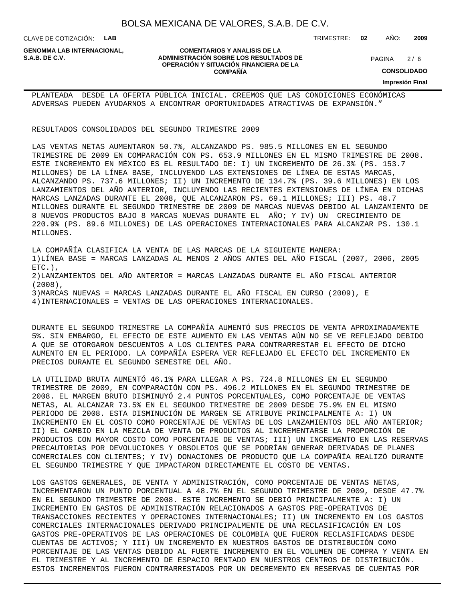CLAVE DE COTIZACIÓN: **LAB**

**GENOMMA LAB INTERNACIONAL,**

#### **COMENTARIOS Y ANALISIS DE LA ADMINISTRACIÓN SOBRE LOS RESULTADOS DE PAGINA 2/6** PAGINA 2/6 **OPERACIÓN Y SITUACIÓN FINANCIERA DE LA COMPAÑÍA**

 $2/6$ 

**CONSOLIDADO**

**Impresión Final**

PLANTEADA DESDE LA OFERTA PÚBLICA INICIAL. CREEMOS QUE LAS CONDICIONES ECONÓMICAS ADVERSAS PUEDEN AYUDARNOS A ENCONTRAR OPORTUNIDADES ATRACTIVAS DE EXPANSIÓN."

RESULTADOS CONSOLIDADOS DEL SEGUNDO TRIMESTRE 2009

LAS VENTAS NETAS AUMENTARON 50.7%, ALCANZANDO PS. 985.5 MILLONES EN EL SEGUNDO TRIMESTRE DE 2009 EN COMPARACIÓN CON PS. 653.9 MILLONES EN EL MISMO TRIMESTRE DE 2008. ESTE INCREMENTO EN MÉXICO ES EL RESULTADO DE: I) UN INCREMENTO DE 26.3% (PS. 153.7 MILLONES) DE LA LÍNEA BASE, INCLUYENDO LAS EXTENSIONES DE LÍNEA DE ESTAS MARCAS, ALCANZANDO PS. 737.6 MILLONES; II) UN INCREMENTO DE 134.7% (PS. 39.6 MILLONES) EN LOS LANZAMIENTOS DEL AÑO ANTERIOR, INCLUYENDO LAS RECIENTES EXTENSIONES DE LÍNEA EN DICHAS MARCAS LANZADAS DURANTE EL 2008, QUE ALCANZARON PS. 69.1 MILLONES; III) PS. 48.7 MILLONES DURANTE EL SEGUNDO TRIMESTRE DE 2009 DE MARCAS NUEVAS DEBIDO AL LANZAMIENTO DE 8 NUEVOS PRODUCTOS BAJO 8 MARCAS NUEVAS DURANTE EL AÑO; Y IV) UN CRECIMIENTO DE 220.9% (PS. 89.6 MILLONES) DE LAS OPERACIONES INTERNACIONALES PARA ALCANZAR PS. 130.1 MILLONES.

LA COMPAÑÍA CLASIFICA LA VENTA DE LAS MARCAS DE LA SIGUIENTE MANERA: 1) LÍNEA BASE = MARCAS LANZADAS AL MENOS 2 AÑOS ANTES DEL AÑO FISCAL (2007, 2006, 2005 ETC.), 2) LANZAMIENTOS DEL AÑO ANTERIOR = MARCAS LANZADAS DURANTE EL AÑO FISCAL ANTERIOR (2008), 3) MARCAS NUEVAS = MARCAS LANZADAS DURANTE EL AÑO FISCAL EN CURSO (2009), E 4) INTERNACIONALES = VENTAS DE LAS OPERACIONES INTERNACIONALES.

DURANTE EL SEGUNDO TRIMESTRE LA COMPAÑÍA AUMENTÓ SUS PRECIOS DE VENTA APROXIMADAMENTE 5%. SIN EMBARGO, EL EFECTO DE ESTE AUMENTO EN LAS VENTAS AÚN NO SE VE REFLEJADO DEBIDO A QUE SE OTORGARON DESCUENTOS A LOS CLIENTES PARA CONTRARRESTAR EL EFECTO DE DICHO AUMENTO EN EL PERIODO. LA COMPAÑÍA ESPERA VER REFLEJADO EL EFECTO DEL INCREMENTO EN PRECIOS DURANTE EL SEGUNDO SEMESTRE DEL AÑO.

LA UTILIDAD BRUTA AUMENTÓ 46.1% PARA LLEGAR A PS. 724.8 MILLONES EN EL SEGUNDO TRIMESTRE DE 2009, EN COMPARACIÓN CON PS. 496.2 MILLONES EN EL SEGUNDO TRIMESTRE DE 2008. EL MARGEN BRUTO DISMINUYÓ 2.4 PUNTOS PORCENTUALES, COMO PORCENTAJE DE VENTAS NETAS, AL ALCANZAR 73.5% EN EL SEGUNDO TRIMESTRE DE 2009 DESDE 75.9% EN EL MISMO PERIODO DE 2008. ESTA DISMINUCIÓN DE MARGEN SE ATRIBUYE PRINCIPALMENTE A: I) UN INCREMENTO EN EL COSTO COMO PORCENTAJE DE VENTAS DE LOS LANZAMIENTOS DEL AÑO ANTERIOR; II) EL CAMBIO EN LA MEZCLA DE VENTA DE PRODUCTOS AL INCREMENTARSE LA PROPORCIÓN DE PRODUCTOS CON MAYOR COSTO COMO PORCENTAJE DE VENTAS; III) UN INCREMENTO EN LAS RESERVAS PRECAUTORIAS POR DEVOLUCIONES Y OBSOLETOS QUE SE PODRÍAN GENERAR DERIVADAS DE PLANES COMERCIALES CON CLIENTES; Y IV) DONACIONES DE PRODUCTO QUE LA COMPAÑÍA REALIZÓ DURANTE EL SEGUNDO TRIMESTRE Y QUE IMPACTARON DIRECTAMENTE EL COSTO DE VENTAS.

LOS GASTOS GENERALES, DE VENTA Y ADMINISTRACIÓN, COMO PORCENTAJE DE VENTAS NETAS, INCREMENTARON UN PUNTO PORCENTUAL A 48.7% EN EL SEGUNDO TRIMESTRE DE 2009, DESDE 47.7% EN EL SEGUNDO TRIMESTRE DE 2008. ESTE INCREMENTO SE DEBIÓ PRINCIPALMENTE A: I) UN INCREMENTO EN GASTOS DE ADMINISTRACIÓN RELACIONADOS A GASTOS PRE-OPERATIVOS DE TRANSACCIONES RECIENTES Y OPERACIONES INTERNACIONALES; II) UN INCREMENTO EN LOS GASTOS COMERCIALES INTERNACIONALES DERIVADO PRINCIPALMENTE DE UNA RECLASIFICACIÓN EN LOS GASTOS PRE-OPERATIVOS DE LAS OPERACIONES DE COLOMBIA QUE FUERON RECLASIFICADAS DESDE CUENTAS DE ACTIVOS; Y III) UN INCREMENTO EN NUESTROS GASTOS DE DISTRIBUCIÓN COMO PORCENTAJE DE LAS VENTAS DEBIDO AL FUERTE INCREMENTO EN EL VOLUMEN DE COMPRA Y VENTA EN EL TRIMESTRE Y AL INCREMENTO DE ESPACIO RENTADO EN NUESTROS CENTROS DE DISTRIBUCIÓN. ESTOS INCREMENTOS FUERON CONTRARRESTADOS POR UN DECREMENTO EN RESERVAS DE CUENTAS POR

#### TRIMESTRE: **02** AÑO: **2009**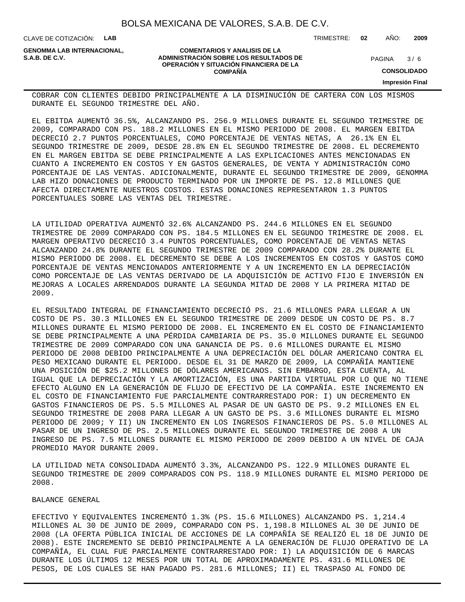CLAVE DE COTIZACIÓN: **LAB**

**GENOMMA LAB INTERNACIONAL,**

#### **COMENTARIOS Y ANALISIS DE LA ADMINISTRACIÓN SOBRE LOS RESULTADOS DE S.A.B. DE C.V.** PAGINA / 6 **OPERACIÓN Y SITUACIÓN FINANCIERA DE LA COMPAÑÍA**

 $3/6$ 

TRIMESTRE: **02** AÑO: **2009**

**CONSOLIDADO**

**Impresión Final**

COBRAR CON CLIENTES DEBIDO PRINCIPALMENTE A LA DISMINUCIÓN DE CARTERA CON LOS MISMOS DURANTE EL SEGUNDO TRIMESTRE DEL AÑO.

EL EBITDA AUMENTÓ 36.5%, ALCANZANDO PS. 256.9 MILLONES DURANTE EL SEGUNDO TRIMESTRE DE 2009, COMPARADO CON PS. 188.2 MILLONES EN EL MISMO PERIODO DE 2008. EL MARGEN EBITDA DECRECIÓ 2.7 PUNTOS PORCENTUALES, COMO PORCENTAJE DE VENTAS NETAS, A 26.1% EN EL SEGUNDO TRIMESTRE DE 2009, DESDE 28.8% EN EL SEGUNDO TRIMESTRE DE 2008. EL DECREMENTO EN EL MARGEN EBITDA SE DEBE PRINCIPALMENTE A LAS EXPLICACIONES ANTES MENCIONADAS EN CUANTO A INCREMENTO EN COSTOS Y EN GASTOS GENERALES, DE VENTA Y ADMINISTRACIÓN COMO PORCENTAJE DE LAS VENTAS. ADICIONALMENTE, DURANTE EL SEGUNDO TRIMESTRE DE 2009, GENOMMA LAB HIZO DONACIONES DE PRODUCTO TERMINADO POR UN IMPORTE DE PS. 12.8 MILLONES QUE AFECTA DIRECTAMENTE NUESTROS COSTOS. ESTAS DONACIONES REPRESENTARON 1.3 PUNTOS PORCENTUALES SOBRE LAS VENTAS DEL TRIMESTRE.

LA UTILIDAD OPERATIVA AUMENTÓ 32.6% ALCANZANDO PS. 244.6 MILLONES EN EL SEGUNDO TRIMESTRE DE 2009 COMPARADO CON PS. 184.5 MILLONES EN EL SEGUNDO TRIMESTRE DE 2008. EL MARGEN OPERATIVO DECRECIÓ 3.4 PUNTOS PORCENTUALES, COMO PORCENTAJE DE VENTAS NETAS ALCANZANDO 24.8% DURANTE EL SEGUNDO TRIMESTRE DE 2009 COMPARADO CON 28.2% DURANTE EL MISMO PERIODO DE 2008. EL DECREMENTO SE DEBE A LOS INCREMENTOS EN COSTOS Y GASTOS COMO PORCENTAJE DE VENTAS MENCIONADOS ANTERIORMENTE Y A UN INCREMENTO EN LA DEPRECIACIÓN COMO PORCENTAJE DE LAS VENTAS DERIVADO DE LA ADQUISICIÓN DE ACTIVO FIJO E INVERSIÓN EN MEJORAS A LOCALES ARRENDADOS DURANTE LA SEGUNDA MITAD DE 2008 Y LA PRIMERA MITAD DE 2009.

EL RESULTADO INTEGRAL DE FINANCIAMIENTO DECRECIÓ PS. 21.6 MILLONES PARA LLEGAR A UN COSTO DE PS. 30.3 MILLONES EN EL SEGUNDO TRIMESTRE DE 2009 DESDE UN COSTO DE PS. 8.7 MILLONES DURANTE EL MISMO PERIODO DE 2008. EL INCREMENTO EN EL COSTO DE FINANCIAMIENTO SE DEBE PRINCIPALMENTE A UNA PÉRDIDA CAMBIARIA DE PS. 35.0 MILLONES DURANTE EL SEGUNDO TRIMESTRE DE 2009 COMPARADO CON UNA GANANCIA DE PS. 0.6 MILLONES DURANTE EL MISMO PERIODO DE 2008 DEBIDO PRINCIPALMENTE A UNA DEPRECIACIÓN DEL DÓLAR AMERICANO CONTRA EL PESO MEXICANO DURANTE EL PERIODO. DESDE EL 31 DE MARZO DE 2009, LA COMPAÑÍA MANTIENE UNA POSICIÓN DE \$25.2 MILLONES DE DÓLARES AMERICANOS. SIN EMBARGO, ESTA CUENTA, AL IGUAL QUE LA DEPRECIACIÓN Y LA AMORTIZACIÓN, ES UNA PARTIDA VIRTUAL POR LO QUE NO TIENE EFECTO ALGUNO EN LA GENERACIÓN DE FLUJO DE EFECTIVO DE LA COMPAÑÍA. ESTE INCREMENTO EN EL COSTO DE FINANCIAMIENTO FUE PARCIALMENTE CONTRARRESTADO POR: I) UN DECREMENTO EN GASTOS FINANCIEROS DE PS. 5.5 MILLONES AL PASAR DE UN GASTO DE PS. 9.2 MILLONES EN EL SEGUNDO TRIMESTRE DE 2008 PARA LLEGAR A UN GASTO DE PS. 3.6 MILLONES DURANTE EL MISMO PERIODO DE 2009; Y II) UN INCREMENTO EN LOS INGRESOS FINANCIEROS DE PS. 5.0 MILLONES AL PASAR DE UN INGRESO DE PS. 2.5 MILLONES DURANTE EL SEGUNDO TRIMESTRE DE 2008 A UN INGRESO DE PS. 7.5 MILLONES DURANTE EL MISMO PERIODO DE 2009 DEBIDO A UN NIVEL DE CAJA PROMEDIO MAYOR DURANTE 2009.

LA UTILIDAD NETA CONSOLIDADA AUMENTÓ 3.3%, ALCANZANDO PS. 122.9 MILLONES DURANTE EL SEGUNDO TRIMESTRE DE 2009 COMPARADOS CON PS. 118.9 MILLONES DURANTE EL MISMO PERIODO DE 2008.

BALANCE GENERAL

EFECTIVO Y EQUIVALENTES INCREMENTÓ 1.3% (PS. 15.6 MILLONES) ALCANZANDO PS. 1,214.4 MILLONES AL 30 DE JUNIO DE 2009, COMPARADO CON PS. 1,198.8 MILLONES AL 30 DE JUNIO DE 2008 (LA OFERTA PÚBLICA INICIAL DE ACCIONES DE LA COMPAÑÍA SE REALIZÓ EL 18 DE JUNIO DE 2008). ESTE INCREMENTO SE DEBIÓ PRINCIPALMENTE A LA GENERACIÓN DE FLUJO OPERATIVO DE LA COMPAÑÍA, EL CUAL FUE PARCIALMENTE CONTRARRESTADO POR: I) LA ADQUISICIÓN DE 6 MARCAS DURANTE LOS ÚLTIMOS 12 MESES POR UN TOTAL DE APROXIMADAMENTE PS. 431.6 MILLONES DE PESOS, DE LOS CUALES SE HAN PAGADO PS. 281.6 MILLONES; II) EL TRASPASO AL FONDO DE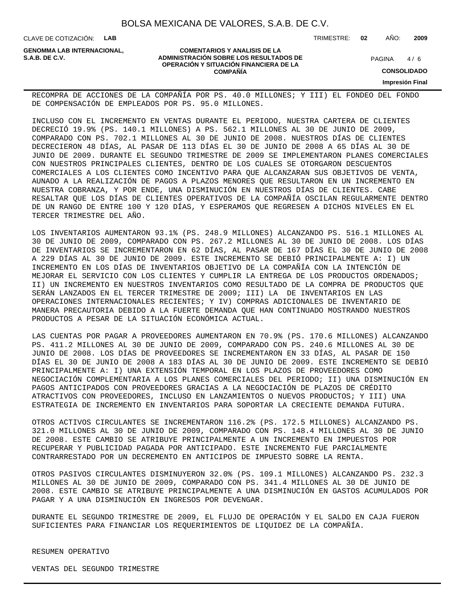**COMENTARIOS Y ANALISIS DE LA**

**OPERACIÓN Y SITUACIÓN FINANCIERA DE LA COMPAÑÍA**

CLAVE DE COTIZACIÓN: **LAB**

**ADMINISTRACIÓN SOBRE LOS RESULTADOS DE PAGINA 1/6** PAGINA 1/6 **GENOMMA LAB INTERNACIONAL,**

TRIMESTRE: **02** AÑO: **2009**

 $4/6$ 

**CONSOLIDADO**

**Impresión Final**

RECOMPRA DE ACCIONES DE LA COMPAÑÍA POR PS. 40.0 MILLONES; Y III) EL FONDEO DEL FONDO DE COMPENSACIÓN DE EMPLEADOS POR PS. 95.0 MILLONES.

INCLUSO CON EL INCREMENTO EN VENTAS DURANTE EL PERIODO, NUESTRA CARTERA DE CLIENTES DECRECIÓ 19.9% (PS. 140.1 MILLONES) A PS. 562.1 MILLONES AL 30 DE JUNIO DE 2009, COMPARADO CON PS. 702.1 MILLONES AL 30 DE JUNIO DE 2008. NUESTROS DÍAS DE CLIENTES DECRECIERON 48 DÍAS, AL PASAR DE 113 DÍAS EL 30 DE JUNIO DE 2008 A 65 DÍAS AL 30 DE JUNIO DE 2009. DURANTE EL SEGUNDO TRIMESTRE DE 2009 SE IMPLEMENTARON PLANES COMERCIALES CON NUESTROS PRINCIPALES CLIENTES, DENTRO DE LOS CUALES SE OTORGARON DESCUENTOS COMERCIALES A LOS CLIENTES COMO INCENTIVO PARA QUE ALCANZARAN SUS OBJETIVOS DE VENTA, AUNADO A LA REALIZACIÓN DE PAGOS A PLAZOS MENORES QUE RESULTARON EN UN INCREMENTO EN NUESTRA COBRANZA, Y POR ENDE, UNA DISMINUCIÓN EN NUESTROS DÍAS DE CLIENTES. CABE RESALTAR QUE LOS DÍAS DE CLIENTES OPERATIVOS DE LA COMPAÑÍA OSCILAN REGULARMENTE DENTRO DE UN RANGO DE ENTRE 100 Y 120 DÍAS, Y ESPERAMOS QUE REGRESEN A DICHOS NIVELES EN EL TERCER TRIMESTRE DEL AÑO.

LOS INVENTARIOS AUMENTARON 93.1% (PS. 248.9 MILLONES) ALCANZANDO PS. 516.1 MILLONES AL 30 DE JUNIO DE 2009, COMPARADO CON PS. 267.2 MILLONES AL 30 DE JUNIO DE 2008. LOS DÍAS DE INVENTARIOS SE INCREMENTARON EN 62 DÍAS, AL PASAR DE 167 DÍAS EL 30 DE JUNIO DE 2008 A 229 DÍAS AL 30 DE JUNIO DE 2009. ESTE INCREMENTO SE DEBIÓ PRINCIPALMENTE A: I) UN INCREMENTO EN LOS DÍAS DE INVENTARIOS OBJETIVO DE LA COMPAÑÍA CON LA INTENCIÓN DE MEJORAR EL SERVICIO CON LOS CLIENTES Y CUMPLIR LA ENTREGA DE LOS PRODUCTOS ORDENADOS; II) UN INCREMENTO EN NUESTROS INVENTARIOS COMO RESULTADO DE LA COMPRA DE PRODUCTOS QUE SERÁN LANZADOS EN EL TERCER TRIMESTRE DE 2009; III) LA DE INVENTARIOS EN LAS OPERACIONES INTERNACIONALES RECIENTES; Y IV) COMPRAS ADICIONALES DE INVENTARIO DE MANERA PRECAUTORIA DEBIDO A LA FUERTE DEMANDA QUE HAN CONTINUADO MOSTRANDO NUESTROS PRODUCTOS A PESAR DE LA SITUACIÓN ECONÓMICA ACTUAL.

LAS CUENTAS POR PAGAR A PROVEEDORES AUMENTARON EN 70.9% (PS. 170.6 MILLONES) ALCANZANDO PS. 411.2 MILLONES AL 30 DE JUNIO DE 2009, COMPARADO CON PS. 240.6 MILLONES AL 30 DE JUNIO DE 2008. LOS DÍAS DE PROVEEDORES SE INCREMENTARON EN 33 DÍAS, AL PASAR DE 150 DÍAS EL 30 DE JUNIO DE 2008 A 183 DÍAS AL 30 DE JUNIO DE 2009. ESTE INCREMENTO SE DEBIÓ PRINCIPALMENTE A: I) UNA EXTENSIÓN TEMPORAL EN LOS PLAZOS DE PROVEEDORES COMO NEGOCIACIÓN COMPLEMENTARIA A LOS PLANES COMERCIALES DEL PERIODO; II) UNA DISMINUCIÓN EN PAGOS ANTICIPADOS CON PROVEEDORES GRACIAS A LA NEGOCIACIÓN DE PLAZOS DE CRÉDITO ATRACTIVOS CON PROVEEDORES, INCLUSO EN LANZAMIENTOS O NUEVOS PRODUCTOS; Y III) UNA ESTRATEGIA DE INCREMENTO EN INVENTARIOS PARA SOPORTAR LA CRECIENTE DEMANDA FUTURA.

OTROS ACTIVOS CIRCULANTES SE INCREMENTARON 116.2% (PS. 172.5 MILLONES) ALCANZANDO PS. 321.0 MILLONES AL 30 DE JUNIO DE 2009, COMPARADO CON PS. 148.4 MILLONES AL 30 DE JUNIO DE 2008. ESTE CAMBIO SE ATRIBUYE PRINCIPALMENTE A UN INCREMENTO EN IMPUESTOS POR RECUPERAR Y PUBLICIDAD PAGADA POR ANTICIPADO. ESTE INCREMENTO FUE PARCIALMENTE CONTRARRESTADO POR UN DECREMENTO EN ANTICIPOS DE IMPUESTO SOBRE LA RENTA.

OTROS PASIVOS CIRCULANTES DISMINUYERON 32.0% (PS. 109.1 MILLONES) ALCANZANDO PS. 232.3 MILLONES AL 30 DE JUNIO DE 2009, COMPARADO CON PS. 341.4 MILLONES AL 30 DE JUNIO DE 2008. ESTE CAMBIO SE ATRIBUYE PRINCIPALMENTE A UNA DISMINUCIÓN EN GASTOS ACUMULADOS POR PAGAR Y A UNA DISMINUCIÓN EN INGRESOS POR DEVENGAR.

DURANTE EL SEGUNDO TRIMESTRE DE 2009, EL FLUJO DE OPERACIÓN Y EL SALDO EN CAJA FUERON SUFICIENTES PARA FINANCIAR LOS REQUERIMIENTOS DE LIQUIDEZ DE LA COMPAÑÍA.

RESUMEN OPERATIVO

VENTAS DEL SEGUNDO TRIMESTRE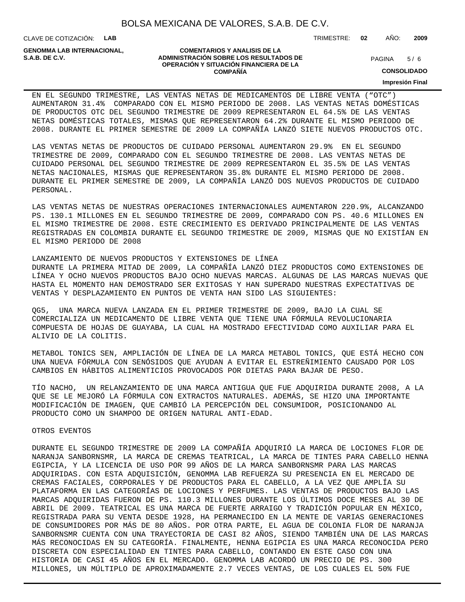CLAVE DE COTIZACIÓN: **LAB**

**GENOMMA LAB INTERNACIONAL,**

#### **COMENTARIOS Y ANALISIS DE LA ADMINISTRACIÓN SOBRE LOS RESULTADOS DE S.A.B. DE C.V.** PAGINA / 6 **OPERACIÓN Y SITUACIÓN FINANCIERA DE LA COMPAÑÍA**

 $5/6$ 

TRIMESTRE: **02** AÑO: **2009**

**CONSOLIDADO**

**Impresión Final**

EN EL SEGUNDO TRIMESTRE, LAS VENTAS NETAS DE MEDICAMENTOS DE LIBRE VENTA ("OTC") AUMENTARON 31.4% COMPARADO CON EL MISMO PERIODO DE 2008. LAS VENTAS NETAS DOMÉSTICAS DE PRODUCTOS OTC DEL SEGUNDO TRIMESTRE DE 2009 REPRESENTARON EL 64.5% DE LAS VENTAS NETAS DOMÉSTICAS TOTALES, MISMAS QUE REPRESENTARON 64.2% DURANTE EL MISMO PERIODO DE 2008. DURANTE EL PRIMER SEMESTRE DE 2009 LA COMPAÑÍA LANZÓ SIETE NUEVOS PRODUCTOS OTC.

LAS VENTAS NETAS DE PRODUCTOS DE CUIDADO PERSONAL AUMENTARON 29.9% EN EL SEGUNDO TRIMESTRE DE 2009, COMPARADO CON EL SEGUNDO TRIMESTRE DE 2008. LAS VENTAS NETAS DE CUIDADO PERSONAL DEL SEGUNDO TRIMESTRE DE 2009 REPRESENTARON EL 35.5% DE LAS VENTAS NETAS NACIONALES, MISMAS QUE REPRESENTARON 35.8% DURANTE EL MISMO PERIODO DE 2008. DURANTE EL PRIMER SEMESTRE DE 2009, LA COMPAÑÍA LANZÓ DOS NUEVOS PRODUCTOS DE CUIDADO PERSONAL.

LAS VENTAS NETAS DE NUESTRAS OPERACIONES INTERNACIONALES AUMENTARON 220.9%, ALCANZANDO PS. 130.1 MILLONES EN EL SEGUNDO TRIMESTRE DE 2009, COMPARADO CON PS. 40.6 MILLONES EN EL MISMO TRIMESTRE DE 2008. ESTE CRECIMIENTO ES DERIVADO PRINCIPALMENTE DE LAS VENTAS REGISTRADAS EN COLOMBIA DURANTE EL SEGUNDO TRIMESTRE DE 2009, MISMAS QUE NO EXISTÍAN EN EL MISMO PERIODO DE 2008

LANZAMIENTO DE NUEVOS PRODUCTOS Y EXTENSIONES DE LÍNEA DURANTE LA PRIMERA MITAD DE 2009, LA COMPAÑÍA LANZÓ DIEZ PRODUCTOS COMO EXTENSIONES DE LÍNEA Y OCHO NUEVOS PRODUCTOS BAJO OCHO NUEVAS MARCAS. ALGUNAS DE LAS MARCAS NUEVAS QUE HASTA EL MOMENTO HAN DEMOSTRADO SER EXITOSAS Y HAN SUPERADO NUESTRAS EXPECTATIVAS DE VENTAS Y DESPLAZAMIENTO EN PUNTOS DE VENTA HAN SIDO LAS SIGUIENTES:

QG5, UNA MARCA NUEVA LANZADA EN EL PRIMER TRIMESTRE DE 2009, BAJO LA CUAL SE COMERCIALIZA UN MEDICAMENTO DE LIBRE VENTA QUE TIENE UNA FÓRMULA REVOLUCIONARIA COMPUESTA DE HOJAS DE GUAYABA, LA CUAL HA MOSTRADO EFECTIVIDAD COMO AUXILIAR PARA EL ALIVIO DE LA COLITIS.

METABOL TONICS SEN, AMPLIACIÓN DE LÍNEA DE LA MARCA METABOL TONICS, QUE ESTÁ HECHO CON UNA NUEVA FÓRMULA CON SENÓSIDOS QUE AYUDAN A EVITAR EL ESTREÑIMIENTO CAUSADO POR LOS CAMBIOS EN HÁBITOS ALIMENTICIOS PROVOCADOS POR DIETAS PARA BAJAR DE PESO.

TÍO NACHO, UN RELANZAMIENTO DE UNA MARCA ANTIGUA QUE FUE ADQUIRIDA DURANTE 2008, A LA QUE SE LE MEJORÓ LA FÓRMULA CON EXTRACTOS NATURALES. ADEMÁS, SE HIZO UNA IMPORTANTE MODIFICACIÓN DE IMAGEN, QUE CAMBIÓ LA PERCEPCIÓN DEL CONSUMIDOR, POSICIONANDO AL PRODUCTO COMO UN SHAMPOO DE ORIGEN NATURAL ANTI-EDAD.

#### OTROS EVENTOS

 DURANTE EL SEGUNDO TRIMESTRE DE 2009 LA COMPAÑÍA ADQUIRIÓ LA MARCA DE LOCIONES FLOR DE NARANJA SANBORNSMR, LA MARCA DE CREMAS TEATRICAL, LA MARCA DE TINTES PARA CABELLO HENNA EGIPCIA, Y LA LICENCIA DE USO POR 99 AÑOS DE LA MARCA SANBORNSMR PARA LAS MARCAS ADQUIRIDAS. CON ESTA ADQUISICIÓN, GENOMMA LAB REFUERZA SU PRESENCIA EN EL MERCADO DE CREMAS FACIALES, CORPORALES Y DE PRODUCTOS PARA EL CABELLO, A LA VEZ QUE AMPLÍA SU PLATAFORMA EN LAS CATEGORÍAS DE LOCIONES Y PERFUMES. LAS VENTAS DE PRODUCTOS BAJO LAS MARCAS ADQUIRIDAS FUERON DE PS. 110.3 MILLONES DURANTE LOS ÚLTIMOS DOCE MESES AL 30 DE ABRIL DE 2009. TEATRICAL ES UNA MARCA DE FUERTE ARRAIGO Y TRADICIÓN POPULAR EN MÉXICO, REGISTRADA PARA SU VENTA DESDE 1928, HA PERMANECIDO EN LA MENTE DE VARIAS GENERACIONES DE CONSUMIDORES POR MÁS DE 80 AÑOS. POR OTRA PARTE, EL AGUA DE COLONIA FLOR DE NARANJA SANBORNSMR CUENTA CON UNA TRAYECTORIA DE CASI 82 AÑOS, SIENDO TAMBIÉN UNA DE LAS MARCAS MÁS RECONOCIDAS EN SU CATEGORÍA. FINALMENTE, HENNA EGIPCIA ES UNA MARCA RECONOCIDA PERO DISCRETA CON ESPECIALIDAD EN TINTES PARA CABELLO, CONTANDO EN ESTE CASO CON UNA HISTORIA DE CASI 45 AÑOS EN EL MERCADO. GENOMMA LAB ACORDÓ UN PRECIO DE PS. 300 MILLONES, UN MÚLTIPLO DE APROXIMADAMENTE 2.7 VECES VENTAS, DE LOS CUALES EL 50% FUE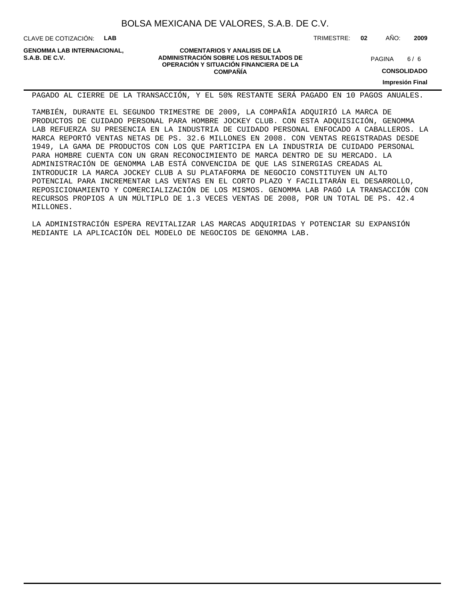CLAVE DE COTIZACIÓN: **LAB**

**GENOMMA LAB INTERNACIONAL,**

### **COMENTARIOS Y ANALISIS DE LA ADMINISTRACIÓN SOBRE LOS RESULTADOS DE S.A.B. DE C.V.** PAGINA / 6 **OPERACIÓN Y SITUACIÓN FINANCIERA DE LA COMPAÑÍA**

 $6/6$ 

**CONSOLIDADO**

**Impresión Final**

PAGADO AL CIERRE DE LA TRANSACCIÓN, Y EL 50% RESTANTE SERÁ PAGADO EN 10 PAGOS ANUALES.

 TAMBIÉN, DURANTE EL SEGUNDO TRIMESTRE DE 2009, LA COMPAÑÍA ADQUIRIÓ LA MARCA DE PRODUCTOS DE CUIDADO PERSONAL PARA HOMBRE JOCKEY CLUB. CON ESTA ADQUISICIÓN, GENOMMA LAB REFUERZA SU PRESENCIA EN LA INDUSTRIA DE CUIDADO PERSONAL ENFOCADO A CABALLEROS. LA MARCA REPORTÓ VENTAS NETAS DE PS. 32.6 MILLONES EN 2008. CON VENTAS REGISTRADAS DESDE 1949, LA GAMA DE PRODUCTOS CON LOS QUE PARTICIPA EN LA INDUSTRIA DE CUIDADO PERSONAL PARA HOMBRE CUENTA CON UN GRAN RECONOCIMIENTO DE MARCA DENTRO DE SU MERCADO. LA ADMINISTRACIÓN DE GENOMMA LAB ESTÁ CONVENCIDA DE QUE LAS SINERGIAS CREADAS AL INTRODUCIR LA MARCA JOCKEY CLUB A SU PLATAFORMA DE NEGOCIO CONSTITUYEN UN ALTO POTENCIAL PARA INCREMENTAR LAS VENTAS EN EL CORTO PLAZO Y FACILITARÁN EL DESARROLLO, REPOSICIONAMIENTO Y COMERCIALIZACIÓN DE LOS MISMOS. GENOMMA LAB PAGÓ LA TRANSACCIÓN CON RECURSOS PROPIOS A UN MÚLTIPLO DE 1.3 VECES VENTAS DE 2008, POR UN TOTAL DE PS. 42.4 MILLONES.

 LA ADMINISTRACIÓN ESPERA REVITALIZAR LAS MARCAS ADQUIRIDAS Y POTENCIAR SU EXPANSIÓN MEDIANTE LA APLICACIÓN DEL MODELO DE NEGOCIOS DE GENOMMA LAB.

TRIMESTRE: **02** AÑO: **2009**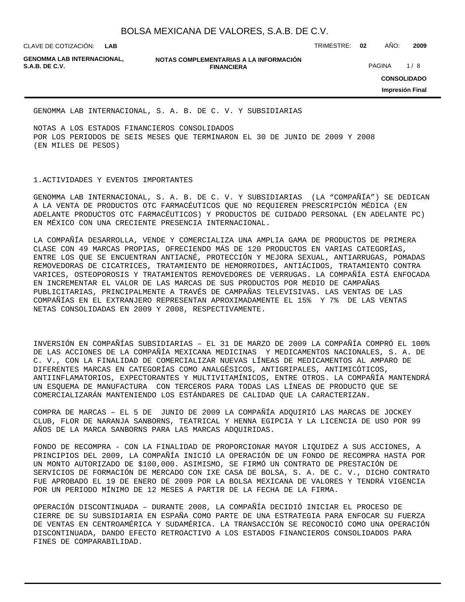**LAB**

CLAVE DE COTIZACIÓN: TRIMESTRE: **02** AÑO: **2009**

**GENOMMA LAB INTERNACIONAL,**

**NOTAS COMPLEMENTARIAS A LA INFORMACIÓN FINANCIERA S.A.B. DE C.V.** PAGINA 1 / 8

**CONSOLIDADO Impresión Final**

GENOMMA LAB INTERNACIONAL, S. A. B. DE C. V. Y SUBSIDIARIAS

NOTAS A LOS ESTADOS FINANCIEROS CONSOLIDADOS POR LOS PERIODOS DE SEIS MESES QUE TERMINARON EL 30 DE JUNIO DE 2009 Y 2008 (EN MILES DE PESOS)

#### 1. ACTIVIDADES Y EVENTOS IMPORTANTES

GENOMMA LAB INTERNACIONAL, S. A. B. DE C. V. Y SUBSIDIARIAS (LA "COMPAÑÍA") SE DEDICAN A LA VENTA DE PRODUCTOS OTC FARMACÉUTICOS QUE NO REQUIEREN PRESCRIPCIÓN MÉDICA (EN ADELANTE PRODUCTOS OTC FARMACÉUTICOS) Y PRODUCTOS DE CUIDADO PERSONAL (EN ADELANTE PC) EN MÉXICO CON UNA CRECIENTE PRESENCIA INTERNACIONAL.

LA COMPAÑÍA DESARROLLA, VENDE Y COMERCIALIZA UNA AMPLIA GAMA DE PRODUCTOS DE PRIMERA CLASE CON 49 MARCAS PROPIAS, OFRECIENDO MÁS DE 120 PRODUCTOS EN VARIAS CATEGORÍAS, ENTRE LOS QUE SE ENCUENTRAN ANTIACNÉ, PROTECCIÓN Y MEJORA SEXUAL, ANTIARRUGAS, POMADAS REMOVEDORAS DE CICATRICES, TRATAMIENTO DE HEMORROIDES, ANTIÁCIDOS, TRATAMIENTO CONTRA VARICES, OSTEOPOROSIS Y TRATAMIENTOS REMOVEDORES DE VERRUGAS. LA COMPAÑÍA ESTÁ ENFOCADA EN INCREMENTAR EL VALOR DE LAS MARCAS DE SUS PRODUCTOS POR MEDIO DE CAMPAÑAS PUBLICITARIAS, PRINCIPALMENTE A TRAVÉS DE CAMPAÑAS TELEVISIVAS. LAS VENTAS DE LAS COMPAÑÍAS EN EL EXTRANJERO REPRESENTAN APROXIMADAMENTE EL 15% Y 7% DE LAS VENTAS NETAS CONSOLIDADAS EN 2009 Y 2008, RESPECTIVAMENTE.

INVERSIÓN EN COMPAÑÍAS SUBSIDIARIAS – EL 31 DE MARZO DE 2009 LA COMPAÑÍA COMPRÓ EL 100% DE LAS ACCIONES DE LA COMPAÑÍA MEXICANA MEDICINAS Y MEDICAMENTOS NACIONALES, S. A. DE C. V., CON LA FINALIDAD DE COMERCIALIZAR NUEVAS LÍNEAS DE MEDICAMENTOS AL AMPARO DE DIFERENTES MARCAS EN CATEGORÍAS COMO ANALGÉSICOS, ANTIGRIPALES, ANTIMICÓTICOS, ANTIINFLAMATORIOS, EXPECTORANTES Y MULTIVITAMÍNICOS, ENTRE OTROS. LA COMPAÑÍA MANTENDRÁ UN ESQUEMA DE MANUFACTURA CON TERCEROS PARA TODAS LAS LÍNEAS DE PRODUCTO QUE SE COMERCIALIZARÁN MANTENIENDO LOS ESTÁNDARES DE CALIDAD QUE LA CARACTERIZAN.

COMPRA DE MARCAS – EL 5 DE JUNIO DE 2009 LA COMPAÑÍA ADQUIRIÓ LAS MARCAS DE JOCKEY CLUB, FLOR DE NARANJA SANBORNS, TEATRICAL Y HENNA EGIPCIA Y LA LICENCIA DE USO POR 99 AÑOS DE LA MARCA SANBORNS PARA LAS MARCAS ADQUIRIDAS.

FONDO DE RECOMPRA - CON LA FINALIDAD DE PROPORCIONAR MAYOR LIQUIDEZ A SUS ACCIONES, A PRINCIPIOS DEL 2009, LA COMPAÑÍA INICIÓ LA OPERACIÓN DE UN FONDO DE RECOMPRA HASTA POR UN MONTO AUTORIZADO DE \$100,000. ASIMISMO, SE FIRMÓ UN CONTRATO DE PRESTACIÓN DE SERVICIOS DE FORMACIÓN DE MERCADO CON IXE CASA DE BOLSA, S. A. DE C. V., DICHO CONTRATO FUE APROBADO EL 19 DE ENERO DE 2009 POR LA BOLSA MEXICANA DE VALORES Y TENDRÁ VIGENCIA POR UN PERIODO MÍNIMO DE 12 MESES A PARTIR DE LA FECHA DE LA FIRMA.

OPERACIÓN DISCONTINUADA – DURANTE 2008, LA COMPAÑÍA DECIDIÓ INICIAR EL PROCESO DE CIERRE DE SU SUBSIDIARIA EN ESPAÑA COMO PARTE DE UNA ESTRATEGIA PARA ENFOCAR SU FUERZA DE VENTAS EN CENTROAMÉRICA Y SUDAMÉRICA. LA TRANSACCIÓN SE RECONOCIÓ COMO UNA OPERACIÓN DISCONTINUADA, DANDO EFECTO RETROACTIVO A LOS ESTADOS FINANCIEROS CONSOLIDADOS PARA FINES DE COMPARABILIDAD.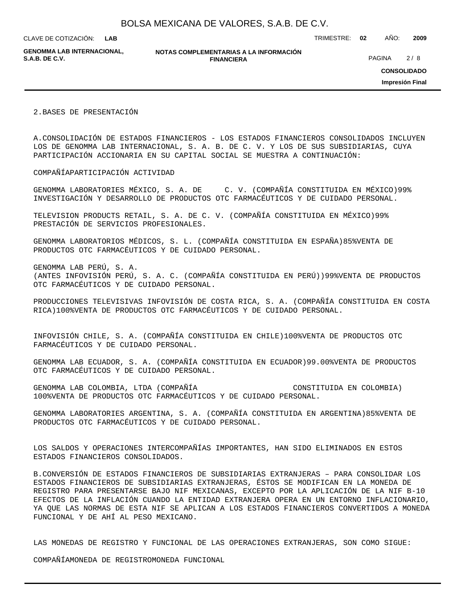**LAB**

CLAVE DE COTIZACIÓN: TRIMESTRE: **02** AÑO: **2009**

**GENOMMA LAB INTERNACIONAL,**

**NOTAS COMPLEMENTARIAS A LA INFORMACIÓN FINANCIERA S.A.B. DE C.V.** PAGINA 2 / 8

**CONSOLIDADO**

**Impresión Final**

2. BASES DE PRESENTACIÓN

A. CONSOLIDACIÓN DE ESTADOS FINANCIEROS - LOS ESTADOS FINANCIEROS CONSOLIDADOS INCLUYEN LOS DE GENOMMA LAB INTERNACIONAL, S. A. B. DE C. V. Y LOS DE SUS SUBSIDIARIAS, CUYA PARTICIPACIÓN ACCIONARIA EN SU CAPITAL SOCIAL SE MUESTRA A CONTINUACIÓN:

COMPAÑÍA PARTICIPACIÓN ACTIVIDAD

GENOMMA LABORATORIES MÉXICO, S. A. DE C. V. (COMPAÑÍA CONSTITUIDA EN MÉXICO) 99% INVESTIGACIÓN Y DESARROLLO DE PRODUCTOS OTC FARMACÉUTICOS Y DE CUIDADO PERSONAL.

TELEVISION PRODUCTS RETAIL, S. A. DE C. V. (COMPAÑÍA CONSTITUIDA EN MÉXICO) 99% PRESTACIÓN DE SERVICIOS PROFESIONALES.

GENOMMA LABORATORIOS MÉDICOS, S. L. (COMPAÑÍA CONSTITUIDA EN ESPAÑA) 85% VENTA DE PRODUCTOS OTC FARMACÉUTICOS Y DE CUIDADO PERSONAL.

GENOMMA LAB PERÚ, S. A. (ANTES INFOVISIÓN PERÚ, S. A. C. (COMPAÑÍA CONSTITUIDA EN PERÚ)) 99% VENTA DE PRODUCTOS OTC FARMACÉUTICOS Y DE CUIDADO PERSONAL.

PRODUCCIONES TELEVISIVAS INFOVISIÓN DE COSTA RICA, S. A. (COMPAÑÍA CONSTITUIDA EN COSTA RICA) 100% VENTA DE PRODUCTOS OTC FARMACÉUTICOS Y DE CUIDADO PERSONAL.

INFOVISIÓN CHILE, S. A. (COMPAÑÍA CONSTITUIDA EN CHILE) 100% VENTA DE PRODUCTOS OTC FARMACÉUTICOS Y DE CUIDADO PERSONAL.

GENOMMA LAB ECUADOR, S. A. (COMPAÑÍA CONSTITUIDA EN ECUADOR) 99.00% VENTA DE PRODUCTOS OTC FARMACÉUTICOS Y DE CUIDADO PERSONAL.

GENOMMA LAB COLOMBIA, LTDA (COMPAÑÍA CONSTITUIDA EN COLOMBIA) 100% VENTA DE PRODUCTOS OTC FARMACÉUTICOS Y DE CUIDADO PERSONAL.

GENOMMA LABORATORIES ARGENTINA, S. A. (COMPAÑÍA CONSTITUIDA EN ARGENTINA) 85% VENTA DE PRODUCTOS OTC FARMACÉUTICOS Y DE CUIDADO PERSONAL.

LOS SALDOS Y OPERACIONES INTERCOMPAÑÍAS IMPORTANTES, HAN SIDO ELIMINADOS EN ESTOS ESTADOS FINANCIEROS CONSOLIDADOS.

B. CONVERSIÓN DE ESTADOS FINANCIEROS DE SUBSIDIARIAS EXTRANJERAS – PARA CONSOLIDAR LOS ESTADOS FINANCIEROS DE SUBSIDIARIAS EXTRANJERAS, ÉSTOS SE MODIFICAN EN LA MONEDA DE REGISTRO PARA PRESENTARSE BAJO NIF MEXICANAS, EXCEPTO POR LA APLICACIÓN DE LA NIF B-10 EFECTOS DE LA INFLACIÓN CUANDO LA ENTIDAD EXTRANJERA OPERA EN UN ENTORNO INFLACIONARIO, YA QUE LAS NORMAS DE ESTA NIF SE APLICAN A LOS ESTADOS FINANCIEROS CONVERTIDOS A MONEDA FUNCIONAL Y DE AHÍ AL PESO MEXICANO.

LAS MONEDAS DE REGISTRO Y FUNCIONAL DE LAS OPERACIONES EXTRANJERAS, SON COMO SIGUE:

COMPAÑÍA MONEDA DE REGISTRO MONEDA FUNCIONAL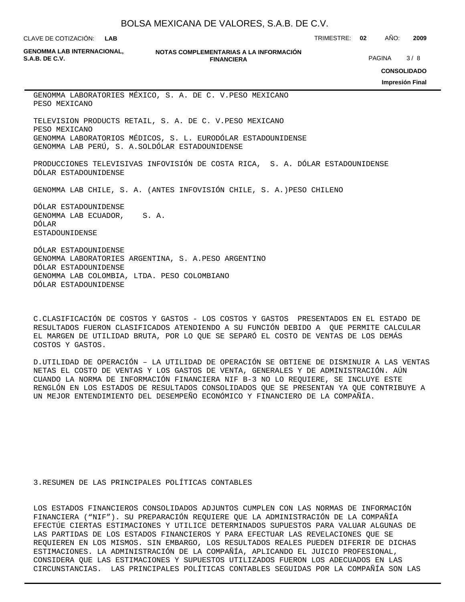**LAB**

**GENOMMA LAB INTERNACIONAL,**

**NOTAS COMPLEMENTARIAS A LA INFORMACIÓN FINANCIERA S.A.B. DE C.V.** PAGINA 3 / 8

CLAVE DE COTIZACIÓN: TRIMESTRE: **02** AÑO: **2009**

**CONSOLIDADO**

**Impresión Final**

GENOMMA LABORATORIES MÉXICO, S. A. DE C. V. PESO MEXICANO PESO MEXICANO

TELEVISION PRODUCTS RETAIL, S. A. DE C. V. PESO MEXICANO PESO MEXICANO GENOMMA LABORATORIOS MÉDICOS, S. L. EURO DÓLAR ESTADOUNIDENSE GENOMMA LAB PERÚ, S. A. SOL DÓLAR ESTADOUNIDENSE

PRODUCCIONES TELEVISIVAS INFOVISIÓN DE COSTA RICA, S. A. DÓLAR ESTADOUNIDENSE DÓLAR ESTADOUNIDENSE

GENOMMA LAB CHILE, S. A. (ANTES INFOVISIÓN CHILE, S. A.) PESO CHILENO

DÓLAR ESTADOUNIDENSE GENOMMA LAB ECUADOR, S. A. DÓLAR ESTADOUNIDENSE

DÓLAR ESTADOUNIDENSE GENOMMA LABORATORIES ARGENTINA, S. A. PESO ARGENTINO DÓLAR ESTADOUNIDENSE GENOMMA LAB COLOMBIA, LTDA. PESO COLOMBIANO DÓLAR ESTADOUNIDENSE

C. CLASIFICACIÓN DE COSTOS Y GASTOS - LOS COSTOS Y GASTOS PRESENTADOS EN EL ESTADO DE RESULTADOS FUERON CLASIFICADOS ATENDIENDO A SU FUNCIÓN DEBIDO A QUE PERMITE CALCULAR EL MARGEN DE UTILIDAD BRUTA, POR LO QUE SE SEPARÓ EL COSTO DE VENTAS DE LOS DEMÁS COSTOS Y GASTOS.

D. UTILIDAD DE OPERACIÓN – LA UTILIDAD DE OPERACIÓN SE OBTIENE DE DISMINUIR A LAS VENTAS NETAS EL COSTO DE VENTAS Y LOS GASTOS DE VENTA, GENERALES Y DE ADMINISTRACIÓN. AÚN CUANDO LA NORMA DE INFORMACIÓN FINANCIERA NIF B-3 NO LO REQUIERE, SE INCLUYE ESTE RENGLÓN EN LOS ESTADOS DE RESULTADOS CONSOLIDADOS QUE SE PRESENTAN YA QUE CONTRIBUYE A UN MEJOR ENTENDIMIENTO DEL DESEMPEÑO ECONÓMICO Y FINANCIERO DE LA COMPAÑÍA.

3. RESUMEN DE LAS PRINCIPALES POLÍTICAS CONTABLES

LOS ESTADOS FINANCIEROS CONSOLIDADOS ADJUNTOS CUMPLEN CON LAS NORMAS DE INFORMACIÓN FINANCIERA ("NIF"). SU PREPARACIÓN REQUIERE QUE LA ADMINISTRACIÓN DE LA COMPAÑÍA EFECTÚE CIERTAS ESTIMACIONES Y UTILICE DETERMINADOS SUPUESTOS PARA VALUAR ALGUNAS DE LAS PARTIDAS DE LOS ESTADOS FINANCIEROS Y PARA EFECTUAR LAS REVELACIONES QUE SE REQUIEREN EN LOS MISMOS. SIN EMBARGO, LOS RESULTADOS REALES PUEDEN DIFERIR DE DICHAS ESTIMACIONES. LA ADMINISTRACIÓN DE LA COMPAÑÍA, APLICANDO EL JUICIO PROFESIONAL, CONSIDERA QUE LAS ESTIMACIONES Y SUPUESTOS UTILIZADOS FUERON LOS ADECUADOS EN LAS CIRCUNSTANCIAS. LAS PRINCIPALES POLÍTICAS CONTABLES SEGUIDAS POR LA COMPAÑÍA SON LAS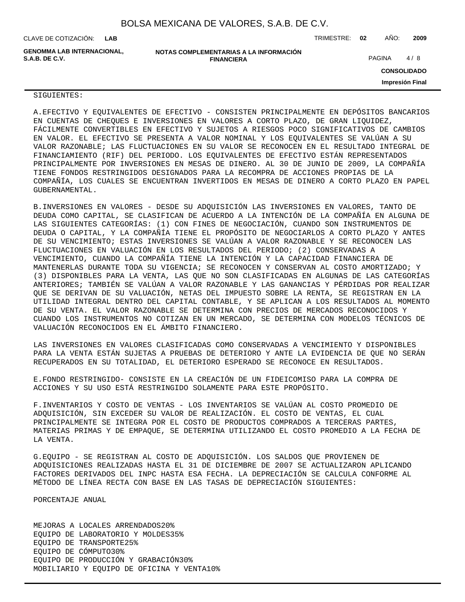CLAVE DE COTIZACIÓN: TRIMESTRE: **02** AÑO: **2009 LAB**

**GENOMMA LAB INTERNACIONAL, S.A.B. DE C.V.** PAGINA 4 / 8

**NOTAS COMPLEMENTARIAS A LA INFORMACIÓN FINANCIERA**

**CONSOLIDADO**

**Impresión Final**

#### SIGUIENTES:

A. EFECTIVO Y EQUIVALENTES DE EFECTIVO - CONSISTEN PRINCIPALMENTE EN DEPÓSITOS BANCARIOS EN CUENTAS DE CHEQUES E INVERSIONES EN VALORES A CORTO PLAZO, DE GRAN LIQUIDEZ, FÁCILMENTE CONVERTIBLES EN EFECTIVO Y SUJETOS A RIESGOS POCO SIGNIFICATIVOS DE CAMBIOS EN VALOR. EL EFECTIVO SE PRESENTA A VALOR NOMINAL Y LOS EQUIVALENTES SE VALÚAN A SU VALOR RAZONABLE; LAS FLUCTUACIONES EN SU VALOR SE RECONOCEN EN EL RESULTADO INTEGRAL DE FINANCIAMIENTO (RIF) DEL PERIODO. LOS EQUIVALENTES DE EFECTIVO ESTÁN REPRESENTADOS PRINCIPALMENTE POR INVERSIONES EN MESAS DE DINERO. AL 30 DE JUNIO DE 2009, LA COMPAÑÍA TIENE FONDOS RESTRINGIDOS DESIGNADOS PARA LA RECOMPRA DE ACCIONES PROPIAS DE LA COMPAÑÍA, LOS CUALES SE ENCUENTRAN INVERTIDOS EN MESAS DE DINERO A CORTO PLAZO EN PAPEL GUBERNAMENTAL.

B. INVERSIONES EN VALORES - DESDE SU ADQUISICIÓN LAS INVERSIONES EN VALORES, TANTO DE DEUDA COMO CAPITAL, SE CLASIFICAN DE ACUERDO A LA INTENCIÓN DE LA COMPAÑÍA EN ALGUNA DE LAS SIGUIENTES CATEGORÍAS: (1) CON FINES DE NEGOCIACIÓN, CUANDO SON INSTRUMENTOS DE DEUDA O CAPITAL, Y LA COMPAÑÍA TIENE EL PROPÓSITO DE NEGOCIARLOS A CORTO PLAZO Y ANTES DE SU VENCIMIENTO; ESTAS INVERSIONES SE VALÚAN A VALOR RAZONABLE Y SE RECONOCEN LAS FLUCTUACIONES EN VALUACIÓN EN LOS RESULTADOS DEL PERIODO; (2) CONSERVADAS A VENCIMIENTO, CUANDO LA COMPAÑÍA TIENE LA INTENCIÓN Y LA CAPACIDAD FINANCIERA DE MANTENERLAS DURANTE TODA SU VIGENCIA; SE RECONOCEN Y CONSERVAN AL COSTO AMORTIZADO; Y (3) DISPONIBLES PARA LA VENTA, LAS QUE NO SON CLASIFICADAS EN ALGUNAS DE LAS CATEGORÍAS ANTERIORES; TAMBIÉN SE VALÚAN A VALOR RAZONABLE Y LAS GANANCIAS Y PÉRDIDAS POR REALIZAR QUE SE DERIVAN DE SU VALUACIÓN, NETAS DEL IMPUESTO SOBRE LA RENTA, SE REGISTRAN EN LA UTILIDAD INTEGRAL DENTRO DEL CAPITAL CONTABLE, Y SE APLICAN A LOS RESULTADOS AL MOMENTO DE SU VENTA. EL VALOR RAZONABLE SE DETERMINA CON PRECIOS DE MERCADOS RECONOCIDOS Y CUANDO LOS INSTRUMENTOS NO COTIZAN EN UN MERCADO, SE DETERMINA CON MODELOS TÉCNICOS DE VALUACIÓN RECONOCIDOS EN EL ÁMBITO FINANCIERO.

LAS INVERSIONES EN VALORES CLASIFICADAS COMO CONSERVADAS A VENCIMIENTO Y DISPONIBLES PARA LA VENTA ESTÁN SUJETAS A PRUEBAS DE DETERIORO Y ANTE LA EVIDENCIA DE QUE NO SERÁN RECUPERADOS EN SU TOTALIDAD, EL DETERIORO ESPERADO SE RECONOCE EN RESULTADOS.

E. FONDO RESTRINGIDO- CONSISTE EN LA CREACIÓN DE UN FIDEICOMISO PARA LA COMPRA DE ACCIONES Y SU USO ESTÁ RESTRINGIDO SOLAMENTE PARA ESTE PROPÓSITO.

F. INVENTARIOS Y COSTO DE VENTAS - LOS INVENTARIOS SE VALÚAN AL COSTO PROMEDIO DE ADQUISICIÓN, SIN EXCEDER SU VALOR DE REALIZACIÓN. EL COSTO DE VENTAS, EL CUAL PRINCIPALMENTE SE INTEGRA POR EL COSTO DE PRODUCTOS COMPRADOS A TERCERAS PARTES, MATERIAS PRIMAS Y DE EMPAQUE, SE DETERMINA UTILIZANDO EL COSTO PROMEDIO A LA FECHA DE LA VENTA.

G. EQUIPO - SE REGISTRAN AL COSTO DE ADQUISICIÓN. LOS SALDOS QUE PROVIENEN DE ADQUISICIONES REALIZADAS HASTA EL 31 DE DICIEMBRE DE 2007 SE ACTUALIZARON APLICANDO FACTORES DERIVADOS DEL INPC HASTA ESA FECHA. LA DEPRECIACIÓN SE CALCULA CONFORME AL MÉTODO DE LÍNEA RECTA CON BASE EN LAS TASAS DE DEPRECIACIÓN SIGUIENTES:

 PORCENTAJE ANUAL

MEJORAS A LOCALES ARRENDADOS 20% EQUIPO DE LABORATORIO Y MOLDES 35% EQUIPO DE TRANSPORTE 25% EQUIPO DE CÓMPUTO 30% EQUIPO DE PRODUCCIÓN Y GRABACIÓN 30% MOBILIARIO Y EQUIPO DE OFICINA Y VENTA 10%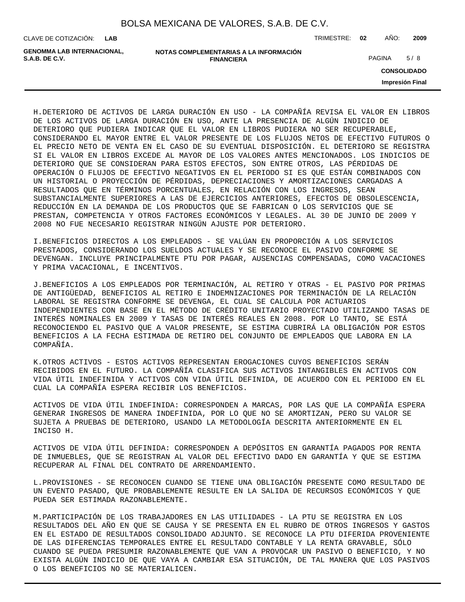| BOLSA MEXICANA DE VALORES, S.A.B. DE C.V. |  |  |
|-------------------------------------------|--|--|
|-------------------------------------------|--|--|

**LAB**

CLAVE DE COTIZACIÓN: TRIMESTRE: **02** AÑO: **2009**

**GENOMMA LAB INTERNACIONAL,**

**NOTAS COMPLEMENTARIAS A LA INFORMACIÓN FINANCIERA S.A.B. DE C.V.** PAGINA 5 / 8

**CONSOLIDADO**

**Impresión Final**

H. DETERIORO DE ACTIVOS DE LARGA DURACIÓN EN USO - LA COMPAÑÍA REVISA EL VALOR EN LIBROS DE LOS ACTIVOS DE LARGA DURACIÓN EN USO, ANTE LA PRESENCIA DE ALGÚN INDICIO DE DETERIORO QUE PUDIERA INDICAR QUE EL VALOR EN LIBROS PUDIERA NO SER RECUPERABLE, CONSIDERANDO EL MAYOR ENTRE EL VALOR PRESENTE DE LOS FLUJOS NETOS DE EFECTIVO FUTUROS O EL PRECIO NETO DE VENTA EN EL CASO DE SU EVENTUAL DISPOSICIÓN. EL DETERIORO SE REGISTRA SI EL VALOR EN LIBROS EXCEDE AL MAYOR DE LOS VALORES ANTES MENCIONADOS. LOS INDICIOS DE DETERIORO QUE SE CONSIDERAN PARA ESTOS EFECTOS, SON ENTRE OTROS, LAS PÉRDIDAS DE OPERACIÓN O FLUJOS DE EFECTIVO NEGATIVOS EN EL PERIODO SI ES QUE ESTÁN COMBINADOS CON UN HISTORIAL O PROYECCIÓN DE PÉRDIDAS, DEPRECIACIONES Y AMORTIZACIONES CARGADAS A RESULTADOS QUE EN TÉRMINOS PORCENTUALES, EN RELACIÓN CON LOS INGRESOS, SEAN SUBSTANCIALMENTE SUPERIORES A LAS DE EJERCICIOS ANTERIORES, EFECTOS DE OBSOLESCENCIA, REDUCCIÓN EN LA DEMANDA DE LOS PRODUCTOS QUE SE FABRICAN O LOS SERVICIOS QUE SE PRESTAN, COMPETENCIA Y OTROS FACTORES ECONÓMICOS Y LEGALES. AL 30 DE JUNIO DE 2009 Y 2008 NO FUE NECESARIO REGISTRAR NINGÚN AJUSTE POR DETERIORO.

I. BENEFICIOS DIRECTOS A LOS EMPLEADOS - SE VALÚAN EN PROPORCIÓN A LOS SERVICIOS PRESTADOS, CONSIDERANDO LOS SUELDOS ACTUALES Y SE RECONOCE EL PASIVO CONFORME SE DEVENGAN. INCLUYE PRINCIPALMENTE PTU POR PAGAR, AUSENCIAS COMPENSADAS, COMO VACACIONES Y PRIMA VACACIONAL, E INCENTIVOS.

J. BENEFICIOS A LOS EMPLEADOS POR TERMINACIÓN, AL RETIRO Y OTRAS - EL PASIVO POR PRIMAS DE ANTIGÜEDAD, BENEFICIOS AL RETIRO E INDEMNIZACIONES POR TERMINACIÓN DE LA RELACIÓN LABORAL SE REGISTRA CONFORME SE DEVENGA, EL CUAL SE CALCULA POR ACTUARIOS INDEPENDIENTES CON BASE EN EL MÉTODO DE CRÉDITO UNITARIO PROYECTADO UTILIZANDO TASAS DE INTERÉS NOMINALES EN 2009 Y TASAS DE INTERÉS REALES EN 2008. POR LO TANTO, SE ESTÁ RECONOCIENDO EL PASIVO QUE A VALOR PRESENTE, SE ESTIMA CUBRIRÁ LA OBLIGACIÓN POR ESTOS BENEFICIOS A LA FECHA ESTIMADA DE RETIRO DEL CONJUNTO DE EMPLEADOS QUE LABORA EN LA COMPAÑÍA.

K. OTROS ACTIVOS - ESTOS ACTIVOS REPRESENTAN EROGACIONES CUYOS BENEFICIOS SERÁN RECIBIDOS EN EL FUTURO. LA COMPAÑÍA CLASIFICA SUS ACTIVOS INTANGIBLES EN ACTIVOS CON VIDA ÚTIL INDEFINIDA Y ACTIVOS CON VIDA ÚTIL DEFINIDA, DE ACUERDO CON EL PERIODO EN EL CUAL LA COMPAÑÍA ESPERA RECIBIR LOS BENEFICIOS.

ACTIVOS DE VIDA ÚTIL INDEFINIDA: CORRESPONDEN A MARCAS, POR LAS QUE LA COMPAÑÍA ESPERA GENERAR INGRESOS DE MANERA INDEFINIDA, POR LO QUE NO SE AMORTIZAN, PERO SU VALOR SE SUJETA A PRUEBAS DE DETERIORO, USANDO LA METODOLOGÍA DESCRITA ANTERIORMENTE EN EL INCISO H.

ACTIVOS DE VIDA ÚTIL DEFINIDA: CORRESPONDEN A DEPÓSITOS EN GARANTÍA PAGADOS POR RENTA DE INMUEBLES, QUE SE REGISTRAN AL VALOR DEL EFECTIVO DADO EN GARANTÍA Y QUE SE ESTIMA RECUPERAR AL FINAL DEL CONTRATO DE ARRENDAMIENTO.

L. PROVISIONES - SE RECONOCEN CUANDO SE TIENE UNA OBLIGACIÓN PRESENTE COMO RESULTADO DE UN EVENTO PASADO, QUE PROBABLEMENTE RESULTE EN LA SALIDA DE RECURSOS ECONÓMICOS Y QUE PUEDA SER ESTIMADA RAZONABLEMENTE.

M. PARTICIPACIÓN DE LOS TRABAJADORES EN LAS UTILIDADES - LA PTU SE REGISTRA EN LOS RESULTADOS DEL AÑO EN QUE SE CAUSA Y SE PRESENTA EN EL RUBRO DE OTROS INGRESOS Y GASTOS EN EL ESTADO DE RESULTADOS CONSOLIDADO ADJUNTO. SE RECONOCE LA PTU DIFERIDA PROVENIENTE DE LAS DIFERENCIAS TEMPORALES ENTRE EL RESULTADO CONTABLE Y LA RENTA GRAVABLE, SÓLO CUANDO SE PUEDA PRESUMIR RAZONABLEMENTE QUE VAN A PROVOCAR UN PASIVO O BENEFICIO, Y NO EXISTA ALGÚN INDICIO DE QUE VAYA A CAMBIAR ESA SITUACIÓN, DE TAL MANERA QUE LOS PASIVOS O LOS BENEFICIOS NO SE MATERIALICEN.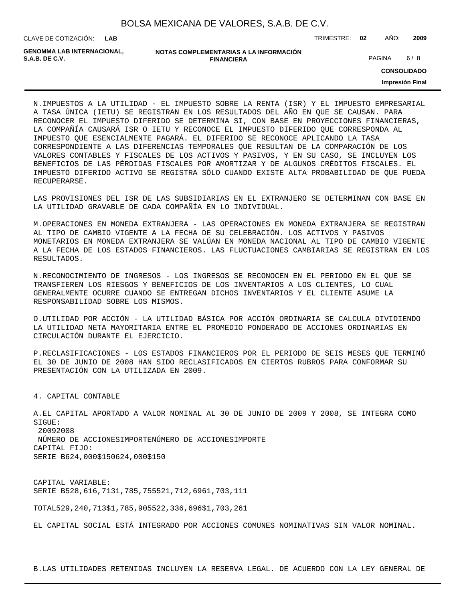**LAB**

CLAVE DE COTIZACIÓN: TRIMESTRE: **02** AÑO: **2009**

| GENOMMA LAB INTERNACIONAL. | NOTAS COMPLEMENTARIAS A LA INFORMACIÓN |               |     |
|----------------------------|----------------------------------------|---------------|-----|
| S.A.B. DE C.V.             | <b>FINANCIERA</b>                      | <b>PAGINA</b> | 6/8 |

**CONSOLIDADO**

**Impresión Final**

N. IMPUESTOS A LA UTILIDAD - EL IMPUESTO SOBRE LA RENTA (ISR) Y EL IMPUESTO EMPRESARIAL A TASA ÚNICA (IETU) SE REGISTRAN EN LOS RESULTADOS DEL AÑO EN QUE SE CAUSAN. PARA RECONOCER EL IMPUESTO DIFERIDO SE DETERMINA SI, CON BASE EN PROYECCIONES FINANCIERAS, LA COMPAÑÍA CAUSARÁ ISR O IETU Y RECONOCE EL IMPUESTO DIFERIDO QUE CORRESPONDA AL IMPUESTO QUE ESENCIALMENTE PAGARÁ. EL DIFERIDO SE RECONOCE APLICANDO LA TASA CORRESPONDIENTE A LAS DIFERENCIAS TEMPORALES QUE RESULTAN DE LA COMPARACIÓN DE LOS VALORES CONTABLES Y FISCALES DE LOS ACTIVOS Y PASIVOS, Y EN SU CASO, SE INCLUYEN LOS BENEFICIOS DE LAS PÉRDIDAS FISCALES POR AMORTIZAR Y DE ALGUNOS CRÉDITOS FISCALES. EL IMPUESTO DIFERIDO ACTIVO SE REGISTRA SÓLO CUANDO EXISTE ALTA PROBABILIDAD DE QUE PUEDA RECUPERARSE.

LAS PROVISIONES DEL ISR DE LAS SUBSIDIARIAS EN EL EXTRANJERO SE DETERMINAN CON BASE EN LA UTILIDAD GRAVABLE DE CADA COMPAÑÍA EN LO INDIVIDUAL.

M. OPERACIONES EN MONEDA EXTRANJERA - LAS OPERACIONES EN MONEDA EXTRANJERA SE REGISTRAN AL TIPO DE CAMBIO VIGENTE A LA FECHA DE SU CELEBRACIÓN. LOS ACTIVOS Y PASIVOS MONETARIOS EN MONEDA EXTRANJERA SE VALÚAN EN MONEDA NACIONAL AL TIPO DE CAMBIO VIGENTE A LA FECHA DE LOS ESTADOS FINANCIEROS. LAS FLUCTUACIONES CAMBIARIAS SE REGISTRAN EN LOS RESULTADOS.

N. RECONOCIMIENTO DE INGRESOS - LOS INGRESOS SE RECONOCEN EN EL PERIODO EN EL QUE SE TRANSFIEREN LOS RIESGOS Y BENEFICIOS DE LOS INVENTARIOS A LOS CLIENTES, LO CUAL GENERALMENTE OCURRE CUANDO SE ENTREGAN DICHOS INVENTARIOS Y EL CLIENTE ASUME LA RESPONSABILIDAD SOBRE LOS MISMOS.

O. UTILIDAD POR ACCIÓN - LA UTILIDAD BÁSICA POR ACCIÓN ORDINARIA SE CALCULA DIVIDIENDO LA UTILIDAD NETA MAYORITARIA ENTRE EL PROMEDIO PONDERADO DE ACCIONES ORDINARIAS EN CIRCULACIÓN DURANTE EL EJERCICIO.

P. RECLASIFICACIONES - LOS ESTADOS FINANCIEROS POR EL PERIODO DE SEIS MESES QUE TERMINÓ EL 30 DE JUNIO DE 2008 HAN SIDO RECLASIFICADOS EN CIERTOS RUBROS PARA CONFORMAR SU PRESENTACIÓN CON LA UTILIZADA EN 2009.

4. CAPITAL CONTABLE

A. EL CAPITAL APORTADO A VALOR NOMINAL AL 30 DE JUNIO DE 2009 Y 2008, SE INTEGRA COMO SIGUE: 2009 2008 NÚMERO DE ACCIONES IMPORTE NÚMERO DE ACCIONES IMPORTE CAPITAL FIJO:

SERIE B 624,000 \$150 624,000 \$150

CAPITAL VARIABLE: SERIE B 528,616,713 1,785,755 521,712,696 1,703,111

TOTAL 529,240,713 \$1,785,905 522,336,696 \$1,703,261

EL CAPITAL SOCIAL ESTÁ INTEGRADO POR ACCIONES COMUNES NOMINATIVAS SIN VALOR NOMINAL.

B. LAS UTILIDADES RETENIDAS INCLUYEN LA RESERVA LEGAL. DE ACUERDO CON LA LEY GENERAL DE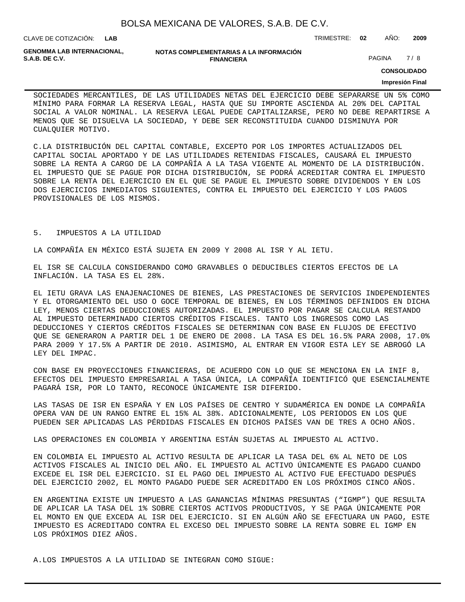CLAVE DE COTIZACIÓN: TRIMESTRE: **02** AÑO: **2009 LAB**

**GENOMMA LAB INTERNACIONAL,**

#### **NOTAS COMPLEMENTARIAS A LA INFORMACIÓN FINANCIERA S.A.B. DE C.V.** PAGINA 7 / 8

**CONSOLIDADO**

#### **Impresión Final**

SOCIEDADES MERCANTILES, DE LAS UTILIDADES NETAS DEL EJERCICIO DEBE SEPARARSE UN 5% COMO MÍNIMO PARA FORMAR LA RESERVA LEGAL, HASTA QUE SU IMPORTE ASCIENDA AL 20% DEL CAPITAL SOCIAL A VALOR NOMINAL. LA RESERVA LEGAL PUEDE CAPITALIZARSE, PERO NO DEBE REPARTIRSE A MENOS QUE SE DISUELVA LA SOCIEDAD, Y DEBE SER RECONSTITUIDA CUANDO DISMINUYA POR CUALQUIER MOTIVO.

C. LA DISTRIBUCIÓN DEL CAPITAL CONTABLE, EXCEPTO POR LOS IMPORTES ACTUALIZADOS DEL CAPITAL SOCIAL APORTADO Y DE LAS UTILIDADES RETENIDAS FISCALES, CAUSARÁ EL IMPUESTO SOBRE LA RENTA A CARGO DE LA COMPAÑÍA A LA TASA VIGENTE AL MOMENTO DE LA DISTRIBUCIÓN. EL IMPUESTO QUE SE PAGUE POR DICHA DISTRIBUCIÓN, SE PODRÁ ACREDITAR CONTRA EL IMPUESTO SOBRE LA RENTA DEL EJERCICIO EN EL QUE SE PAGUE EL IMPUESTO SOBRE DIVIDENDOS Y EN LOS DOS EJERCICIOS INMEDIATOS SIGUIENTES, CONTRA EL IMPUESTO DEL EJERCICIO Y LOS PAGOS PROVISIONALES DE LOS MISMOS.

#### 5. IMPUESTOS A LA UTILIDAD

LA COMPAÑÍA EN MÉXICO ESTÁ SUJETA EN 2009 Y 2008 AL ISR Y AL IETU.

EL ISR SE CALCULA CONSIDERANDO COMO GRAVABLES O DEDUCIBLES CIERTOS EFECTOS DE LA INFLACIÓN. LA TASA ES EL 28%.

EL IETU GRAVA LAS ENAJENACIONES DE BIENES, LAS PRESTACIONES DE SERVICIOS INDEPENDIENTES Y EL OTORGAMIENTO DEL USO O GOCE TEMPORAL DE BIENES, EN LOS TÉRMINOS DEFINIDOS EN DICHA LEY, MENOS CIERTAS DEDUCCIONES AUTORIZADAS. EL IMPUESTO POR PAGAR SE CALCULA RESTANDO AL IMPUESTO DETERMINADO CIERTOS CRÉDITOS FISCALES. TANTO LOS INGRESOS COMO LAS DEDUCCIONES Y CIERTOS CRÉDITOS FISCALES SE DETERMINAN CON BASE EN FLUJOS DE EFECTIVO QUE SE GENERARON A PARTIR DEL 1 DE ENERO DE 2008. LA TASA ES DEL 16.5% PARA 2008, 17.0% PARA 2009 Y 17.5% A PARTIR DE 2010. ASIMISMO, AL ENTRAR EN VIGOR ESTA LEY SE ABROGÓ LA LEY DEL IMPAC.

CON BASE EN PROYECCIONES FINANCIERAS, DE ACUERDO CON LO QUE SE MENCIONA EN LA INIF 8, EFECTOS DEL IMPUESTO EMPRESARIAL A TASA ÚNICA, LA COMPAÑÍA IDENTIFICÓ QUE ESENCIALMENTE PAGARÁ ISR, POR LO TANTO, RECONOCE ÚNICAMENTE ISR DIFERIDO.

LAS TASAS DE ISR EN ESPAÑA Y EN LOS PAÍSES DE CENTRO Y SUDAMÉRICA EN DONDE LA COMPAÑÍA OPERA VAN DE UN RANGO ENTRE EL 15% AL 38%. ADICIONALMENTE, LOS PERIODOS EN LOS QUE PUEDEN SER APLICADAS LAS PÉRDIDAS FISCALES EN DICHOS PAÍSES VAN DE TRES A OCHO AÑOS.

LAS OPERACIONES EN COLOMBIA Y ARGENTINA ESTÁN SUJETAS AL IMPUESTO AL ACTIVO.

EN COLOMBIA EL IMPUESTO AL ACTIVO RESULTA DE APLICAR LA TASA DEL 6% AL NETO DE LOS ACTIVOS FISCALES AL INICIO DEL AÑO. EL IMPUESTO AL ACTIVO ÚNICAMENTE ES PAGADO CUANDO EXCEDE EL ISR DEL EJERCICIO. SI EL PAGO DEL IMPUESTO AL ACTIVO FUE EFECTUADO DESPUÉS DEL EJERCICIO 2002, EL MONTO PAGADO PUEDE SER ACREDITADO EN LOS PRÓXIMOS CINCO AÑOS.

EN ARGENTINA EXISTE UN IMPUESTO A LAS GANANCIAS MÍNIMAS PRESUNTAS ("IGMP") QUE RESULTA DE APLICAR LA TASA DEL 1% SOBRE CIERTOS ACTIVOS PRODUCTIVOS, Y SE PAGA ÚNICAMENTE POR EL MONTO EN QUE EXCEDA AL ISR DEL EJERCICIO. SI EN ALGÚN AÑO SE EFECTUARA UN PAGO, ESTE IMPUESTO ES ACREDITADO CONTRA EL EXCESO DEL IMPUESTO SOBRE LA RENTA SOBRE EL IGMP EN LOS PRÓXIMOS DIEZ AÑOS.

A. LOS IMPUESTOS A LA UTILIDAD SE INTEGRAN COMO SIGUE: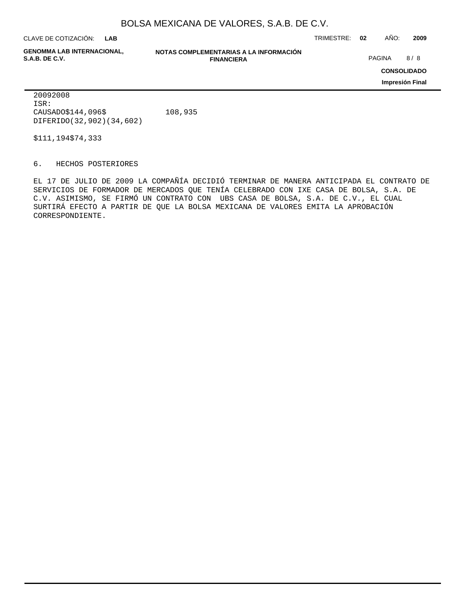**LAB**

**GENOMMA LAB INTERNACIONAL,**

**NOTAS COMPLEMENTARIAS A LA INFORMACIÓN FINANCIERA S.A.B. DE C.V.** PAGINA 8 / 8

CLAVE DE COTIZACIÓN: TRIMESTRE: **02** AÑO: **2009**

**CONSOLIDADO**

**Impresión Final**

 2009 2008 ISR: CAUSADO \$ 144,096 \$ 108,935 DIFERIDO (32,902) (34,602)

 $$111,194$   $$74,333$ 

6. HECHOS POSTERIORES

EL 17 DE JULIO DE 2009 LA COMPAÑÍA DECIDIÓ TERMINAR DE MANERA ANTICIPADA EL CONTRATO DE SERVICIOS DE FORMADOR DE MERCADOS QUE TENÍA CELEBRADO CON IXE CASA DE BOLSA, S.A. DE C.V. ASIMISMO, SE FIRMÓ UN CONTRATO CON UBS CASA DE BOLSA, S.A. DE C.V., EL CUAL SURTIRÁ EFECTO A PARTIR DE QUE LA BOLSA MEXICANA DE VALORES EMITA LA APROBACIÓN CORRESPONDIENTE.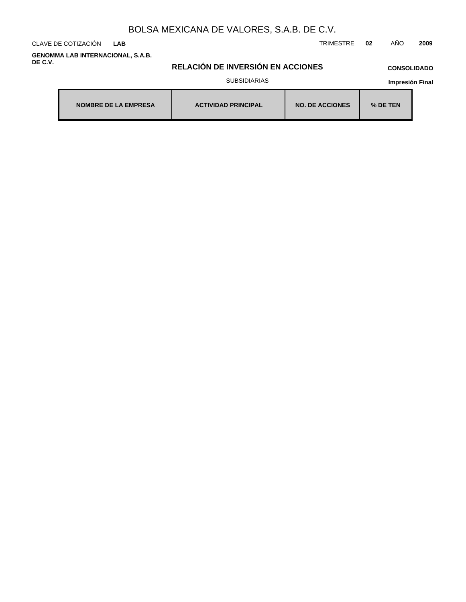CLAVE DE COTIZACIÓN TRIMESTRE **02** AÑO **2009 LAB**

**GENOMMA LAB INTERNACIONAL, S.A.B. DE C.V.**

# **RELACIÓN DE INVERSIÓN EN ACCIONES**

## **CONSOLIDADO**

SUBSIDIARIAS

| <b>NOMBRE DE LA EMPRESA</b> | <b>ACTIVIDAD PRINCIPAL</b> | <b>NO. DE ACCIONES</b> | % DE TEN |
|-----------------------------|----------------------------|------------------------|----------|
|-----------------------------|----------------------------|------------------------|----------|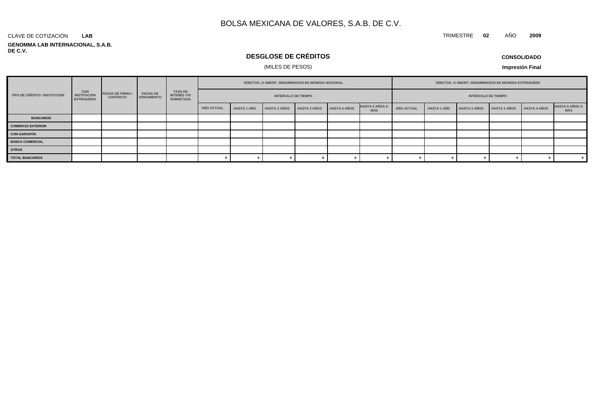#### **GENOMMA LAB INTERNACIONAL, S.A.B. DE C.V.** CLAVE DE COTIZACIÓN **LAB**

# **DESGLOSE DE CRÉDITOS**

### (MILES DE PESOS)

**Impresión Final**

|                               |                                                       |                                            | <b>FECHA DE</b><br><b>VENCIMIENTO</b> | TASA DE<br>INTERÉS Y/O<br><b>SOBRETASA</b> | VENCTOS. O AMORT. DENOMINADOS EN MONEDA NACIONAL |                    |                     |                     |                     |                                     | VENCTOS. O AMORT. DENOMINADOS EN MONEDA EXTRANJERA |                            |                     |                     |                     |                              |
|-------------------------------|-------------------------------------------------------|--------------------------------------------|---------------------------------------|--------------------------------------------|--------------------------------------------------|--------------------|---------------------|---------------------|---------------------|-------------------------------------|----------------------------------------------------|----------------------------|---------------------|---------------------|---------------------|------------------------------|
| TIPO DE CRÉDITO / INSTITUCIÓN | <b>CON</b><br><b>INSTITUCIÓN</b><br><b>EXTRANJERA</b> | <b>FECHA DE FIRMA /</b><br><b>CONTRATO</b> |                                       |                                            | <b>INTERVALO DE TIEMPO</b>                       |                    |                     |                     |                     |                                     |                                                    | <b>INTERVALO DE TIEMPO</b> |                     |                     |                     |                              |
|                               |                                                       |                                            |                                       |                                            | <b>AÑO ACTUAL</b>                                | <b>HASTA 1 AÑO</b> | <b>HASTA 2 AÑOS</b> | <b>HASTA 3 AÑOS</b> | <b>HASTA 4 AÑOS</b> | <b>HASTA 5 AÑOS O</b><br><b>MÁS</b> | AÑO ACTUAL                                         | <b>HASTA 1 AÑO</b>         | <b>HASTA 2 AÑOS</b> | <b>HASTA 3 AÑOS</b> | <b>HASTA 4 AÑOS</b> | <b>HASTA 5 AÑOS O</b><br>MÁS |
| <b>BANCARIOS</b>              |                                                       |                                            |                                       |                                            |                                                  |                    |                     |                     |                     |                                     |                                                    |                            |                     |                     |                     |                              |
| <b>COMERCIO EXTERIOR</b>      |                                                       |                                            |                                       |                                            |                                                  |                    |                     |                     |                     |                                     |                                                    |                            |                     |                     |                     |                              |
| <b>CON GARANTÍA</b>           |                                                       |                                            |                                       |                                            |                                                  |                    |                     |                     |                     |                                     |                                                    |                            |                     |                     |                     |                              |
| <b>BANCA COMERCIAL</b>        |                                                       |                                            |                                       |                                            |                                                  |                    |                     |                     |                     |                                     |                                                    |                            |                     |                     |                     |                              |
| <b>OTROS</b>                  |                                                       |                                            |                                       |                                            |                                                  |                    |                     |                     |                     |                                     |                                                    |                            |                     |                     |                     |                              |
| <b>TOTAL BANCARIOS</b>        |                                                       |                                            |                                       |                                            |                                                  |                    |                     |                     |                     |                                     |                                                    |                            |                     |                     |                     | $\overline{\mathbf{0}}$      |

### **CONSOLIDADO**

TRIMESTRE **02** AÑO **2009**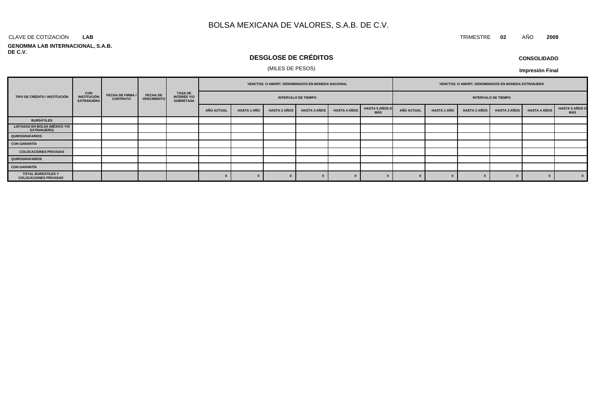#### CLAVE DE COTIZACIÓN TRIMESTRE **02** AÑO **2009 LAB**

#### **GENOMMA LAB INTERNACIONAL, S.A.B. DE C.V.**

# **DESGLOSE DE CRÉDITOS**

### (MILES DE PESOS)

| <b>CONSOLIDADO</b> |  |
|--------------------|--|
|--------------------|--|

|                                                                                                                                                                                                                               |  | VENCTOS. O AMORT. DENOMINADOS EN MONEDA NACIONAL |  |  |                            |                    |                     |                     | VENCTOS. O AMORT. DENOMINADOS EN MONEDA EXTRANJERA |                              |                   |                            |                     |                     |                     |                               |  |  |
|-------------------------------------------------------------------------------------------------------------------------------------------------------------------------------------------------------------------------------|--|--------------------------------------------------|--|--|----------------------------|--------------------|---------------------|---------------------|----------------------------------------------------|------------------------------|-------------------|----------------------------|---------------------|---------------------|---------------------|-------------------------------|--|--|
| <b>TASA DE<br/>INTERÉS Y/O<br/>SOBRETASA</b><br><b>CON</b><br><b>FECHA DE</b><br><b>FECHA DE FIRMA /</b><br>TIPO DE CRÉDITO / INSTITUCIÓN<br><b>INSTITUCIÓN</b><br><b>CONTRATO</b><br><b>VENCIMIENTO</b><br><b>EXTRANJERA</b> |  |                                                  |  |  | <b>INTERVALO DE TIEMPO</b> |                    |                     |                     |                                                    |                              |                   | <b>INTERVALO DE TIEMPO</b> |                     |                     |                     |                               |  |  |
|                                                                                                                                                                                                                               |  |                                                  |  |  | <b>AÑO ACTUAL</b>          | <b>HASTA 1 AÑO</b> | <b>HASTA 2 AÑOS</b> | <b>HASTA 3 AÑOS</b> | <b>HASTA 4 AÑOS</b>                                | <b>HASTA 5 AÑOS O</b><br>MÁS | <b>AÑO ACTUAL</b> | <b>HASTA 1 AÑO</b>         | <b>HASTA 2 AÑOS</b> | <b>HASTA 3 AÑOS</b> | <b>HASTA 4 AÑOS</b> | <b>HASTA 5 AÑOS O<br/>MÁS</b> |  |  |
| <b>BURSÁTILES</b>                                                                                                                                                                                                             |  |                                                  |  |  |                            |                    |                     |                     |                                                    |                              |                   |                            |                     |                     |                     |                               |  |  |
| <b>LISTADAS EN BOLSA (MÉXICO Y/O</b><br><b>EXTRANJERO)</b>                                                                                                                                                                    |  |                                                  |  |  |                            |                    |                     |                     |                                                    |                              |                   |                            |                     |                     |                     |                               |  |  |
| QUIROGRAFARIOS                                                                                                                                                                                                                |  |                                                  |  |  |                            |                    |                     |                     |                                                    |                              |                   |                            |                     |                     |                     |                               |  |  |
| CON GARANTÍA                                                                                                                                                                                                                  |  |                                                  |  |  |                            |                    |                     |                     |                                                    |                              |                   |                            |                     |                     |                     |                               |  |  |
| <b>COLOCACIONES PRIVADAS</b>                                                                                                                                                                                                  |  |                                                  |  |  |                            |                    |                     |                     |                                                    |                              |                   |                            |                     |                     |                     |                               |  |  |
| QUIROGRAFARIOS                                                                                                                                                                                                                |  |                                                  |  |  |                            |                    |                     |                     |                                                    |                              |                   |                            |                     |                     |                     |                               |  |  |
| CON GARANTÍA                                                                                                                                                                                                                  |  |                                                  |  |  |                            |                    |                     |                     |                                                    |                              |                   |                            |                     |                     |                     |                               |  |  |
| TOTAL BURSÁTILES Y<br><b>COLOCACIONES PRIVADAS</b>                                                                                                                                                                            |  |                                                  |  |  |                            |                    |                     |                     |                                                    |                              |                   |                            |                     |                     |                     | $\sqrt{0}$                    |  |  |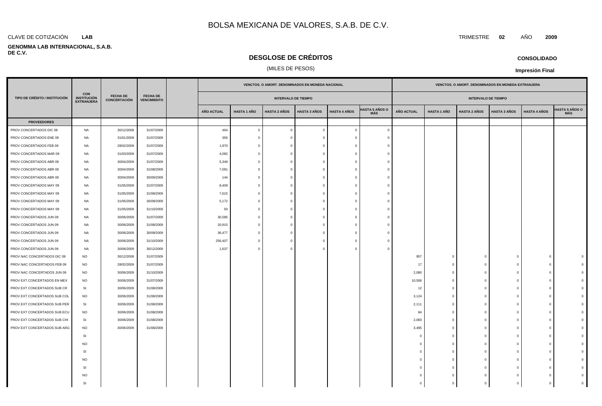#### **LAB**

#### **GENOMMA LAB INTERNACIONAL, S.A.B. DE C.V.**

## **DESGLOSE DE CRÉDITOS**

### (MILES DE PESOS)

|                               |                                                       |                                        |                                       |                   |                    | VENCTOS. O AMORT. DENOMINADOS EN MONEDA NACIONAL |                     |                     |                              |                   |                    | VENCTOS. O AMORT. DENOMINADOS EN MONEDA EXTRANJERA |                     |                     |                              |
|-------------------------------|-------------------------------------------------------|----------------------------------------|---------------------------------------|-------------------|--------------------|--------------------------------------------------|---------------------|---------------------|------------------------------|-------------------|--------------------|----------------------------------------------------|---------------------|---------------------|------------------------------|
| TIPO DE CRÉDITO / INSTITUCIÓN | <b>CON</b><br><b>INSTITUCIÓN</b><br><b>EXTRANJERA</b> | <b>FECHA DE</b><br><b>CONCERTACIÓN</b> | <b>FECHA DE</b><br><b>VENCIMIENTO</b> |                   |                    | <b>INTERVALO DE TIEMPO</b>                       |                     |                     |                              |                   |                    | <b>INTERVALO DE TIEMPO</b>                         |                     |                     |                              |
|                               |                                                       |                                        |                                       | <b>AÑO ACTUAL</b> | <b>HASTA 1 AÑO</b> | <b>HASTA 2 AÑOS</b>                              | <b>HASTA 3 AÑOS</b> | <b>HASTA 4 AÑOS</b> | <b>HASTA 5 AÑOS O</b><br>MÁS | <b>AÑO ACTUAL</b> | <b>HASTA 1 AÑO</b> | <b>HASTA 2 AÑOS</b>                                | <b>HASTA 3 AÑOS</b> | <b>HASTA 4 AÑOS</b> | <b>IASTA 5 AÑOS O</b><br>MÁS |
| <b>PROVEEDORES</b>            |                                                       |                                        |                                       |                   |                    |                                                  |                     |                     |                              |                   |                    |                                                    |                     |                     |                              |
| PROV CONCERTADOS DIC 08       | <b>NA</b>                                             | 30/12/2008                             | 31/07/2009                            | 464               | $\overline{0}$     | $\mathbf 0$                                      | $\Omega$            | $\overline{0}$      | $\Omega$                     |                   |                    |                                                    |                     |                     |                              |
| PROV CONCERTADOS ENE 09       | NA                                                    | 31/01/2009                             | 31/07/2009                            | 356               | $\Omega$           | $\overline{0}$                                   | - 0                 | $\overline{0}$      |                              |                   |                    |                                                    |                     |                     |                              |
| PROV CONCERTADOS FEB 09       | NA                                                    | 28/02/2009                             | 31/07/2009                            | 1,970             | $\mathbf{0}$       | $\overline{0}$                                   | - 0                 | $\mathbf{0}$        |                              |                   |                    |                                                    |                     |                     |                              |
| PROV CONCERTADOS MAR 09       | NA                                                    | 31/03/2009                             | 31/07/2009                            | 4,082             | $\mathbf{0}$       | $\overline{0}$                                   | $\Omega$            | $\overline{0}$      |                              |                   |                    |                                                    |                     |                     |                              |
| PROV CONCERTADOS ABR 09       | NA                                                    | 30/04/2009                             | 31/07/2009                            | 5,349             | $\Omega$           | $\overline{0}$                                   |                     | $\mathbf 0$         |                              |                   |                    |                                                    |                     |                     |                              |
| PROV CONCERTADOS ABR 09       | NA                                                    | 30/04/2009                             | 31/08/2009                            | 7,091             | $\Omega$           | $\overline{0}$                                   |                     | $\Omega$            |                              |                   |                    |                                                    |                     |                     |                              |
| PROV CONCERTADOS ABR 09       | NA                                                    | 30/04/2009                             | 30/09/2009                            | 144               | $\bigcap$          | $\overline{0}$                                   | $\Omega$            | $\overline{0}$      |                              |                   |                    |                                                    |                     |                     |                              |
| PROV CONCERTADOS MAY 09       | <b>NA</b>                                             | 31/05/2009                             | 31/07/2009                            | 8,409             | $\Omega$           | $\overline{0}$                                   | $\Omega$            | $\mathbf 0$         |                              |                   |                    |                                                    |                     |                     |                              |
| PROV CONCERTADOS MAY 09       | <b>NA</b>                                             | 31/05/2009                             | 31/08/2009                            | 7,615             | $\Omega$           | $\mathbf{0}$                                     | $\Omega$            | $\overline{0}$      |                              |                   |                    |                                                    |                     |                     |                              |
| PROV CONCERTADOS MAY 09       | NA                                                    | 31/05/2009                             | 30/09/2009                            | 5,172             | $\Omega$           | $\overline{0}$                                   | $\Omega$            | $\overline{0}$      |                              |                   |                    |                                                    |                     |                     |                              |
| PROV CONCERTADOS MAY 09       | NA                                                    | 31/05/2009                             | 31/10/2009                            | 50                | $\Omega$           | $\mathbf{0}$                                     | $\Omega$            | $\overline{0}$      |                              |                   |                    |                                                    |                     |                     |                              |
| PROV CONCERTADOS JUN 09       | NA                                                    | 30/06/2009                             | 31/07/2009                            | 30,585            | $\Omega$           | $\overline{0}$                                   |                     | $\mathbf{0}$        |                              |                   |                    |                                                    |                     |                     |                              |
| PROV CONCERTADOS JUN 09       | <b>NA</b>                                             | 30/06/2009                             | 31/08/2009                            | 20,915            | $\Omega$           | $\overline{0}$                                   | $\Omega$            | $\mathbf{0}$        |                              |                   |                    |                                                    |                     |                     |                              |
| PROV CONCERTADOS JUN 09       | NA                                                    | 30/06/2009                             | 30/09/2009                            | 36,477            | $\Omega$           | $\overline{0}$                                   | $\Omega$            | $\overline{0}$      |                              |                   |                    |                                                    |                     |                     |                              |
| PROV CONCERTADOS JUN 09       | <b>NA</b>                                             | 30/06/2009                             | 31/10/2009                            | 256,407           | $\Omega$           | $\overline{0}$                                   | $\Omega$            | $\overline{0}$      |                              |                   |                    |                                                    |                     |                     |                              |
| PROV CONCERTADOS JUN 09       | NA                                                    | 30/06/2009                             | 30/12/2009                            | 1,637             | $\Omega$           | $\overline{0}$                                   | $\Omega$            | $\overline{0}$      |                              |                   |                    |                                                    |                     |                     |                              |
| PROV NAC CONCERTADOS DIC 08   | <b>NO</b>                                             | 30/12/2008                             | 31/07/2009                            |                   |                    |                                                  |                     |                     |                              | 957               | $\Omega$           | $^{\circ}$                                         | $\Omega$            | $\mathbf 0$         |                              |
| PROV NAC CONCERTADOS FEB 09   | <b>NO</b>                                             | 28/02/2009                             | 31/07/2009                            |                   |                    |                                                  |                     |                     |                              | 17                | $\Omega$           | $\mathbf{0}$                                       | $\sqrt{2}$          | $\Omega$            |                              |
| PROV NAC CONCERTADOS JUN 09   | <b>NO</b>                                             | 30/06/2009                             | 31/10/2009                            |                   |                    |                                                  |                     |                     |                              | 2,080             | $^{\circ}$         | $\mathbf{0}$                                       |                     | $^{\circ}$          |                              |
| PROV EXT CONCERTADOS EN MEX   | <b>NO</b>                                             | 30/06/2009                             | 31/07/2009                            |                   |                    |                                                  |                     |                     |                              | 10,506            | $^{\circ}$         | $\mathsf 0$                                        |                     | $\mathbf 0$         |                              |
| PROV EXT CONCERTADOS SUB CR   | <b>SI</b>                                             | 30/06/2009                             | 31/08/2009                            |                   |                    |                                                  |                     |                     |                              | 12                | $^{\circ}$         | $\overline{0}$                                     | $\Omega$            | $^{\circ}$          |                              |
| PROV EXT CONCERTADOS SUB COL  | <b>NO</b>                                             | 30/06/2009                             | 31/08/2009                            |                   |                    |                                                  |                     |                     |                              | 3,124             | - 0                | $\mathbf 0$                                        | C                   | $\Omega$            |                              |
| PROV EXT CONCERTADOS SUB PER  | SI                                                    | 30/06/2009                             | 31/08/2009                            |                   |                    |                                                  |                     |                     |                              | 2,111             | $\Omega$           | $\mathbf{0}$                                       | $\Omega$            | $\Omega$            |                              |
| PROV EXT CONCERTADOS SUB ECU  | <b>NO</b>                                             | 30/06/2009                             | 31/08/2009                            |                   |                    |                                                  |                     |                     |                              | 84                | $\Omega$           | $\mathbf{0}$                                       | $\Omega$            | $\Omega$            |                              |
| PROV EXT CONCERTADOS SUB CHI  | <b>SI</b>                                             | 30/06/2009                             | 31/08/2009                            |                   |                    |                                                  |                     |                     |                              | 2,083             | $\Omega$           | $\mathbf{0}$                                       |                     | $\Omega$            |                              |
| PROV EXT CONCERTADOS SUB ARG  | <b>NO</b>                                             | 30/06/2009                             | 31/08/2009                            |                   |                    |                                                  |                     |                     |                              | 3,495             | $^{\circ}$         | $\mathbf{0}$                                       |                     | $^{\circ}$          |                              |
|                               | SI                                                    |                                        |                                       |                   |                    |                                                  |                     |                     |                              | $\mathbf 0$       | $^{\circ}$         | $\mathbf 0$                                        |                     | $\mathbf 0$         |                              |
|                               | <b>NO</b>                                             |                                        |                                       |                   |                    |                                                  |                     |                     |                              | $\Omega$          | $\Omega$           | $\mathbf{0}$                                       |                     | $\Omega$            |                              |
|                               | SI                                                    |                                        |                                       |                   |                    |                                                  |                     |                     |                              | $\Omega$          | - 0                | $\mathbf 0$                                        |                     | $^{\circ}$          |                              |
|                               | <b>NO</b>                                             |                                        |                                       |                   |                    |                                                  |                     |                     |                              | $\cap$            | ſ                  | $\Omega$                                           |                     | $\Omega$            |                              |
|                               | <b>SI</b>                                             |                                        |                                       |                   |                    |                                                  |                     |                     |                              | - 0               | - 0                | $\mathbf{0}$                                       |                     | $\Omega$            |                              |
|                               | <b>NO</b>                                             |                                        |                                       |                   |                    |                                                  |                     |                     |                              |                   |                    | $\Omega$                                           |                     | $\Omega$            |                              |

SI 0 0 0 0 0 0

CLAVE DE COTIZACIÓN TRIMESTRE **02** AÑO **2009**

**CONSOLIDADO**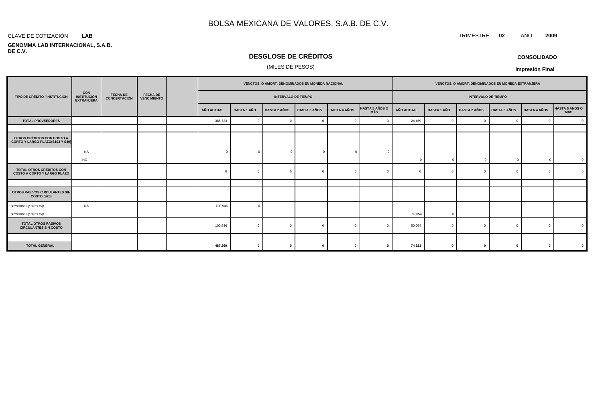#### CLAVE DE COTIZACIÓN TRIMESTRE **02** AÑO **2009 LAB**

#### **GENOMMA LAB INTERNACIONAL, S.A.B. DE C.V.**

# **DESGLOSE DE CRÉDITOS**

### (MILES DE PESOS)

| <b>CONSOLIDADO</b> |  |
|--------------------|--|
|                    |  |

|                                                                |                                                |                                        |                                       | VENCTOS. O AMORT. DENOMINADOS EN MONEDA NACIONAL |                    |                            |                     | VENCTOS. O AMORT. DENOMINADOS EN MONEDA EXTRANJERA |                                     |                   |                    |                            |                     |                     |                                     |
|----------------------------------------------------------------|------------------------------------------------|----------------------------------------|---------------------------------------|--------------------------------------------------|--------------------|----------------------------|---------------------|----------------------------------------------------|-------------------------------------|-------------------|--------------------|----------------------------|---------------------|---------------------|-------------------------------------|
| TIPO DE CRÉDITO / INSTITUCIÓN                                  | CON<br><b>INSTITUCIÓN</b><br><b>EXTRANJERA</b> | <b>FECHA DE</b><br><b>CONCERTACIÓN</b> | <b>FECHA DE</b><br><b>VENCIMIENTO</b> |                                                  |                    | <b>INTERVALO DE TIEMPO</b> |                     |                                                    |                                     |                   |                    | <b>INTERVALO DE TIEMPO</b> |                     |                     |                                     |
|                                                                |                                                |                                        |                                       | AÑO ACTUAL                                       | <b>HASTA 1 AÑO</b> | <b>HASTA 2 AÑOS</b>        | <b>HASTA 3 AÑOS</b> | <b>HASTA 4 AÑOS</b>                                | <b>HASTA 5 AÑOS O</b><br><b>MÁS</b> | <b>AÑO ACTUAL</b> | <b>HASTA 1 AÑO</b> | <b>HASTA 2 AÑOS</b>        | <b>HASTA 3 AÑOS</b> | <b>HASTA 4 AÑOS</b> | <b>HASTA 5 AÑOS O</b><br><b>MÁS</b> |
| <b>TOTAL PROVEEDORES</b>                                       |                                                |                                        |                                       | 386,723                                          | $\Omega$           | $\overline{0}$             |                     | $\Omega$                                           |                                     | 24,469            | $\mathbf{0}$       | $\sqrt{ }$                 | $\Omega$            | $\Omega$            | $\Omega$                            |
|                                                                |                                                |                                        |                                       |                                                  |                    |                            |                     |                                                    |                                     |                   |                    |                            |                     |                     |                                     |
| OTROS CRÉDITOS CON COSTO A<br>CORTO Y LARGO PLAZO(S103 Y S30)  |                                                |                                        |                                       |                                                  |                    |                            |                     |                                                    |                                     |                   |                    |                            |                     |                     |                                     |
|                                                                | <b>NA</b>                                      |                                        |                                       |                                                  |                    | $\Omega$                   |                     | $\Omega$                                           |                                     |                   |                    |                            |                     |                     |                                     |
|                                                                | <b>NO</b>                                      |                                        |                                       |                                                  |                    |                            |                     |                                                    |                                     |                   | $\sqrt{ }$         |                            | $\Omega$            | $\Omega$            | $\mathbf{0}$                        |
| TOTAL OTROS CRÉDITOS CON<br><b>COSTO A CORTO Y LARGO PLAZO</b> |                                                |                                        |                                       | $\Omega$                                         |                    | $\bigcap$                  |                     | $\Omega$                                           |                                     |                   | $\Omega$           |                            | $\Omega$            |                     | $\Omega$                            |
|                                                                |                                                |                                        |                                       |                                                  |                    |                            |                     |                                                    |                                     |                   |                    |                            |                     |                     |                                     |
| OTROS PASIVOS CIRCULANTES SIN<br><b>COSTO (S26)</b>            |                                                |                                        |                                       |                                                  |                    |                            |                     |                                                    |                                     |                   |                    |                            |                     |                     |                                     |
| provisiones y otras cxp                                        | <b>NA</b>                                      |                                        |                                       | 100,546                                          | -0                 |                            |                     |                                                    |                                     |                   |                    |                            |                     |                     |                                     |
| provisiones y otras cxp                                        |                                                |                                        |                                       |                                                  |                    |                            |                     |                                                    |                                     | 50,054            | $\Omega$           |                            |                     |                     |                                     |
| <b>TOTAL OTROS PASIVOS</b><br><b>CIRCULANTES SIN COSTO</b>     |                                                |                                        |                                       | 100,546                                          |                    | $\Omega$                   |                     | $\Omega$                                           |                                     | 50,054            | $\Omega$           |                            | $\Omega$            | - 0                 |                                     |
|                                                                |                                                |                                        |                                       |                                                  |                    |                            |                     |                                                    |                                     |                   |                    |                            |                     |                     |                                     |
| <b>TOTAL GENERAL</b>                                           |                                                |                                        |                                       | 487,269                                          | $\mathbf{0}$       | $\mathbf{0}$               |                     | $\mathbf{0}$                                       |                                     | 74,523            | $\mathbf{0}$       | $\sqrt{2}$                 | $\mathbf{0}$        | 0                   | $\mathbf{0}$                        |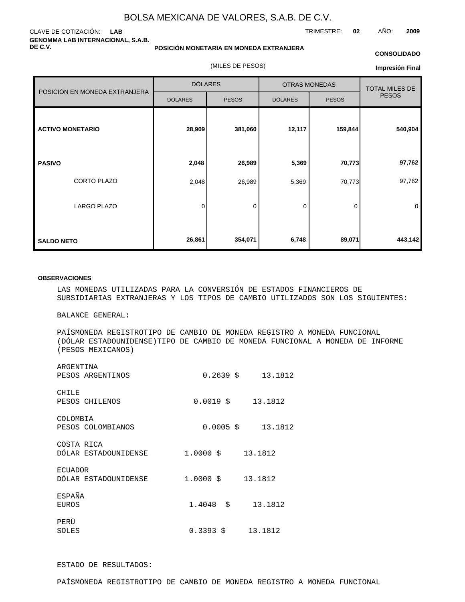### CLAVE DE COTIZACIÓN: **LAB GENOMMA LAB INTERNACIONAL, S.A.B. DE C.V.**

#### **POSICIÓN MONETARIA EN MONEDA EXTRANJERA**

(MILES DE PESOS)

#### **CONSOLIDADO**

TRIMESTRE: **02** AÑO: **2009**

**Impresión Final**

|                               | <b>DÓLARES</b> |              | <b>OTRAS MONEDAS</b> | <b>TOTAL MILES DE</b> |              |
|-------------------------------|----------------|--------------|----------------------|-----------------------|--------------|
| POSICIÓN EN MONEDA EXTRANJERA | <b>DÓLARES</b> | <b>PESOS</b> | <b>DÓLARES</b>       | <b>PESOS</b>          | <b>PESOS</b> |
| <b>ACTIVO MONETARIO</b>       | 28,909         | 381,060      | 12,117               | 159,844               | 540,904      |
| <b>PASIVO</b>                 | 2,048          | 26,989       | 5,369                | 70,773                | 97,762       |
| CORTO PLAZO                   | 2,048          | 26,989       | 5,369                | 70,773                | 97,762       |
| LARGO PLAZO                   | 0              | $\mathbf 0$  | 0                    | 0                     | 0            |
| <b>SALDO NETO</b>             | 26,861         | 354,071      | 6,748                | 89,071                | 443,142      |

#### **OBSERVACIONES**

LAS MONEDAS UTILIZADAS PARA LA CONVERSIÓN DE ESTADOS FINANCIEROS DE SUBSIDIARIAS EXTRANJERAS Y LOS TIPOS DE CAMBIO UTILIZADOS SON LOS SIGUIENTES:

BALANCE GENERAL:

PAÍS MONEDA REGISTRO TIPO DE CAMBIO DE MONEDA REGISTRO A MONEDA FUNCIONAL (DÓLAR ESTADOUNIDENSE) TIPO DE CAMBIO DE MONEDA FUNCIONAL A MONEDA DE INFORME (PESOS MEXICANOS)

| ARGENTINA<br>PESOS ARGENTINOS          | 0.2639<br>\$         | 13.1812 |
|----------------------------------------|----------------------|---------|
| CHILE<br>PESOS CHILENOS                | 0.0019<br>\$         | 13.1812 |
| COLOMBIA<br>PESOS COLOMBIANOS          | 0.0005<br>S.         | 13.1812 |
| COSTA RICA<br>DÓLAR ESTADOUNIDENSE     | \$<br>1,0000         | 13.1812 |
| <b>ECUADOR</b><br>DÓLAR ESTADOUNIDENSE | 1,0000<br>\$         | 13.1812 |
| <b>ESPAÑA</b><br><b>EUROS</b>          | 1.4048<br>\$         | 13.1812 |
| PERÚ<br>SOLES                          | $0.3393 \text{ }$ \$ | 13.1812 |

### ESTADO DE RESULTADOS: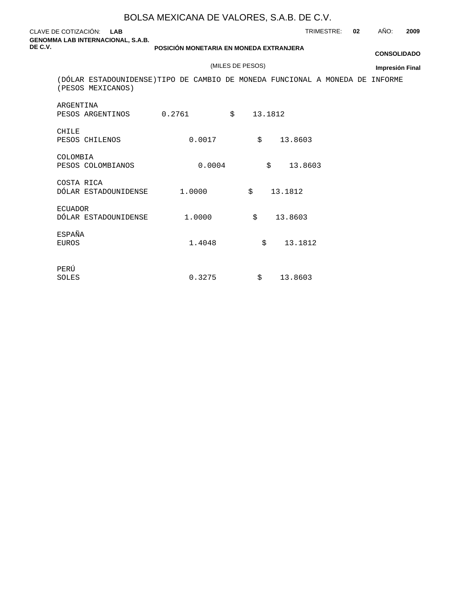| CLAVE DE COTIZACIÓN: LAB<br><b>GENOMMA LAB INTERNACIONAL, S.A.B.</b>                               |                                         |                  | TRIMESTRE: | 02 | AÑO:                   | 2009 |
|----------------------------------------------------------------------------------------------------|-----------------------------------------|------------------|------------|----|------------------------|------|
| DE C.V.                                                                                            | POSICIÓN MONETARIA EN MONEDA EXTRANJERA |                  |            |    | <b>CONSOLIDADO</b>     |      |
|                                                                                                    |                                         | (MILES DE PESOS) |            |    | <b>Impresión Final</b> |      |
| (DÓLAR ESTADOUNIDENSE) TIPO DE CAMBIO DE MONEDA FUNCIONAL A MONEDA DE INFORME<br>(PESOS MEXICANOS) |                                         |                  |            |    |                        |      |
| ARGENTINA<br>PESOS ARGENTINOS                                                                      | 0.2761                                  | \$<br>13.1812    |            |    |                        |      |
| <b>CHILE</b><br>PESOS CHILENOS                                                                     | 0.0017                                  | Ŝ.               | 13.8603    |    |                        |      |
| COLOMBIA<br>PESOS COLOMBIANOS                                                                      | 0.0004                                  | \$               | 13.8603    |    |                        |      |
| COSTA RICA<br>DÓLAR ESTADOUNIDENSE                                                                 | 1,0000                                  | \$<br>13.1812    |            |    |                        |      |
| <b>ECUADOR</b><br>DÓLAR ESTADOUNIDENSE                                                             | 1,0000                                  | \$               | 13.8603    |    |                        |      |
| ESPAÑA<br><b>EUROS</b>                                                                             | 1.4048                                  | Ŝ.               | 13.1812    |    |                        |      |
| PERÚ<br>SOLES                                                                                      | 0.3275                                  | \$               | 13.8603    |    |                        |      |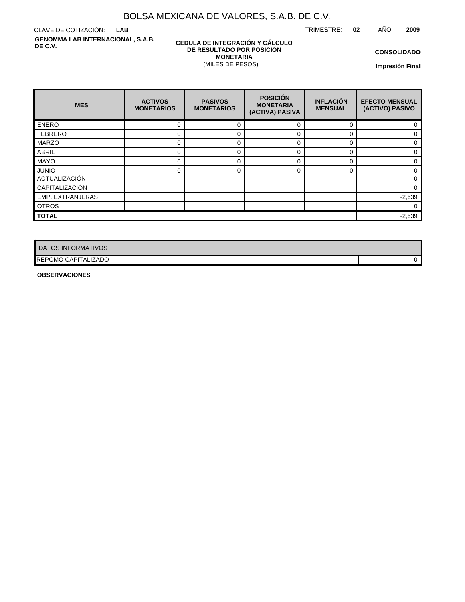TRIMESTRE: **02** AÑO: **2009**

CLAVE DE COTIZACIÓN: **LAB GENOMMA LAB INTERNACIONAL, S.A.B. DE C.V.**

### **CEDULA DE INTEGRACIÓN Y CÁLCULO DE RESULTADO POR POSICIÓN MONETARIA** (MILES DE PESOS)

**CONSOLIDADO**

**Impresión Final**

| <b>MES</b>           | <b>ACTIVOS</b><br><b>MONETARIOS</b> | <b>PASIVOS</b><br><b>MONETARIOS</b> | <b>POSICIÓN</b><br><b>MONETARIA</b><br>(ACTIVA) PASIVA | <b>INFLACIÓN</b><br><b>MENSUAL</b> | <b>EFECTO MENSUAL</b><br>(ACTIVO) PASIVO |
|----------------------|-------------------------------------|-------------------------------------|--------------------------------------------------------|------------------------------------|------------------------------------------|
| <b>ENERO</b>         | 0                                   | 0                                   | $\Omega$                                               | $\Omega$                           |                                          |
| <b>FEBRERO</b>       | 0                                   | 0                                   | 0                                                      | 0                                  | 0                                        |
| <b>MARZO</b>         | 0                                   | $\Omega$                            | $\Omega$                                               | O                                  | U                                        |
| <b>ABRIL</b>         | 0                                   | 0                                   | 0                                                      | 0                                  |                                          |
| <b>MAYO</b>          | 0                                   | $\Omega$                            | $\Omega$                                               | O                                  |                                          |
| <b>JUNIO</b>         | 0                                   | 0                                   | $\Omega$                                               | 0                                  | 0                                        |
| <b>ACTUALIZACIÓN</b> |                                     |                                     |                                                        |                                    | U                                        |
| CAPITALIZACIÓN       |                                     |                                     |                                                        |                                    | 0                                        |
| EMP. EXTRANJERAS     |                                     |                                     |                                                        |                                    | $-2,639$                                 |
| <b>OTROS</b>         |                                     |                                     |                                                        |                                    | 0                                        |
| <b>TOTAL</b>         |                                     |                                     |                                                        |                                    | $-2,639$                                 |

| DATOS INFORMATIVOS         |  |
|----------------------------|--|
| <b>REPOMO CAPITALIZADO</b> |  |

**OBSERVACIONES**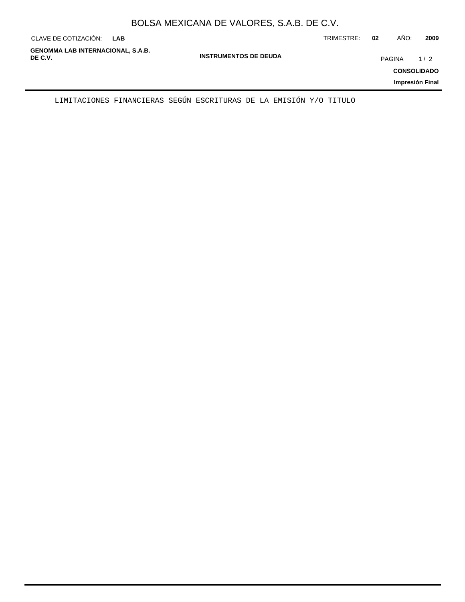|  | BOLSA MEXICANA DE VALORES, S.A.B. DE C.V. |  |
|--|-------------------------------------------|--|
|--|-------------------------------------------|--|

| CLAVE DE COTIZACIÓN:<br>LAB                         |                              | TRIMESTRE: | 02 | AÑO:          | 2009                                         |
|-----------------------------------------------------|------------------------------|------------|----|---------------|----------------------------------------------|
| <b>GENOMMA LAB INTERNACIONAL, S.A.B.</b><br>DE C.V. | <b>INSTRUMENTOS DE DEUDA</b> |            |    | <b>PAGINA</b> | 1/2<br><b>CONSOLIDADO</b><br>Impresión Final |
|                                                     |                              |            |    |               |                                              |

LIMITACIONES FINANCIERAS SEGÚN ESCRITURAS DE LA EMISIÓN Y/O TITULO

 $\overline{\phantom{0}}$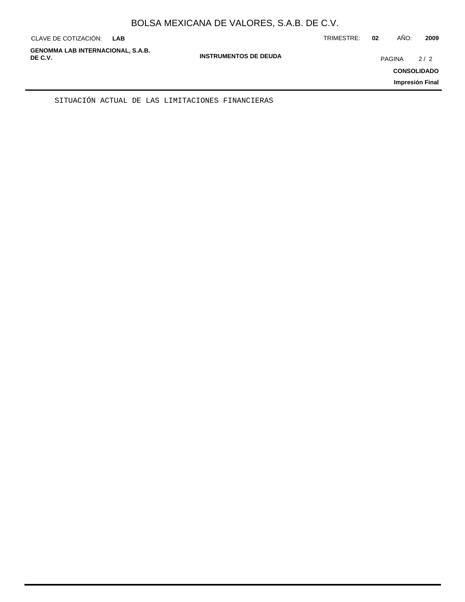| CLAVE DE COTIZACIÓN:                                | <b>LAB</b> |                              | TRIMESTRE: | 02            | AÑO: | 2009                      |
|-----------------------------------------------------|------------|------------------------------|------------|---------------|------|---------------------------|
| <b>GENOMMA LAB INTERNACIONAL, S.A.B.</b><br>DE C.V. |            | <b>INSTRUMENTOS DE DEUDA</b> |            | <b>PAGINA</b> |      | 2/2<br><b>CONSOLIDADO</b> |
|                                                     |            |                              |            |               |      | Impresión Final           |

SITUACIÓN ACTUAL DE LAS LIMITACIONES FINANCIERAS

÷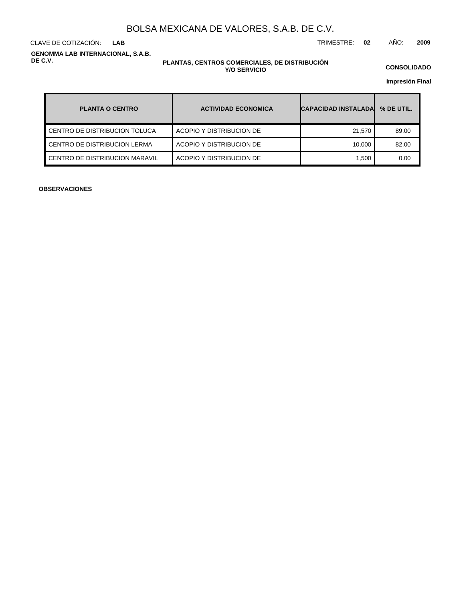**LAB**

CLAVE DE COTIZACIÓN: TRIMESTRE: **02** AÑO: **2009**

**GENOMMA LAB INTERNACIONAL, S.A.B. DE C.V.**

### **PLANTAS, CENTROS COMERCIALES, DE DISTRIBUCIÓN Y/O SERVICIO**

**CONSOLIDADO**

**Impresión Final**

| <b>PLANTA O CENTRO</b>         | <b>ACTIVIDAD ECONOMICA</b> | <b>CAPACIDAD INSTALADA</b> | % DE UTIL. |
|--------------------------------|----------------------------|----------------------------|------------|
| CENTRO DE DISTRIBUCION TOLUCA  | ACOPIO Y DISTRIBUCION DE   | 21.570                     | 89.00      |
| CENTRO DE DISTRIBUCION LERMA   | ACOPIO Y DISTRIBUCION DE   | 10.000                     | 82.00      |
| CENTRO DE DISTRIBUCION MARAVIL | ACOPIO Y DISTRIBUCION DE   | 1.500                      | 0.00       |

**OBSERVACIONES**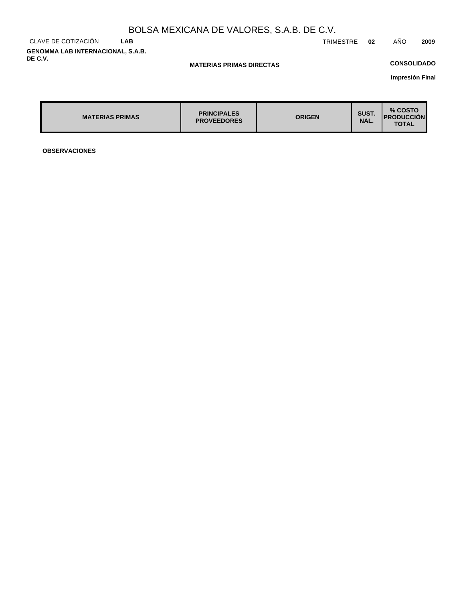CLAVE DE COTIZACIÓN **LAB GENOMMA LAB INTERNACIONAL, S.A.B. DE C.V.**

TRIMESTRE **02** AÑO **2009**

### **MATERIAS PRIMAS DIRECTAS**

## **CONSOLIDADO**

**Impresión Final**

| <b>PRINCIPALES</b><br><b>MATERIAS PRIMAS</b><br><b>PROVEEDORES</b> | <b>ORIGEN</b> | SUST.<br>NAL. | % COSTO<br><b>IPRODUCCION</b><br><b>TOTAL</b> |
|--------------------------------------------------------------------|---------------|---------------|-----------------------------------------------|
|--------------------------------------------------------------------|---------------|---------------|-----------------------------------------------|

**OBSERVACIONES**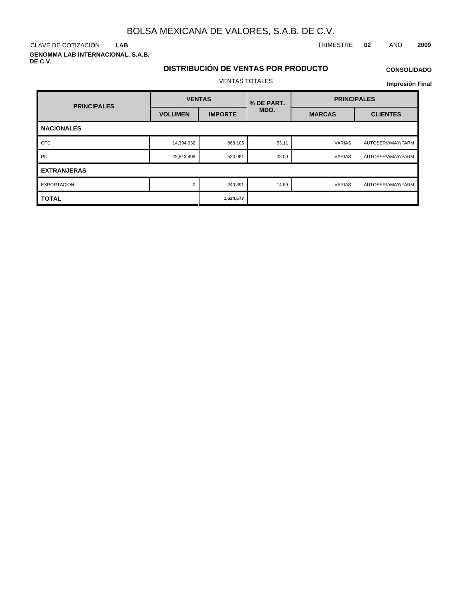**LAB**

**GENOMMA LAB INTERNACIONAL, S.A.B. DE C.V.**

### CLAVE DE COTIZACIÓN TRIMESTRE **02** AÑO **2009**

# **DISTRIBUCIÓN DE VENTAS POR PRODUCTO** VENTAS TOTALES

# **CONSOLIDADO**

| <b>PRINCIPALES</b> | <b>VENTAS</b>  |                | % DE PART. | <b>PRINCIPALES</b> |                   |  |  |  |
|--------------------|----------------|----------------|------------|--------------------|-------------------|--|--|--|
|                    | <b>VOLUMEN</b> | <b>IMPORTE</b> | MDO.       | <b>MARCAS</b>      | <b>CLIENTES</b>   |  |  |  |
| <b>NACIONALES</b>  |                |                |            |                    |                   |  |  |  |
| <b>OTC</b>         | 14,394,032     | 868,105        | 53.11      | <b>VARIAS</b>      | AUTOSERV/MAY/FARM |  |  |  |
| <b>PC</b>          | 22,813,409     | 523,081        | 32.00      | <b>VARIAS</b>      | AUTOSERV/MAY/FARM |  |  |  |
| <b>EXTRANJERAS</b> |                |                |            |                    |                   |  |  |  |
| <b>EXPORTACION</b> | 0              | 243,391        | 14.89      | <b>VARIAS</b>      | AUTOSERV/MAY/FARM |  |  |  |
| <b>TOTAL</b>       |                | 1,634,577      |            |                    |                   |  |  |  |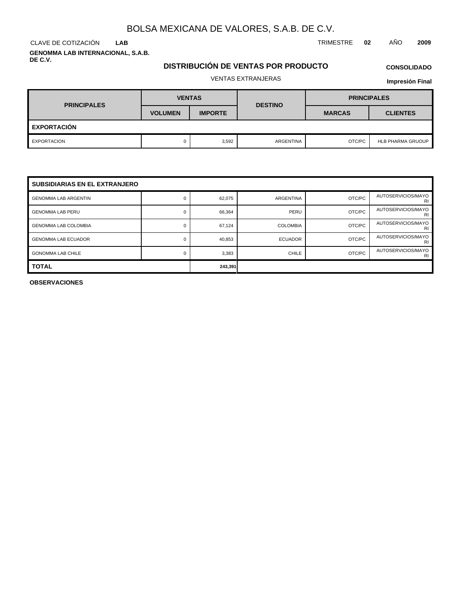**LAB**

**GENOMMA LAB INTERNACIONAL, S.A.B. DE C.V.**

## **DISTRIBUCIÓN DE VENTAS POR PRODUCTO**

**CONSOLIDADO**

# VENTAS EXTRANJERAS

### **Impresión Final**

| <b>PRINCIPALES</b> | <b>VENTAS</b>  |                | <b>DESTINO</b> | <b>PRINCIPALES</b> |                          |  |  |  |  |
|--------------------|----------------|----------------|----------------|--------------------|--------------------------|--|--|--|--|
|                    | <b>VOLUMEN</b> | <b>IMPORTE</b> |                | <b>MARCAS</b>      | <b>CLIENTES</b>          |  |  |  |  |
| <b>EXPORTACIÓN</b> |                |                |                |                    |                          |  |  |  |  |
| EXPORTACION        |                | 3,592          | ARGENTINA      | OTC/PC             | <b>HLB PHARMA GRUOUP</b> |  |  |  |  |

| <b>SUBSIDIARIAS EN EL EXTRANJERO</b> |         |        |                  |        |                          |  |  |  |  |
|--------------------------------------|---------|--------|------------------|--------|--------------------------|--|--|--|--|
| <b>GENOMMA LAB ARGENTIN</b>          |         | 62,075 | <b>ARGENTINA</b> | OTC/PC | AUTOSERVICIOS/MAYO<br>RI |  |  |  |  |
| <b>GENOMMA LAB PERU</b>              |         | 66,364 | PERU             | OTC/PC | AUTOSERVICIOS/MAYO<br>RI |  |  |  |  |
| <b>GENOMMA LAB COLOMBIA</b>          | 0       | 67.124 | <b>COLOMBIA</b>  | OTC/PC | AUTOSERVICIOS/MAYO<br>RI |  |  |  |  |
| <b>GENOMMA LAB ECUADOR</b>           |         | 40,853 | <b>ECUADOR</b>   | OTC/PC | AUTOSERVICIOS/MAYO<br>RI |  |  |  |  |
| <b>GONOMMA LAB CHILE</b>             |         | 3,383  | CHILE            | OTC/PC | AUTOSERVICIOS/MAYO<br>RI |  |  |  |  |
| <b>TOTAL</b>                         | 243,391 |        |                  |        |                          |  |  |  |  |

**OBSERVACIONES**

CLAVE DE COTIZACIÓN TRIMESTRE **02** AÑO **2009**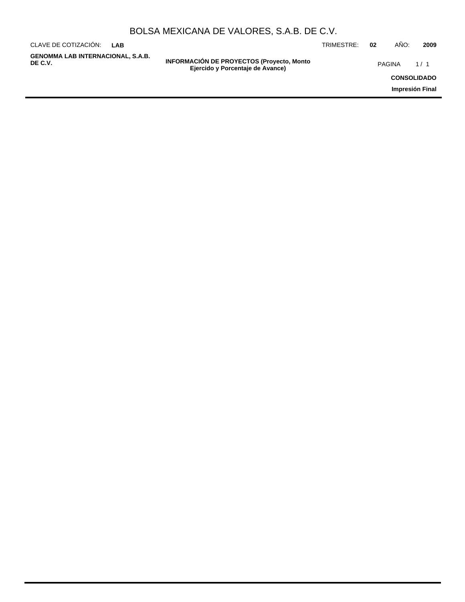|  | BOLSA MEXICANA DE VALORES, S.A.B. DE C.V. |
|--|-------------------------------------------|
|--|-------------------------------------------|

| CLAVE DE COTIZACIÓN:<br>I AR                        |                                                                                       | TRIMESTRE: | 02 | AÑO:   | 2009               |
|-----------------------------------------------------|---------------------------------------------------------------------------------------|------------|----|--------|--------------------|
| <b>GENOMMA LAB INTERNACIONAL, S.A.B.</b><br>DE C.V. | <b>INFORMACIÓN DE PROYECTOS (Proyecto, Monto)</b><br>Ejercido y Porcentaje de Avance) |            |    | PAGINA | 1/1                |
|                                                     |                                                                                       |            |    |        | <b>CONSOLIDADO</b> |
|                                                     |                                                                                       |            |    |        | Impresión Final    |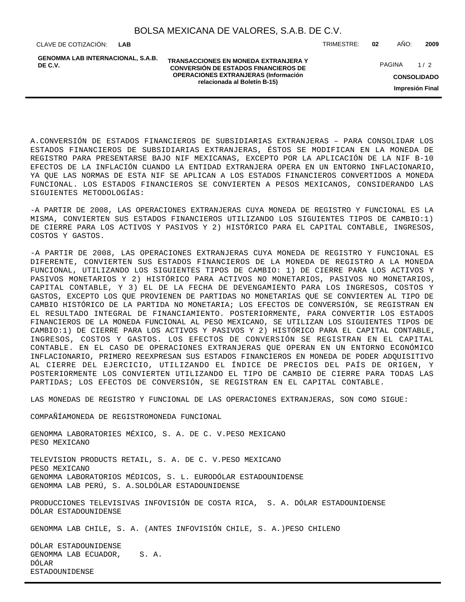**LAB**

**GENOMMA LAB INTERNACIONAL, S.A.B. DE C.V.**

**TRANSACCIONES EN MONEDA EXTRANJERA Y CONVERSIÓN DE ESTADOS FINANCIEROS DE OPERACIONES EXTRANJERAS (Información relacionada al Boletín B-15)**

CLAVE DE COTIZACIÓN: TRIMESTRE: **02** AÑO: **2009**

**CONSOLIDADO** PAGINA 1/2

**Impresión Final**

A. CONVERSIÓN DE ESTADOS FINANCIEROS DE SUBSIDIARIAS EXTRANJERAS – PARA CONSOLIDAR LOS ESTADOS FINANCIEROS DE SUBSIDIARIAS EXTRANJERAS, ÉSTOS SE MODIFICAN EN LA MONEDA DE REGISTRO PARA PRESENTARSE BAJO NIF MEXICANAS, EXCEPTO POR LA APLICACIÓN DE LA NIF B-10 EFECTOS DE LA INFLACIÓN CUANDO LA ENTIDAD EXTRANJERA OPERA EN UN ENTORNO INFLACIONARIO, YA QUE LAS NORMAS DE ESTA NIF SE APLICAN A LOS ESTADOS FINANCIEROS CONVERTIDOS A MONEDA FUNCIONAL. LOS ESTADOS FINANCIEROS SE CONVIERTEN A PESOS MEXICANOS, CONSIDERANDO LAS SIGUIENTES METODOLOGÍAS:

- A PARTIR DE 2008, LAS OPERACIONES EXTRANJERAS CUYA MONEDA DE REGISTRO Y FUNCIONAL ES LA MISMA, CONVIERTEN SUS ESTADOS FINANCIEROS UTILIZANDO LOS SIGUIENTES TIPOS DE CAMBIO:1) DE CIERRE PARA LOS ACTIVOS Y PASIVOS Y 2) HISTÓRICO PARA EL CAPITAL CONTABLE, INGRESOS, COSTOS Y GASTOS.

- A PARTIR DE 2008, LAS OPERACIONES EXTRANJERAS CUYA MONEDA DE REGISTRO Y FUNCIONAL ES DIFERENTE, CONVIERTEN SUS ESTADOS FINANCIEROS DE LA MONEDA DE REGISTRO A LA MONEDA FUNCIONAL, UTILIZANDO LOS SIGUIENTES TIPOS DE CAMBIO: 1) DE CIERRE PARA LOS ACTIVOS Y PASIVOS MONETARIOS Y 2) HISTÓRICO PARA ACTIVOS NO MONETARIOS, PASIVOS NO MONETARIOS, CAPITAL CONTABLE, Y 3) EL DE LA FECHA DE DEVENGAMIENTO PARA LOS INGRESOS, COSTOS Y GASTOS, EXCEPTO LOS QUE PROVIENEN DE PARTIDAS NO MONETARIAS QUE SE CONVIERTEN AL TIPO DE CAMBIO HISTÓRICO DE LA PARTIDA NO MONETARIA; LOS EFECTOS DE CONVERSIÓN, SE REGISTRAN EN EL RESULTADO INTEGRAL DE FINANCIAMIENTO. POSTERIORMENTE, PARA CONVERTIR LOS ESTADOS FINANCIEROS DE LA MONEDA FUNCIONAL AL PESO MEXICANO, SE UTILIZAN LOS SIGUIENTES TIPOS DE CAMBIO:1) DE CIERRE PARA LOS ACTIVOS Y PASIVOS Y 2) HISTÓRICO PARA EL CAPITAL CONTABLE, INGRESOS, COSTOS Y GASTOS. LOS EFECTOS DE CONVERSIÓN SE REGISTRAN EN EL CAPITAL CONTABLE. EN EL CASO DE OPERACIONES EXTRANJERAS QUE OPERAN EN UN ENTORNO ECONÓMICO INFLACIONARIO, PRIMERO REEXPRESAN SUS ESTADOS FINANCIEROS EN MONEDA DE PODER ADQUISITIVO AL CIERRE DEL EJERCICIO, UTILIZANDO EL ÍNDICE DE PRECIOS DEL PAÍS DE ORIGEN, Y POSTERIORMENTE LOS CONVIERTEN UTILIZANDO EL TIPO DE CAMBIO DE CIERRE PARA TODAS LAS PARTIDAS; LOS EFECTOS DE CONVERSIÓN, SE REGISTRAN EN EL CAPITAL CONTABLE.

LAS MONEDAS DE REGISTRO Y FUNCIONAL DE LAS OPERACIONES EXTRANJERAS, SON COMO SIGUE:

COMPAÑÍA MONEDA DE REGISTRO MONEDA FUNCIONAL

GENOMMA LABORATORIES MÉXICO, S. A. DE C. V. PESO MEXICANO PESO MEXICANO

TELEVISION PRODUCTS RETAIL, S. A. DE C. V. PESO MEXICANO PESO MEXICANO GENOMMA LABORATORIOS MÉDICOS, S. L. EURO DÓLAR ESTADOUNIDENSE GENOMMA LAB PERÚ, S. A. SOL DÓLAR ESTADOUNIDENSE

PRODUCCIONES TELEVISIVAS INFOVISIÓN DE COSTA RICA, S. A. DÓLAR ESTADOUNIDENSE DÓLAR ESTADOUNIDENSE

GENOMMA LAB CHILE, S. A. (ANTES INFOVISIÓN CHILE, S. A.) PESO CHILENO

DÓLAR ESTADOUNIDENSE GENOMMA LAB ECUADOR, S.A. DÓLAR ESTADOUNIDENSE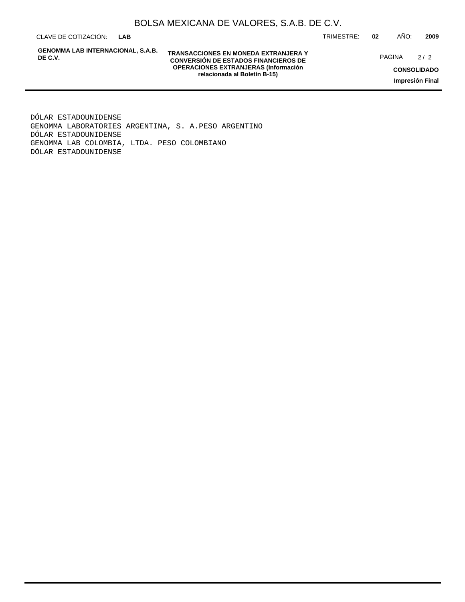CLAVE DE COTIZACIÓN: TRIMESTRE: **02** AÑO: **2009 LAB**

**GENOMMA LAB INTERNACIONAL, S.A.B. DE C.V.**

**TRANSACCIONES EN MONEDA EXTRANJERA Y CONVERSIÓN DE ESTADOS FINANCIEROS DE OPERACIONES EXTRANJERAS (Información relacionada al Boletín B-15)**

PAGINA 2/2

**CONSOLIDADO Impresión Final**

DÓLAR ESTADOUNIDENSE GENOMMA LABORATORIES ARGENTINA, S. A. PESO ARGENTINO DÓLAR ESTADOUNIDENSE GENOMMA LAB COLOMBIA, LTDA. PESO COLOMBIANO DÓLAR ESTADOUNIDENSE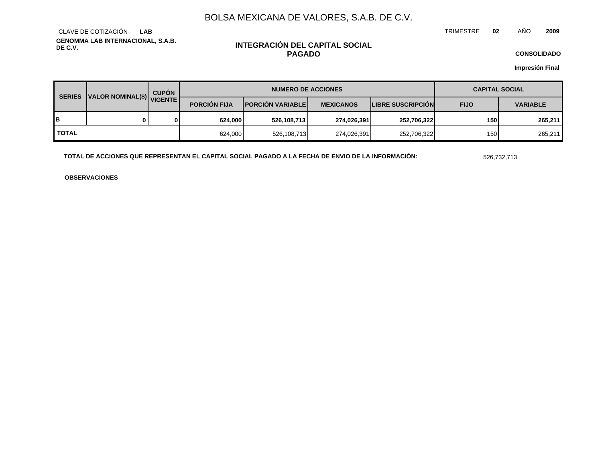TRIMESTRE **02** AÑO **2009**

**GENOMMA LAB INTERNACIONAL, S.A.B. DE C.V.** CLAVE DE COTIZACIÓN **LAB**

### **INTEGRACIÓN DEL CAPITAL SOCIAL PAGADO**

**CONSOLIDADO**

**Impresión Final**

| <b>SERIES</b> | VALOR NOMINAL(\$) VIGENTE | <b>CUPÓN</b> | <b>NUMERO DE ACCIONES</b> |                          |                  |                          | <b>CAPITAL SOCIAL</b> |                 |
|---------------|---------------------------|--------------|---------------------------|--------------------------|------------------|--------------------------|-----------------------|-----------------|
|               |                           |              | <b>PORCIÓN FIJA</b>       | <b>PORCIÓN VARIABLEI</b> | <b>MEXICANOS</b> | <b>LIBRE SUSCRIPCION</b> | <b>FIJO</b>           | <b>VARIABLE</b> |
| в             |                           | ΩI           | 624.000                   | 526,108,713              | 274,026,391      | 252,706,322              | 150                   | 265,211         |
| <b>TOTAL</b>  |                           |              | 624,000                   | 526,108,713              | 274,026,391      | 252,706,322              | 150                   | 265,211         |

**TOTAL DE ACCIONES QUE REPRESENTAN EL CAPITAL SOCIAL PAGADO A LA FECHA DE ENVIO DE LA INFORMACIÓN:** 526,732,713

**OBSERVACIONES**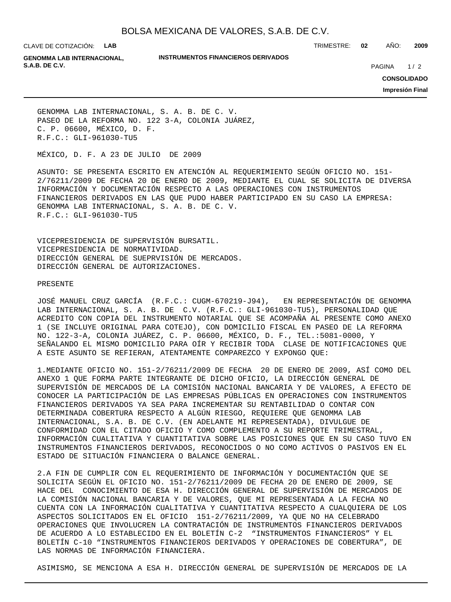CLAVE DE COTIZACIÓN: **LAB**

**INSTRUMENTOS FINANCIEROS DERIVADOS**

TRIMESTRE: **02** AÑO: **2009**

**GENOMMA LAB INTERNACIONAL, S.A.B. DE C.V. PAGINA 2020 20:20 20:20 20:20 20:20 20:20 20:20 20:20 20:20 20:20 20:20 20:20 20:20 20:20 20:20 20:20 20:20 20:20 20:20 20:20 20:20 20:20 20:20 20:20 20:20 20:20 20:20 20:20 20:20 20:20 20:20 20:20 20:20** 

 $1/2$ 

**CONSOLIDADO**

**Impresión Final**

GENOMMA LAB INTERNACIONAL, S. A. B. DE C. V. PASEO DE LA REFORMA NO. 122 3-A, COLONIA JUÁREZ, C. P. 06600, MÉXICO, D. F. R.F.C.: GLI-961030-TU5

MÉXICO, D. F. A 23 DE JULIO DE 2009

ASUNTO: SE PRESENTA ESCRITO EN ATENCIÓN AL REQUERIMIENTO SEGÚN OFICIO NO. 151- 2/76211/2009 DE FECHA 20 DE ENERO DE 2009, MEDIANTE EL CUAL SE SOLICITA DE DIVERSA INFORMACIÓN Y DOCUMENTACIÓN RESPECTO A LAS OPERACIONES CON INSTRUMENTOS FINANCIEROS DERIVADOS EN LAS QUE PUDO HABER PARTICIPADO EN SU CASO LA EMPRESA: GENOMMA LAB INTERNACIONAL, S. A. B. DE C. V. R.F.C.: GLI-961030-TU5

VICEPRESIDENCIA DE SUPERVISIÓN BURSATIL. VICEPRESIDENCIA DE NORMATIVIDAD. DIRECCIÓN GENERAL DE SUEPRVISIÓN DE MERCADOS. DIRECCIÓN GENERAL DE AUTORIZACIONES.

#### PRESENTE

JOSÉ MANUEL CRUZ GARCÍA (R.F.C.: CUGM-670219-J94), EN REPRESENTACIÓN DE GENOMMA LAB INTERNACIONAL, S. A. B. DE C.V. (R.F.C.: GLI-961030-TU5), PERSONALIDAD QUE ACREDITO CON COPIA DEL INSTRUMENTO NOTARIAL QUE SE ACOMPAÑA AL PRESENTE COMO ANEXO 1 (SE INCLUYE ORIGINAL PARA COTEJO), CON DOMICILIO FISCAL EN PASEO DE LA REFORMA NO. 122-3-A, COLONIA JUÁREZ, C. P. 06600, MÉXICO, D. F., TEL.:5081-0000, Y SEÑALANDO EL MISMO DOMICILIO PARA OÍR Y RECIBIR TODA CLASE DE NOTIFICACIONES QUE A ESTE ASUNTO SE REFIERAN, ATENTAMENTE COMPAREZCO Y EXPONGO QUE:

1. MEDIANTE OFICIO NO. 151-2/76211/2009 DE FECHA 20 DE ENERO DE 2009, ASÍ COMO DEL ANEXO 1 QUE FORMA PARTE INTEGRANTE DE DICHO OFICIO, LA DIRECCIÓN GENERAL DE SUPERVISIÓN DE MERCADOS DE LA COMISIÓN NACIONAL BANCARIA Y DE VALORES, A EFECTO DE CONOCER LA PARTICIPACIÓN DE LAS EMPRESAS PÚBLICAS EN OPERACIONES CON INSTRUMENTOS FINANCIEROS DERIVADOS YA SEA PARA INCREMENTAR SU RENTABILIDAD O CONTAR CON DETERMINADA COBERTURA RESPECTO A ALGÚN RIESGO, REQUIERE QUE GENOMMA LAB INTERNACIONAL, S.A. B. DE C.V. (EN ADELANTE MI REPRESENTADA), DIVULGUE DE CONFORMIDAD CON EL CITADO OFICIO Y COMO COMPLEMENTO A SU REPORTE TRIMESTRAL, INFORMACIÓN CUALITATIVA Y CUANTITATIVA SOBRE LAS POSICIONES QUE EN SU CASO TUVO EN INSTRUMENTOS FINANCIEROS DERIVADOS, RECONOCIDOS O NO COMO ACTIVOS O PASIVOS EN EL ESTADO DE SITUACIÓN FINANCIERA O BALANCE GENERAL.

2. A FIN DE CUMPLIR CON EL REQUERIMIENTO DE INFORMACIÓN Y DOCUMENTACIÓN QUE SE SOLICITA SEGÚN EL OFICIO NO. 151-2/76211/2009 DE FECHA 20 DE ENERO DE 2009, SE HACE DEL CONOCIMIENTO DE ESA H. DIRECCIÓN GENERAL DE SUPERVISIÓN DE MERCADOS DE LA COMISIÓN NACIONAL BANCARIA Y DE VALORES, QUE MI REPRESENTADA A LA FECHA NO CUENTA CON LA INFORMACIÓN CUALITATIVA Y CUANTITATIVA RESPECTO A CUALQUIERA DE LOS ASPECTOS SOLICITADOS EN EL OFICIO 151-2/76211/2009, YA QUE NO HA CELEBRADO OPERACIONES QUE INVOLUCREN LA CONTRATACIÓN DE INSTRUMENTOS FINANCIEROS DERIVADOS DE ACUERDO A LO ESTABLECIDO EN EL BOLETÍN C-2 "INSTRUMENTOS FINANCIEROS" Y EL BOLETÍN C-10 "INSTRUMENTOS FINANCIEROS DERIVADOS Y OPERACIONES DE COBERTURA", DE LAS NORMAS DE INFORMACIÓN FINANCIERA.

ASIMISMO, SE MENCIONA A ESA H. DIRECCIÓN GENERAL DE SUPERVISIÓN DE MERCADOS DE LA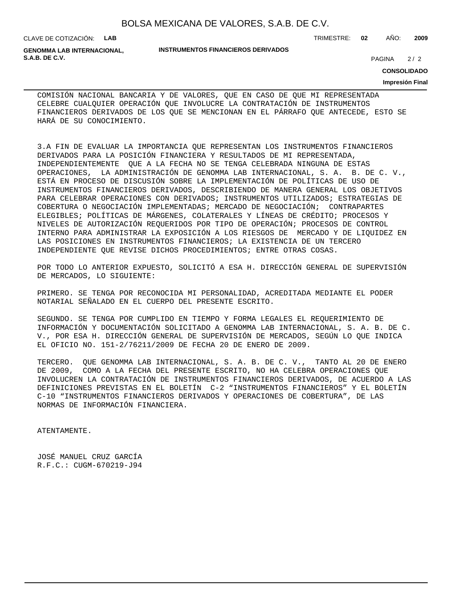CLAVE DE COTIZACIÓN: **LAB**

**GENOMMA LAB INTERNACIONAL, S.A.B. DE C.V.** 2/2

#### **INSTRUMENTOS FINANCIEROS DERIVADOS**

TRIMESTRE: **02** AÑO: **2009**

**CONSOLIDADO**

 $2/2$ 

#### **Impresión Final**

COMISIÓN NACIONAL BANCARIA Y DE VALORES, QUE EN CASO DE QUE MI REPRESENTADA CELEBRE CUALQUIER OPERACIÓN QUE INVOLUCRE LA CONTRATACIÓN DE INSTRUMENTOS FINANCIEROS DERIVADOS DE LOS QUE SE MENCIONAN EN EL PÁRRAFO QUE ANTECEDE, ESTO SE HARÁ DE SU CONOCIMIENTO.

3. A FIN DE EVALUAR LA IMPORTANCIA QUE REPRESENTAN LOS INSTRUMENTOS FINANCIEROS DERIVADOS PARA LA POSICIÓN FINANCIERA Y RESULTADOS DE MI REPRESENTADA, INDEPENDIENTEMENTE QUE A LA FECHA NO SE TENGA CELEBRADA NINGUNA DE ESTAS OPERACIONES, LA ADMINISTRACIÓN DE GENOMMA LAB INTERNACIONAL, S. A. B. DE C. V., ESTÁ EN PROCESO DE DISCUSIÓN SOBRE LA IMPLEMENTACIÓN DE POLÍTICAS DE USO DE INSTRUMENTOS FINANCIEROS DERIVADOS, DESCRIBIENDO DE MANERA GENERAL LOS OBJETIVOS PARA CELEBRAR OPERACIONES CON DERIVADOS; INSTRUMENTOS UTILIZADOS; ESTRATEGIAS DE COBERTURA O NEGOCIACIÓN IMPLEMENTADAS; MERCADO DE NEGOCIACIÓN; CONTRAPARTES ELEGIBLES; POLÍTICAS DE MÁRGENES, COLATERALES Y LÍNEAS DE CRÉDITO; PROCESOS Y NIVELES DE AUTORIZACIÓN REQUERIDOS POR TIPO DE OPERACIÓN; PROCESOS DE CONTROL INTERNO PARA ADMINISTRAR LA EXPOSICIÓN A LOS RIESGOS DE MERCADO Y DE LIQUIDEZ EN LAS POSICIONES EN INSTRUMENTOS FINANCIEROS; LA EXISTENCIA DE UN TERCERO INDEPENDIENTE QUE REVISE DICHOS PROCEDIMIENTOS; ENTRE OTRAS COSAS.

POR TODO LO ANTERIOR EXPUESTO, SOLICITÓ A ESA H. DIRECCIÓN GENERAL DE SUPERVISIÓN DE MERCADOS, LO SIGUIENTE:

PRIMERO. SE TENGA POR RECONOCIDA MI PERSONALIDAD, ACREDITADA MEDIANTE EL PODER NOTARIAL SEÑALADO EN EL CUERPO DEL PRESENTE ESCRITO.

SEGUNDO. SE TENGA POR CUMPLIDO EN TIEMPO Y FORMA LEGALES EL REQUERIMIENTO DE INFORMACIÓN Y DOCUMENTACIÓN SOLICITADO A GENOMMA LAB INTERNACIONAL, S. A. B. DE C. V., POR ESA H. DIRECCIÓN GENERAL DE SUPERVISIÓN DE MERCADOS, SEGÚN LO QUE INDICA EL OFICIO NO. 151-2/76211/2009 DE FECHA 20 DE ENERO DE 2009.

TERCERO. QUE GENOMMA LAB INTERNACIONAL, S. A. B. DE C. V., TANTO AL 20 DE ENERO DE 2009, COMO A LA FECHA DEL PRESENTE ESCRITO, NO HA CELEBRA OPERACIONES QUE INVOLUCREN LA CONTRATACIÓN DE INSTRUMENTOS FINANCIEROS DERIVADOS, DE ACUERDO A LAS DEFINICIONES PREVISTAS EN EL BOLETÍN C-2 "INSTRUMENTOS FINANCIEROS" Y EL BOLETÍN C-10 "INSTRUMENTOS FINANCIEROS DERIVADOS Y OPERACIONES DE COBERTURA", DE LAS NORMAS DE INFORMACIÓN FINANCIERA.

ATENTAMENTE.

JOSÉ MANUEL CRUZ GARCÍA R.F.C.: CUGM-670219-J94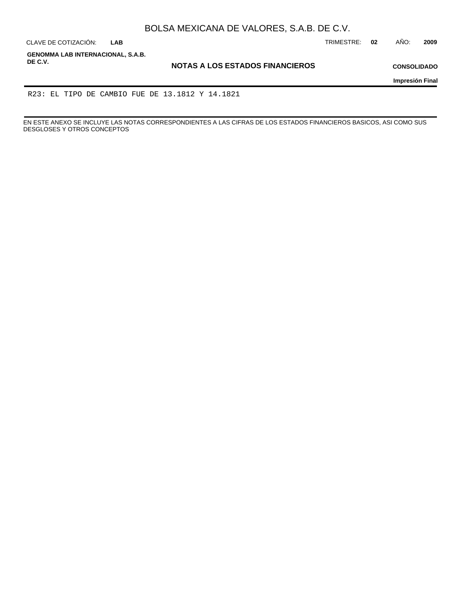**LAB**

CLAVE DE COTIZACIÓN: TRIMESTRE: **02** AÑO: **2009**

**GENOMMA LAB INTERNACIONAL, S.A.B. DE C.V.**

**NOTAS A LOS ESTADOS FINANCIEROS**

**CONSOLIDADO**

**Impresión Final**

R23: EL TIPO DE CAMBIO FUE DE 13.1812 Y 14.1821

EN ESTE ANEXO SE INCLUYE LAS NOTAS CORRESPONDIENTES A LAS CIFRAS DE LOS ESTADOS FINANCIEROS BASICOS, ASI COMO SUS DESGLOSES Y OTROS CONCEPTOS